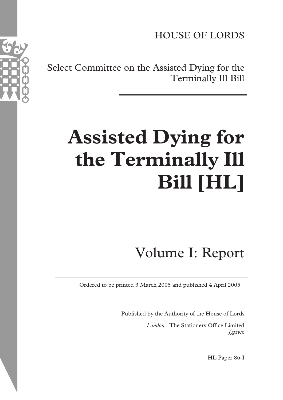HOUSE OF LORDS

Select Committee on the Assisted Dying for the Terminally Ill Bill

# **Assisted Dying for the Terminally Ill Bill [HL]**

## Volume I: Report

Ordered to be printed 3 March 2005 and published 4 April 2005

Published by the Authority of the House of Lords

*London* : The Stationery Office Limited  $\mathcal{L}$ price

HL Paper 86-I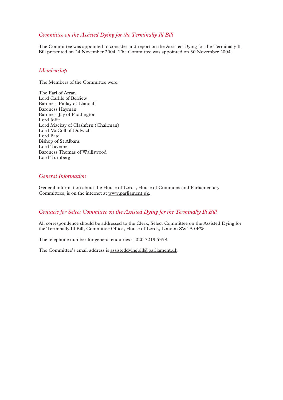#### *Committee on the Assisted Dying for the Terminally Ill Bill*

The Committee was appointed to consider and report on the Assisted Dying for the Terminally Ill Bill presented on 24 November 2004. The Committee was appointed on 30 November 2004.

#### *Membership*

The Members of the Committee were:

The Earl of Arran Lord Carlile of Berriew Baroness Finlay of Llandaff Baroness Hayman Baroness Jay of Paddington Lord Joffe Lord Mackay of Clashfern (Chairman) Lord McColl of Dulwich Lord Patel Bishop of St Albans Lord Taverne Baroness Thomas of Walliswood Lord Turnberg

#### *General Information*

General information about the House of Lords, House of Commons and Parliamentary Committees, is on the internet at www.parliament.uk.

#### *Contacts for Select Committee on the Assisted Dying for the Terminally Ill Bill*

All correspondence should be addressed to the Clerk, Select Committee on the Assisted Dying for the Terminally Ill Bill, Committee Office, House of Lords, London SW1A 0PW.

The telephone number for general enquiries is 020 7219 5358.

The Committee's email address is assisteddyingbill@parliament.uk.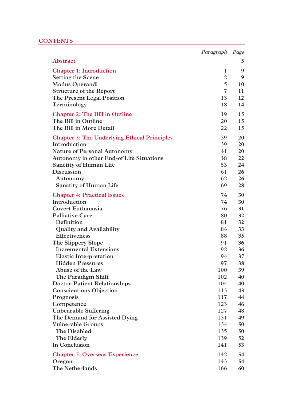#### **CONTENTS**

|                                                                     | Paragraph      | Page |
|---------------------------------------------------------------------|----------------|------|
| Abstract                                                            |                | 5    |
| <b>Chapter 1: Introduction</b>                                      | 1              | 9    |
| <b>Setting the Scene</b>                                            | $\overline{2}$ | 9    |
| <b>Modus Operandi</b>                                               | 5              | 10   |
| <b>Structure of the Report</b>                                      | $\overline{7}$ | 11   |
| The Present Legal Position                                          | 13             | 12   |
| Terminology                                                         | 18             | 14   |
| <b>Chapter 2: The Bill in Outline</b>                               | 19             | 15   |
| The Bill in Outline                                                 | 20             | 15   |
| The Bill in More Detail                                             | 22             | 15   |
|                                                                     | 39             | 20   |
| <b>Chapter 3: The Underlying Ethical Principles</b><br>Introduction | 39             | 20   |
| <b>Nature of Personal Autonomy</b>                                  | 41             | 20   |
| Autonomy in other End-of Life Situations                            | 48             | 22   |
| <b>Sanctity of Human Life</b>                                       | 53             | 24   |
| Discussion                                                          | 61             | 26   |
| Autonomy                                                            | 62             | 26   |
| <b>Sanctity of Human Life</b>                                       | 69             | 28   |
|                                                                     |                |      |
| <b>Chapter 4: Practical Issues</b>                                  | 74             | 30   |
| Introduction                                                        | 74             | 30   |
| <b>Covert Euthanasia</b>                                            | 76             | 31   |
| <b>Palliative Care</b>                                              | 80             | 32   |
| Definition                                                          | 81             | 32   |
| <b>Quality and Availability</b>                                     | 84             | 33   |
| <b>Effectiveness</b>                                                | 88             | 35   |
| The Slippery Slope                                                  | 91             | 36   |
| <b>Incremental Extensions</b>                                       | 92             | 36   |
| <b>Elastic Interpretation</b>                                       | 94             | 37   |
| <b>Hidden Pressures</b>                                             | 97             | 38   |
| Abuse of the Law                                                    | 100            | 39   |
| The Paradigm Shift                                                  | 102            | 40   |
| <b>Doctor-Patient Relationships</b>                                 | 104            | 40   |
| <b>Conscientious Objection</b>                                      | 113            | 43   |
| Prognosis                                                           | 117            | 44   |
| Competence                                                          | 123            | 46   |
| <b>Unbearable Suffering</b>                                         | 127            | 48   |
| The Demand for Assisted Dying                                       | 131            | 49   |
| <b>Vulnerable Groups</b>                                            | 134            | 50   |
| The Disabled                                                        | 135            | 50   |
| The Elderly                                                         | 139            | 52   |
| In Conclusion                                                       | 141            | 53   |
| <b>Chapter 5: Overseas Experience</b>                               | 142            | 54   |
| Oregon                                                              | 143            | 54   |
| The Netherlands                                                     | 166            | 60   |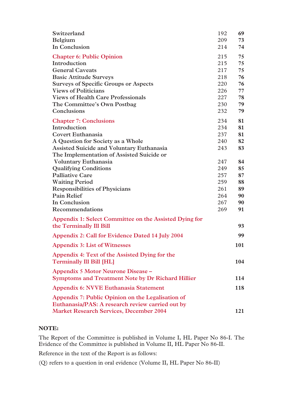| Switzerland                                                                                           | 192 | 69         |
|-------------------------------------------------------------------------------------------------------|-----|------------|
| Belgium                                                                                               | 209 | 73         |
| In Conclusion                                                                                         | 214 | 74         |
| <b>Chapter 6: Public Opinion</b>                                                                      | 215 | 75         |
| Introduction                                                                                          | 215 | 75         |
| <b>General Caveats</b>                                                                                | 217 | 75         |
| <b>Basic Attitude Surveys</b>                                                                         | 218 | 76         |
| <b>Surveys of Specific Groups or Aspects</b>                                                          | 220 | 76         |
| <b>Views of Politicians</b>                                                                           | 226 | 77         |
| <b>Views of Health Care Professionals</b>                                                             | 227 | 78         |
| The Committee's Own Postbag                                                                           | 230 | 79         |
| Conclusions                                                                                           | 232 | 79         |
| <b>Chapter 7: Conclusions</b>                                                                         | 234 | 81         |
| Introduction                                                                                          | 234 | 81         |
| <b>Covert Euthanasia</b>                                                                              | 237 | 81         |
| A Question for Society as a Whole                                                                     | 240 | 82         |
| <b>Assisted Suicide and Voluntary Euthanasia</b>                                                      | 243 | 83         |
| The Implementation of Assisted Suicide or                                                             |     |            |
| <b>Voluntary Euthanasia</b>                                                                           | 247 | 84         |
| <b>Qualifying Conditions</b>                                                                          | 249 | 85         |
| <b>Palliative Care</b>                                                                                | 257 | 87         |
| <b>Waiting Period</b>                                                                                 | 259 | 88         |
| <b>Responsibilities of Physicians</b>                                                                 | 261 | 89         |
| <b>Pain Relief</b>                                                                                    | 264 | 90         |
| In Conclusion                                                                                         | 267 | 90         |
| Recommendations                                                                                       | 269 | 91         |
| Appendix 1: Select Committee on the Assisted Dying for<br>the Terminally III Bill                     |     | 93         |
| Appendix 2: Call for Evidence Dated 14 July 2004                                                      |     | 99         |
| <b>Appendix 3: List of Witnesses</b>                                                                  |     | 101        |
| Appendix 4: Text of the Assisted Dying for the<br><b>Terminally Ill Bill [HL]</b>                     |     | 104        |
| Appendix 5 Motor Neurone Disease -<br><b>Symptoms and Treatment Note by Dr Richard Hillier</b>        |     | 114        |
| Appendix 6: NVVE Euthanasia Statement                                                                 |     | <b>118</b> |
| Appendix 7: Public Opinion on the Legalisation of<br>Euthanasia/PAS: A research review carried out by |     |            |
| <b>Market Research Services, December 2004</b>                                                        |     | 121        |

#### **NOTE:**

The Report of the Committee is published in Volume I, HL Paper No 86-I. The Evidence of the Committee is published in Volume II, HL Paper No 86-II.

Reference in the text of the Report is as follows:

(Q) refers to a question in oral evidence (Volume II, HL Paper No 86-II)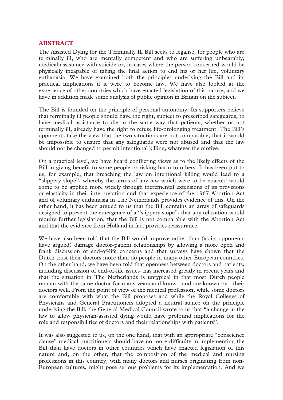#### **ABSTRACT**  \_\_\_\_\_\_\_\_\_\_\_\_\_\_\_\_\_\_\_\_\_\_\_\_\_\_\_\_\_\_\_\_\_\_\_\_\_\_\_\_\_\_\_\_\_\_\_\_\_\_\_\_\_\_\_\_\_\_\_\_\_\_\_\_\_\_\_\_\_\_\_\_\_\_\_\_\_\_\_\_\_\_\_\_\_\_\_\_\_\_\_\_\_\_\_\_\_\_\_\_\_\_\_\_\_\_\_\_\_\_\_\_\_\_\_\_\_\_\_\_\_\_\_\_\_\_\_\_\_\_\_\_\_\_\_\_\_\_\_\_\_\_\_\_\_\_\_\_\_\_\_\_\_\_\_\_\_\_\_\_\_\_\_\_\_\_\_\_\_\_\_\_\_\_\_\_\_\_\_\_\_\_\_\_\_\_\_\_\_\_\_\_\_\_\_\_\_\_\_\_\_\_\_\_\_\_\_\_\_\_\_

The Assisted Dying for the Terminally Ill Bill seeks to legalise, for people who are terminally ill, who are mentally competent and who are suffering unbearably, medical assistance with suicide or, in cases where the person concerned would be physically incapable of taking the final action to end his or her life, voluntary euthanasia. We have examined both the principles underlying the Bill and its practical implications if it were to become law. We have also looked at the experience of other countries which have enacted legislation of this nature, and we have in addition made some analysis of public opinion in Britain on the subject.

The Bill is founded on the principle of personal autonomy. Its supporters believe that terminally ill people should have the right, subject to prescribed safeguards, to have medical assistance to die in the same way that patients, whether or not terminally ill, already have the right to refuse life-prolonging treatment. The Bill's opponents take the view that the two situations are not comparable, that it would be impossible to ensure that any safeguards were not abused and that the law should not be changed to permit intentional killing, whatever the motive.

On a practical level, we have heard conflicting views as to the likely effects of the Bill in giving benefit to some people or risking harm to others. It has been put to us, for example, that breaching the law on intentional killing would lead to a "slippery slope", whereby the terms of any law which were to be enacted would come to be applied more widely through incremental extensions of its provisions or elasticity in their interpretation and that experience of the 1967 Abortion Act and of voluntary euthanasia in The Netherlands provides evidence of this. On the other hand, it has been argued to us that the Bill contains an array of safeguards designed to prevent the emergence of a "slippery slope", that any relaxation would require further legislation, that the Bill is not comparable with the Abortion Act and that the evidence from Holland in fact provides reassurance.

We have also been told that the Bill would improve rather than (as its opponents have argued) damage doctor-patient relationships by allowing a more open and frank discussion of end-of-life concerns and that surveys have shown that the Dutch trust their doctors more than do people in many other European countries. On the other hand, we have been told that openness between doctors and patients, including discussion of end-of-life issues, has increased greatly in recent years and that the situation in The Netherlands is untypical in that most Dutch people remain with the same doctor for many years and know—and are known by—their doctors well. From the point of view of the medical profession, while some doctors are comfortable with what the Bill proposes and while the Royal Colleges of Physicians and General Practitioners adopted a neutral stance on the principle underlying the Bill, the General Medical Council wrote to us that "a change in the law to allow physician-assisted dying would have profound implications for the role and responsibilities of doctors and their relationships with patients".

It was also suggested to us, on the one hand, that with an appropriate "conscience clause" medical practitioners should have no more difficulty in implementing the Bill than have doctors in other countries which have enacted legislation of this nature and, on the other, that the composition of the medical and nursing professions in this country, with many doctors and nurses originating from non-European cultures, might pose serious problems for its implementation. And we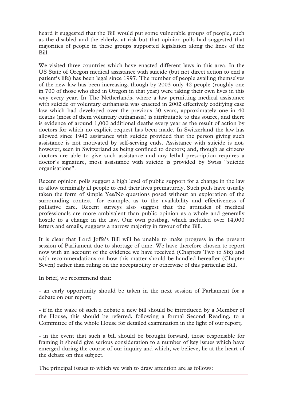heard it suggested that the Bill would put some vulnerable groups of people, such as the disabled and the elderly, at risk but that opinion polls had suggested that majorities of people in these groups supported legislation along the lines of the Bill.

We visited three countries which have enacted different laws in this area. In the US State of Oregon medical assistance with suicide (but not direct action to end a patient's life) has been legal since 1997. The number of people availing themselves of the new law has been increasing, though by 2003 only 42 people (roughly one in 700 of those who died in Oregon in that year) were taking their own lives in this way every year. In The Netherlands, where a law permitting medical assistance with suicide or voluntary euthanasia was enacted in 2002 effectively codifying case law which had developed over the previous 30 years, approximately one in 40 deaths (most of them voluntary euthanasia) is attributable to this source, and there is evidence of around 1,000 additional deaths every year as the result of action by doctors for which no explicit request has been made. In Switzerland the law has allowed since 1942 assistance with suicide provided that the person giving such assistance is not motivated by self-serving ends. Assistance with suicide is not, however, seen in Switzerland as being confined to doctors; and, though as citizens doctors are able to give such assistance and any lethal prescription requires a doctor's signature, most assistance with suicide is provided by Swiss "suicide organisations".

Recent opinion polls suggest a high level of public support for a change in the law to allow terminally ill people to end their lives prematurely. Such polls have usually taken the form of simple Yes/No questions posed without an exploration of the surrounding context—for example, as to the availability and effectiveness of palliative care. Recent surveys also suggest that the attitudes of medical professionals are more ambivalent than public opinion as a whole and generally hostile to a change in the law. Our own postbag, which included over 14,000 letters and emails, suggests a narrow majority in favour of the Bill.

It is clear that Lord Joffe's Bill will be unable to make progress in the present session of Parliament due to shortage of time. We have therefore chosen to report now with an account of the evidence we have received (Chapters Two to Six) and with recommendations on how this matter should be handled hereafter (Chapter Seven) rather than ruling on the acceptability or otherwise of this particular Bill.

In brief, we recommend that:

- an early opportunity should be taken in the next session of Parliament for a debate on our report;

- if in the wake of such a debate a new bill should be introduced by a Member of the House, this should be referred, following a formal Second Reading, to a Committee of the whole House for detailed examination in the light of our report;

- in the event that such a bill should be brought forward, those responsible for framing it should give serious consideration to a number of key issues which have emerged during the course of our inquiry and which, we believe, lie at the heart of the debate on this subject.

The principal issues to which we wish to draw attention are as follows: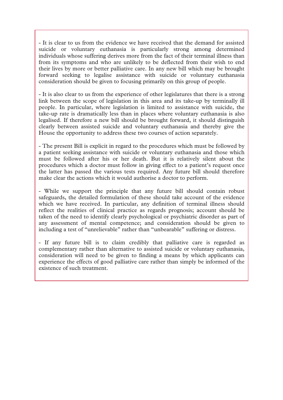- It is clear to us from the evidence we have received that the demand for assisted suicide or voluntary euthanasia is particularly strong among determined individuals whose suffering derives more from the fact of their terminal illness than from its symptoms and who are unlikely to be deflected from their wish to end their lives by more or better palliative care. In any new bill which may be brought forward seeking to legalise assistance with suicide or voluntary euthanasia consideration should be given to focusing primarily on this group of people.

- It is also clear to us from the experience of other legislatures that there is a strong link between the scope of legislation in this area and its take-up by terminally ill people. In particular, where legislation is limited to assistance with suicide, the take-up rate is dramatically less than in places where voluntary euthanasia is also legalised. If therefore a new bill should be brought forward, it should distinguish clearly between assisted suicide and voluntary euthanasia and thereby give the House the opportunity to address these two courses of action separately.

- The present Bill is explicit in regard to the procedures which must be followed by a patient seeking assistance with suicide or voluntary euthanasia and those which must be followed after his or her death. But it is relatively silent about the procedures which a doctor must follow in giving effect to a patient's request once the latter has passed the various tests required. Any future bill should therefore make clear the actions which it would authorise a doctor to perform.

- While we support the principle that any future bill should contain robust safeguards, the detailed formulation of these should take account of the evidence which we have received. In particular, any definition of terminal illness should reflect the realities of clinical practice as regards prognosis; account should be taken of the need to identify clearly psychological or psychiatric disorder as part of any assessment of mental competence; and consideration should be given to including a test of "unrelievable" rather than "unbearable" suffering or distress.

- If any future bill is to claim credibly that palliative care is regarded as complementary rather than alternative to assisted suicide or voluntary euthanasia, consideration will need to be given to finding a means by which applicants can experience the effects of good palliative care rather than simply be informed of the existence of such treatment.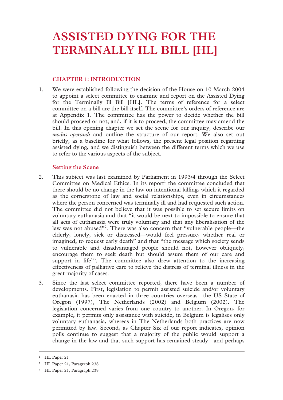#### **CHAPTER 1: INTRODUCTION**

1. We were established following the decision of the House on 10 March 2004 to appoint a select committee to examine and report on the Assisted Dying for the Terminally Ill Bill [HL]. The terms of reference for a select committee on a bill are the bill itself. The committee's orders of reference are at Appendix 1. The committee has the power to decide whether the bill should proceed or not; and, if it is to proceed, the committee may amend the bill. In this opening chapter we set the scene for our inquiry, describe our *modus operandi* and outline the structure of our report. We also set out briefly, as a baseline for what follows, the present legal position regarding assisted dying, and we distinguish between the different terms which we use to refer to the various aspects of the subject.

#### **Setting the Scene**

- 2. This subject was last examined by Parliament in 1993/4 through the Select Committee on Medical Ethics. In its report<sup>1</sup> the committee concluded that there should be no change in the law on intentional killing, which it regarded as the cornerstone of law and social relationships, even in circumstances where the person concerned was terminally ill and had requested such action. The committee did not believe that it was possible to set secure limits on voluntary euthanasia and that "it would be next to impossible to ensure that all acts of euthanasia were truly voluntary and that any liberalisation of the law was not abused"<sup>2</sup>. There was also concern that "vulnerable people—the elderly, lonely, sick or distressed—would feel pressure, whether real or imagined, to request early death" and that "the message which society sends to vulnerable and disadvantaged people should not, however obliquely, encourage them to seek death but should assure them of our care and support in life"<sup>3</sup>. The committee also drew attention to the increasing effectiveness of palliative care to relieve the distress of terminal illness in the great majority of cases.
- 3. Since the last select committee reported, there have been a number of developments. First, legislation to permit assisted suicide and/or voluntary euthanasia has been enacted in three countries overseas—the US State of Oregon (1997), The Netherlands (2002) and Belgium (2002). The legislation concerned varies from one country to another. In Oregon, for example, it permits only assistance with suicide, in Belgium is legalises only voluntary euthanasia, whereas in The Netherlands both practices are now permitted by law. Second, as Chapter Six of our report indicates, opinion polls continue to suggest that a majority of the public would support a change in the law and that such support has remained steady—and perhaps

 <sup>1</sup> HL Paper 21

<sup>2</sup> HL Paper 21, Paragraph 238

<sup>3</sup> HL Paper 21, Paragraph 239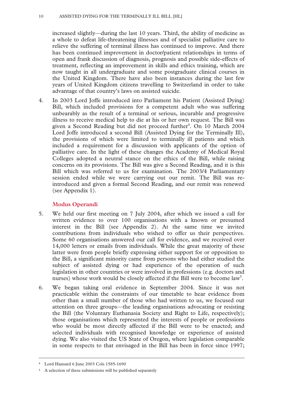increased slightly—during the last 10 years. Third, the ability of medicine as a whole to defeat life-threatening illnesses and of specialist palliative care to relieve the suffering of terminal illness has continued to improve. And there has been continued improvement in doctor/patient relationships in terms of open and frank discussion of diagnosis, prognosis and possible side-effects of treatment, reflecting an improvement in skills and ethics training, which are now taught in all undergraduate and some postgraduate clinical courses in the United Kingdom. There have also been instances during the last few years of United Kingdom citizens travelling to Switzerland in order to take advantage of that country's laws on assisted suicide.

4. In 2003 Lord Joffe introduced into Parliament his Patient (Assisted Dying) Bill, which included provisions for a competent adult who was suffering unbearably as the result of a terminal or serious, incurable and progressive illness to receive medical help to die at his or her own request. The Bill was given a Second Reading but did not proceed further<sup>4</sup>. On 10 March 2004 Lord Joffe introduced a second Bill (Assisted Dying for the Terminally Ill), the provisions of which were limited to terminally ill patients and which included a requirement for a discussion with applicants of the option of palliative care. In the light of these changes the Academy of Medical Royal Colleges adopted a neutral stance on the ethics of the Bill, while raising concerns on its provisions. The Bill was give a Second Reading, and it is this Bill which was referred to us for examination. The 2003/4 Parliamentary session ended while we were carrying out our remit. The Bill was reintroduced and given a formal Second Reading, and our remit was renewed (see Appendix 1).

#### **Modus Operandi**

- 5. We held our first meeting on 7 July 2004, after which we issued a call for written evidence to over 100 organisations with a known or presumed interest in the Bill (see Appendix 2). At the same time we invited contributions from individuals who wished to offer us their perspectives. Some 60 organisations answered our call for evidence, and we received over 14,000 letters or emails from individuals. While the great majority of these latter were from people briefly expressing either support for or opposition to the Bill, a significant minority came from persons who had either studied the subject of assisted dying or had experience of the operation of such legislation in other countries or were involved in professions (e.g. doctors and nurses) whose work would be closely affected if the Bill were to become  $law<sup>5</sup>$ .
- 6. We began taking oral evidence in September 2004. Since it was not practicable within the constraints of our timetable to hear evidence from other than a small number of those who had written to us, we focused our attention on three groups—the leading organisations advocating or resisting the Bill (the Voluntary Euthanasia Society and Right to Life, respectively); those organisations which represented the interests of people or professions who would be most directly affected if the Bill were to be enacted; and selected individuals with recognised knowledge or experience of assisted dying. We also visited the US State of Oregon, where legislation comparable in some respects to that envisaged in the Bill has been in force since 1997;

 <sup>4</sup> Lord Hansard 6 June 2003 Cols 1585-1690

<sup>5</sup> A selection of these submissions will be published separately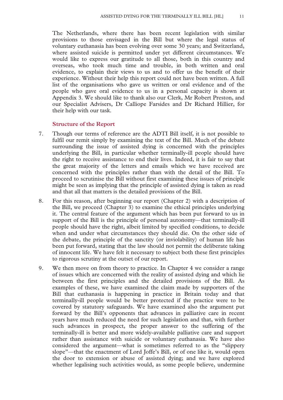The Netherlands, where there has been recent legislation with similar provisions to those envisaged in the Bill but where the legal status of voluntary euthanasia has been evolving over some 30 years; and Switzerland, where assisted suicide is permitted under yet different circumstances. We would like to express our gratitude to all those, both in this country and overseas, who took much time and trouble, in both written and oral evidence, to explain their views to us and to offer us the benefit of their experience. Without their help this report could not have been written. A full list of the organisations who gave us written or oral evidence and of the people who gave oral evidence to us in a personal capacity is shown at Appendix 3. We should like to thank also our Clerk, Mr Robert Preston, and our Specialist Advisers, Dr Calliope Farsides and Dr Richard Hillier, for their help with our task.

#### **Structure of the Report**

- 7. Though our terms of reference are the ADTI Bill itself, it is not possible to fulfil our remit simply by examining the text of the Bill. Much of the debate surrounding the issue of assisted dying is concerned with the principles underlying the Bill, in particular whether terminally-ill people should have the right to receive assistance to end their lives. Indeed, it is fair to say that the great majority of the letters and emails which we have received are concerned with the principles rather than with the detail of the Bill. To proceed to scrutinise the Bill without first examining these issues of principle might be seen as implying that the principle of assisted dying is taken as read and that all that matters is the detailed provisions of the Bill.
- 8. For this reason, after beginning our report (Chapter 2) with a description of the Bill, we proceed (Chapter 3) to examine the ethical principles underlying it. The central feature of the argument which has been put forward to us in support of the Bill is the principle of personal autonomy—that terminally-ill people should have the right, albeit limited by specified conditions, to decide when and under what circumstances they should die. On the other side of the debate, the principle of the sanctity (or inviolability) of human life has been put forward, stating that the law should not permit the deliberate taking of innocent life. We have felt it necessary to subject both these first principles to rigorous scrutiny at the outset of our report.
- 9. We then move on from theory to practice. In Chapter 4 we consider a range of issues which are concerned with the reality of assisted dying and which lie between the first principles and the detailed provisions of the Bill. As examples of these, we have examined the claim made by supporters of the Bill that euthanasia is happening in practice in Britain today and that terminally-ill people would be better protected if the practice were to be covered by statutory safeguards. We have examined also the argument put forward by the Bill's opponents that advances in palliative care in recent years have much reduced the need for such legislation and that, with further such advances in prospect, the proper answer to the suffering of the terminally-ill is better and more widely-available palliative care and support rather than assistance with suicide or voluntary euthanasia. We have also considered the argument—what is sometimes referred to as the "slippery slope"—that the enactment of Lord Joffe's Bill, or of one like it, would open the door to extension or abuse of assisted dying; and we have explored whether legalising such activities would, as some people believe, undermine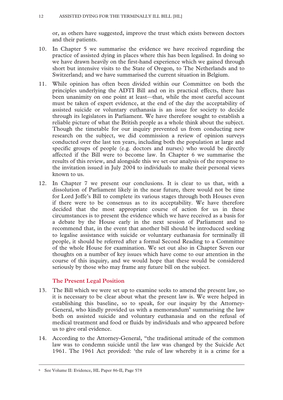or, as others have suggested, improve the trust which exists between doctors and their patients.

- 10. In Chapter 5 we summarise the evidence we have received regarding the practice of assisted dying in places where this has been legalised. In doing so we have drawn heavily on the first-hand experience which we gained through short but intensive visits to the State of Oregon, to The Netherlands and to Switzerland; and we have summarised the current situation in Belgium.
- 11. While opinion has often been divided within our Committee on both the principles underlying the ADTI Bill and on its practical effects, there has been unanimity on one point at least—that, while the most careful account must be taken of expert evidence, at the end of the day the acceptability of assisted suicide or voluntary euthanasia is an issue for society to decide through its legislators in Parliament. We have therefore sought to establish a reliable picture of what the British people as a whole think about the subject. Though the timetable for our inquiry prevented us from conducting new research on the subject, we did commission a review of opinion surveys conducted over the last ten years, including both the population at large and specific groups of people (e.g. doctors and nurses) who would be directly affected if the Bill were to become law. In Chapter 6 we summarise the results of this review, and alongside this we set our analysis of the response to the invitation issued in July 2004 to individuals to make their personal views known to us.
- 12. In Chapter 7 we present our conclusions. It is clear to us that, with a dissolution of Parliament likely in the near future, there would not be time for Lord Joffe's Bill to complete its various stages through both Houses even if there were to be consensus as to its acceptability. We have therefore decided that the most appropriate course of action for us in these circumstances is to present the evidence which we have received as a basis for a debate by the House early in the next session of Parliament and to recommend that, in the event that another bill should be introduced seeking to legalise assistance with suicide or voluntary euthanasia for terminally ill people, it should be referred after a formal Second Reading to a Committee of the whole House for examination. We set out also in Chapter Seven our thoughts on a number of key issues which have come to our attention in the course of this inquiry, and we would hope that these would be considered seriously by those who may frame any future bill on the subject.

#### **The Present Legal Position**

- 13. The Bill which we were set up to examine seeks to amend the present law, so it is necessary to be clear about what the present law is. We were helped in establishing this baseline, so to speak, for our inquiry by the Attorney-General, who kindly provided us with a memorandum<sup>6</sup> summarising the law both on assisted suicide and voluntary euthanasia and on the refusal of medical treatment and food or fluids by individuals and who appeared before us to give oral evidence.
- 14. According to the Attorney-General, "the traditional attitude of the common law was to condemn suicide until the law was changed by the Suicide Act 1961. The 1961 Act provided: 'the rule of law whereby it is a crime for a

 <sup>6</sup> See Volume II: Evidence, HL Paper 86-II, Page 578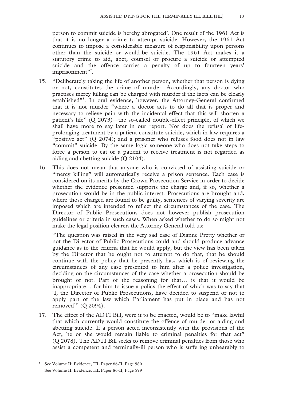person to commit suicide is hereby abrogated'. One result of the 1961 Act is that it is no longer a crime to attempt suicide. However, the 1961 Act continues to impose a considerable measure of responsibility upon persons other than the suicide or would-be suicide. The 1961 Act makes it a statutory crime to aid, abet, counsel or procure a suicide or attempted suicide and the offence carries a penalty of up to fourteen years' imprisonment"*<sup>7</sup>* .

- 15. "Deliberately taking the life of another person, whether that person is dying or not, constitutes the crime of murder. Accordingly, any doctor who practises mercy killing can be charged with murder if the facts can be clearly established"<sup>8</sup>. In oral evidence, however, the Attorney-General confirmed that it is not murder "where a doctor acts to do all that is proper and necessary to relieve pain with the incidental effect that this will shorten a patient's life" (Q 2073)—the so-called double-effect principle, of which we shall have more to say later in our report. Nor does the refusal of lifeprolonging treatment by a patient constitute suicide, which in law requires a "positive act" (Q 2074); and a prisoner who refuses food does not in law "commit" suicide. By the same logic someone who does not take steps to force a person to eat or a patient to receive treatment is not regarded as aiding and abetting suicide (Q 2104).
- 16. This does not mean that anyone who is convicted of assisting suicide or "mercy killing" will automatically receive a prison sentence. Each case is considered on its merits by the Crown Prosecution Service in order to decide whether the evidence presented supports the charge and, if so, whether a prosecution would be in the public interest. Prosecutions are brought and, where those charged are found to be guilty, sentences of varying severity are imposed which are intended to reflect the circumstances of the case. The Director of Public Prosecutions does not however publish prosecution guidelines or criteria in such cases. When asked whether to do so might not make the legal position clearer, the Attorney General told us:

"The question was raised in the very sad case of Dianne Pretty whether or not the Director of Public Prosecutions could and should produce advance guidance as to the criteria that he would apply, but the view has been taken by the Director that he ought not to attempt to do that, that he should continue with the policy that he presently has, which is of reviewing the circumstances of any case presented to him after a police investigation, deciding on the circumstances of the case whether a prosecution should be brought or not. Part of the reasoning for that… is that it would be inappropriate… for him to issue a policy the effect of which was to say that 'I, the Director of Public Prosecutions, have decided to suspend or not to apply part of the law which Parliament has put in place and has not removed'" (Q 2094).

17. The effect of the ADTI Bill, were it to be enacted, would be to "make lawful that which currently would constitute the offence of murder or aiding and abetting suicide. If a person acted inconsistently with the provisions of the Act, he or she would remain liable to criminal penalties for that act" (Q 2078). The ADTI Bill seeks to remove criminal penalties from those who assist a competent and terminally-ill person who is suffering unbearably to

 <sup>7</sup> See Volume II: Evidence, HL Paper 86-II, Page 580

<sup>8</sup> See Volume II: Evidence, HL Paper 86-II, Page 579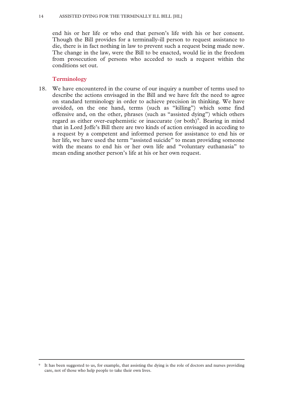end his or her life or who end that person's life with his or her consent. Though the Bill provides for a terminally-ill person to request assistance to die, there is in fact nothing in law to prevent such a request being made now. The change in the law, were the Bill to be enacted, would lie in the freedom from prosecution of persons who acceded to such a request within the conditions set out.

#### **Terminology**

18. We have encountered in the course of our inquiry a number of terms used to describe the actions envisaged in the Bill and we have felt the need to agree on standard terminology in order to achieve precision in thinking. We have avoided, on the one hand, terms (such as "killing") which some find offensive and, on the other, phrases (such as "assisted dying") which others regard as either over-euphemistic or inaccurate (or both)<sup>9</sup>. Bearing in mind that in Lord Joffe's Bill there are two kinds of action envisaged in acceding to a request by a competent and informed person for assistance to end his or her life, we have used the term "assisted suicide" to mean providing someone with the means to end his or her own life and "voluntary euthanasia" to mean ending another person's life at his or her own request.

 <sup>9</sup> It has been suggested to us, for example, that assisting the dying is the role of doctors and nurses providing care, not of those who help people to take their own lives.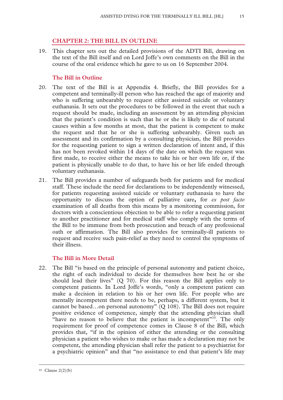#### **CHAPTER 2: THE BILL IN OUTLINE**

19. This chapter sets out the detailed provisions of the ADTI Bill, drawing on the text of the Bill itself and on Lord Joffe's own comments on the Bill in the course of the oral evidence which he gave to us on 16 September 2004.

#### **The Bill in Outline**

- 20. The text of the Bill is at Appendix 4. Briefly, the Bill provides for a competent and terminally-ill person who has reached the age of majority and who is suffering unbearably to request either assisted suicide or voluntary euthanasia. It sets out the procedures to be followed in the event that such a request should be made, including an assessment by an attending physician that the patient's condition is such that he or she is likely to die of natural causes within a few months at most, that the patient is competent to make the request and that he or she is suffering unbearably. Given such an assessment and its confirmation by a consulting physician, the Bill provides for the requesting patient to sign a written declaration of intent and, if this has not been revoked within 14 days of the date on which the request was first made, to receive either the means to take his or her own life or, if the patient is physically unable to do that, to have his or her life ended through voluntary euthanasia.
- 21. The Bill provides a number of safeguards both for patients and for medical staff. These include the need for declarations to be independently witnessed, for patients requesting assisted suicide or voluntary euthanasia to have the opportunity to discuss the option of palliative care**,** for *ex post facto* examination of all deaths from this means by a monitoring commission, for doctors with a conscientious objection to be able to refer a requesting patient to another practitioner and for medical staff who comply with the terms of the Bill to be immune from both prosecution and breach of any professional oath or affirmation. The Bill also provides for terminally-ill patients to request and receive such pain-relief as they need to control the symptoms of their illness.

#### **The Bill in More Detail**

22. The Bill "is based on the principle of personal autonomy and patient choice, the right of each individual to decide for themselves how best he or she should lead their lives" (Q 70). For this reason the Bill applies only to competent patients. In Lord Joffe's words, "only a competent patient can make a decision in relation to his or her own life. For people who are mentally incompetent there needs to be, perhaps, a different system, but it cannot be based…on personal autonomy" (Q 108). The Bill does not require positive evidence of competence, simply that the attending physician shall "have no reason to believe that the patient is incompetent"<sup>10</sup>. The only requirement for proof of competence comes in Clause 8 of the Bill, which provides that, "if in the opinion of either the attending or the consulting physician a patient who wishes to make or has made a declaration may not be competent, the attending physician shall refer the patient to a psychiatrist for a psychiatric opinion" and that "no assistance to end that patient's life may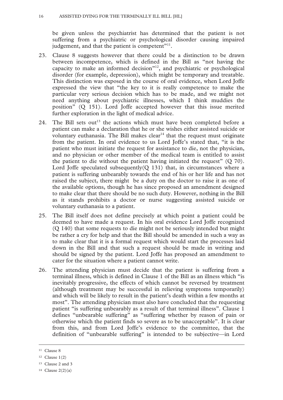be given unless the psychiatrist has determined that the patient is not suffering from a psychiatric or psychological disorder causing impaired judgement, and that the patient is competent"<sup>11</sup>.

- 23. Clause 8 suggests however that there could be a distinction to be drawn between incompetence, which is defined in the Bill as "not having the capacity to make an informed decision"12, and psychiatric or psychological disorder (for example, depression), which might be temporary and treatable. This distinction was exposed in the course of oral evidence, when Lord Joffe expressed the view that "the key to it is really competence to make the particular very serious decision which has to be made, and we might not need anything about psychiatric illnesses, which I think muddies the position" (Q 151). Lord Joffe accepted however that this issue merited further exploration in the light of medical advice.
- 24. The Bill sets out<sup>13</sup> the actions which must have been completed before a patient can make a declaration that he or she wishes either assisted suicide or voluntary euthanasia. The Bill makes  $clear<sup>14</sup>$  that the request must originate from the patient. In oral evidence to us Lord Joffe's stated that, "it is the patient who must initiate the request for assistance to die, not the physician, and no physician or other member of the medical team is entitled to assist the patient to die without the patient having initiated the request" (Q 70). Lord Joffe speculated subsequently  $(Q_1 31)$  that, in circumstances where a patient is suffering unbearably towards the end of his or her life and has not raised the subject, there might be a duty on the doctor to raise it as one of the available options, though he has since proposed an amendment designed to make clear that there should be no such duty. However, nothing in the Bill as it stands prohibits a doctor or nurse suggesting assisted suicide or voluntary euthanasia to a patient.
- 25. The Bill itself does not define precisely at which point a patient could be deemed to have made a request. In his oral evidence Lord Joffe recognized (Q 140) that some requests to die might not be seriously intended but might be rather a cry for help and that the Bill should be amended in such a way as to make clear that it is a formal request which would start the processes laid down in the Bill and that such a request should be made in writing and should be signed by the patient. Lord Joffe has proposed an amendment to cater for the situation where a patient cannot write.
- 26. The attending physician must decide that the patient is suffering from a terminal illness, which is defined in Clause 1 of the Bill as an illness which "is inevitably progressive, the effects of which cannot be reversed by treatment (although treatment may be successful in relieving symptoms temporarily) and which will be likely to result in the patient's death within a few months at most". The attending physician must also have concluded that the requesting patient "is suffering unbearably as a result of that terminal illness". Clause 1 defines "unbearable suffering" as "suffering whether by reason of pain or otherwise which the patient finds so severe as to be unacceptable". It is clear from this, and from Lord Joffe's evidence to the committee, that the definition of "unbearable suffering" is intended to be subjective—in Lord

<sup>&</sup>lt;sup>11</sup> Clause 8

<sup>12</sup> Clause 1(2)

<sup>13</sup> Clause 2 and 3

<sup>&</sup>lt;sup>14</sup> Clause  $2(2)(a)$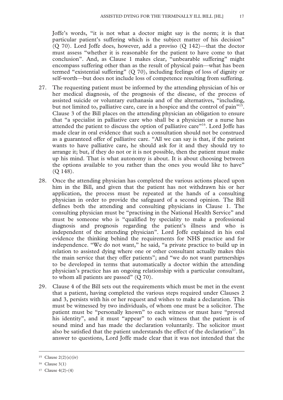Joffe's words, "it is not what a doctor might say is the norm; it is that particular patient's suffering which is the subject matter of his decision" (Q 70). Lord Joffe does, however, add a proviso (Q 142)—that the doctor must assess "whether it is reasonable for the patient to have come to that conclusion". And, as Clause 1 makes clear, "unbearable suffering" might encompass suffering other than as the result of physical pain—what has been termed "existential suffering" (Q 70), including feelings of loss of dignity or self-worth—but does not include loss of competence resulting from suffering.

- 27. The requesting patient must be informed by the attending physician of his or her medical diagnosis, of the prognosis of the disease, of the process of assisted suicide or voluntary euthanasia and of the alternatives, "including, but not limited to, palliative care, care in a hospice and the control of pain<sup> $15$ </sup>. Clause 3 of the Bill places on the attending physician an obligation to ensure that "a specialist in palliative care who shall be a physician or a nurse has attended the patient to discuss the option of palliative care"16. Lord Joffe has made clear in oral evidence that such a consultation should not be construed as a guaranteed offer of palliative care. "All we can say is that, if the patient wants to have palliative care, he should ask for it and they should try to arrange it; but, if they do not or it is not possible, then the patient must make up his mind. That is what autonomy is about. It is about choosing between the options available to you rather than the ones you would like to have" (Q 148).
- 28. Once the attending physician has completed the various actions placed upon him in the Bill, and given that the patient has not withdrawn his or her application, the process must be repeated at the hands of a consulting physician in order to provide the safeguard of a second opinion. The Bill defines both the attending and consulting physicians in Clause 1. The consulting physician must be "practising in the National Health Service" and must be someone who is "qualified by speciality to make a professional diagnosis and prognosis regarding the patient's illness and who is independent of the attending physician". Lord Joffe explained in his oral evidence the thinking behind the requirements for NHS practice and for independence. "We do not want," he said, "a private practice to build up in relation to assisted dying where one or other consultant actually makes this the main service that they offer patients"; and "we do not want partnerships to be developed in terms that automatically a doctor within the attending physician's practice has an ongoing relationship with a particular consultant, to whom all patients are passed" (Q 70).
- 29. Clause 4 of the Bill sets out the requirements which must be met in the event that a patient, having completed the various steps required under Clauses 2 and 3, persists with his or her request and wishes to make a declaration. This must be witnessed by two individuals, of whom one must be a solicitor. The patient must be "personally known" to each witness or must have "proved his identity", and it must "appear" to each witness that the patient is of sound mind and has made the declaration voluntarily. The solicitor must also be satisfied that the patient understands the effect of the declaration<sup>17</sup>. In answer to questions, Lord Joffe made clear that it was not intended that the

<sup>&</sup>lt;sup>15</sup> Clause  $2(2)(e)(iv)$ 

<sup>16</sup> Clause 3(1)

 $17$  Clause 4(2)-(4)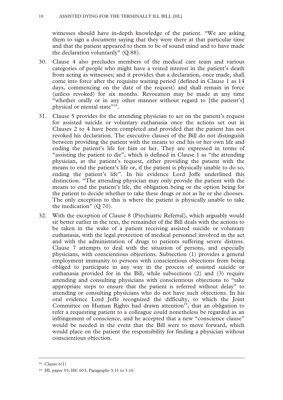witnesses should have in-depth knowledge of the patient. "We are asking them to sign a document saying that they were there at that particular time and that the patient appeared to them to be of sound mind and to have made the declaration voluntarily" (Q 88).

- 30. Clause 4 also precludes members of the medical care team and various categories of people who might have a vested interest in the patient's death from acting as witnesses; and it provides that a declaration, once made, shall come into force after the requisite waiting period (defined in Clause 1 as 14 days, commencing on the date of the request) and shall remain in force (unless revoked) for six months. Revocation may be made at any time "whether orally or in any other manner without regard to [the patient's] physical or mental state"<sup>18</sup>.
- 31. Clause 5 provides for the attending physician to act on the patient's request for assisted suicide or voluntary euthanasia once the actions set out in Clauses 2 to 4 have been completed and provided that the patient has not revoked his declaration. The executive clauses of the Bill do not distinguish between providing the patient with the means to end his or her own life and ending the patient's life for him or her. They are expressed in terms of "assisting the patient to die", which is defined in Clause 1 as "the attending physician, at the patient's request, either providing the patient with the means to end the patient's life or, if the patient is physically unable to do so, ending the patient's life". In his evidence Lord Joffe underlined this distinction. "The attending physician may only provide the patient with the means to end the patient's life, the obligation being or the option being for the patient to decide whether to take these drugs or not as he or she chooses. The only exception to this is where the patient is physically unable to take the medication" (Q 70).
- 32. With the exception of Clause 8 (Psychiatric Referral), which arguably would sit better earlier in the text, the remainder of the Bill deals with the actions to be taken in the wake of a patient receiving assisted suicide or voluntary euthanasia, with the legal protection of medical personnel involved in the act and with the administration of drugs to patients suffering severe distress. Clause 7 attempts to deal with the situation of persons, and especially physicians, with conscientious objections. Subsection (1) provides a general employment immunity to persons with conscientious objections from being obliged to participate in any way in the process of assisted suicide or euthanasia provided for in the Bill, while subsections (2) and (3) require attending and consulting physicians with conscientious objections to "take appropriate steps to ensure that the patient is referred without delay" to attending or consulting physicians who do not have such objections. In his oral evidence Lord Joffe recognized the difficulty, to which the Joint Committee on Human Rights had drawn attention<sup>19</sup>, that an obligation to refer a requesting patient to a colleague could nonetheless be regarded as an infringement of conscience, and he accepted that a new "conscience clause" would be needed in the event that the Bill were to move forward, which would place on the patient the responsibility for finding a physician without conscientious objection.

 <sup>18</sup> Clause 6(1)

<sup>19</sup> HL paper 93, HC 603, Paragraphs 3.11 to 3.16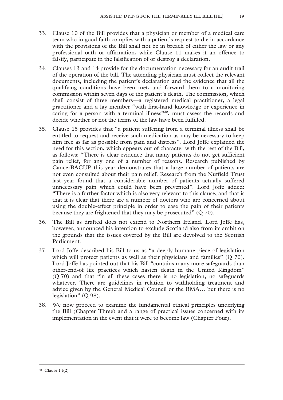- 33. Clause 10 of the Bill provides that a physician or member of a medical care team who in good faith complies with a patient's request to die in accordance with the provisions of the Bill shall not be in breach of either the law or any professional oath or affirmation, while Clause 11 makes it an offence to falsify, participate in the falsification of or destroy a declaration.
- 34. Clauses 13 and 14 provide for the documentation necessary for an audit trail of the operation of the bill. The attending physician must collect the relevant documents, including the patient's declaration and the evidence that all the qualifying conditions have been met, and forward them to a monitoring commission within seven days of the patient's death. The commission, which shall consist of three members—a registered medical practitioner, a legal practitioner and a lay member "with first-hand knowledge or experience in caring for a person with a terminal illness<sup>"20</sup>, must assess the records and decide whether or not the terms of the law have been fulfilled.
- 35. Clause 15 provides that "a patient suffering from a terminal illness shall be entitled to request and receive such medication as may be necessary to keep him free as far as possible from pain and distress". Lord Joffe explained the need for this section, which appears out of character with the rest of the Bill, as follows: "There is clear evidence that many patients do not get sufficient pain relief, for any one of a number of reasons. Research published by CancerBACUP this year demonstrates that a large number of patients are not even consulted about their pain relief. Research from the Nuffield Trust last year found that a considerable number of patients actually suffered unnecessary pain which could have been prevented". Lord Joffe added: "There is a further factor which is also very relevant to this clause, and that is that it is clear that there are a number of doctors who are concerned about using the double-effect principle in order to ease the pain of their patients because they are frightened that they may be prosecuted" (Q 70).
- 36. The Bill as drafted does not extend to Northern Ireland. Lord Joffe has, however, announced his intention to exclude Scotland also from its ambit on the grounds that the issues covered by the Bill are devolved to the Scottish Parliament.
- 37. Lord Joffe described his Bill to us as "a deeply humane piece of legislation which will protect patients as well as their physicians and families" (Q 70). Lord Joffe has pointed out that his Bill "contains many more safeguards than other-end-of life practices which hasten death in the United Kingdom" (Q 70) and that "in all these cases there is no legislation, no safeguards whatever. There are guidelines in relation to withholding treatment and advice given by the General Medical Council or the BMA… but there is no legislation" (Q 98).
- 38. We now proceed to examine the fundamental ethical principles underlying the Bill (Chapter Three) and a range of practical issues concerned with its implementation in the event that it were to become law (Chapter Four).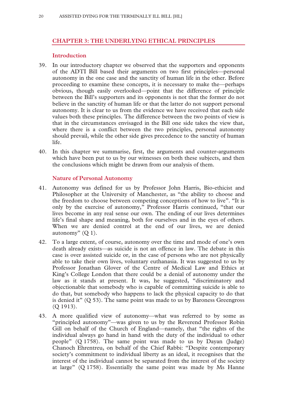#### **CHAPTER 3: THE UNDERLYING ETHICAL PRINCIPLES**

#### **Introduction**

- 39. In our introductory chapter we observed that the supporters and opponents of the ADTI Bill based their arguments on two first principles—personal autonomy in the one case and the sanctity of human life in the other. Before proceeding to examine these concepts, it is necessary to make the—perhaps obvious, though easily overlooked—point that the difference of principle between the Bill's supporters and its opponents is not that the former do not believe in the sanctity of human life or that the latter do not support personal autonomy. It is clear to us from the evidence we have received that each side values both these principles. The difference between the two points of view is that in the circumstances envisaged in the Bill one side takes the view that, where there is a conflict between the two principles, personal autonomy should prevail, while the other side gives precedence to the sanctity of human life.
- 40. In this chapter we summarise, first, the arguments and counter-arguments which have been put to us by our witnesses on both these subjects, and then the conclusions which might be drawn from our analysis of them.

#### **Nature of Personal Autonomy**

- 41. Autonomy was defined for us by Professor John Harris, Bio-ethicist and Philosopher at the University of Manchester, as "the ability to choose and the freedom to choose between competing conceptions of how to live". "It is only by the exercise of autonomy," Professor Harris continued, "that our lives become in any real sense our own. The ending of our lives determines life's final shape and meaning, both for ourselves and in the eyes of others. When we are denied control at the end of our lives, we are denied autonomy"  $(Q_1)$ .
- 42. To a large extent, of course, autonomy over the time and mode of one's own death already exists—as suicide is not an offence in law. The debate in this case is over assisted suicide or, in the case of persons who are not physically able to take their own lives, voluntary euthanasia. It was suggested to us by Professor Jonathan Glover of the Centre of Medical Law and Ethics at King's College London that there could be a denial of autonomy under the law as it stands at present. It was, he suggested, "discriminatory and objectionable that somebody who is capable of committing suicide is able to do that, but somebody who happens to lack the physical capacity to do that is denied it" (Q 53). The same point was made to us by Baroness Greengross (Q 1913).
- 43. A more qualified view of autonomy—what was referred to by some as "principled autonomy"—was given to us by the Reverend Professor Robin Gill on behalf of the Church of England—namely, that "the rights of the individual always go hand in hand with the duty of the individual to other people" (Q 1758). The same point was made to us by Dayan (Judge) Chanoch Ehrentreu, on behalf of the Chief Rabbi: "Despite contemporary society's commitment to individual liberty as an ideal, it recognises that the interest of the individual cannot be separated from the interest of the society at large" (Q 1758). Essentially the same point was made by Ms Hanne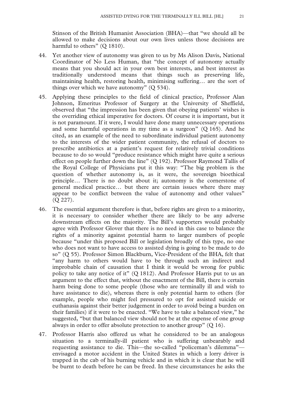Stinson of the British Humanist Association (BHA)—that "we should all be allowed to make decisions about our own lives unless those decisions are harmful to others" (Q 1810).

- 44. Yet another view of autonomy was given to us by Ms Alison Davis, National Coordinator of No Less Human, that "the concept of autonomy actually means that you should act in your own best interests, and best interest as traditionally understood means that things such as preserving life, maintaining health, restoring health, minimising suffering… are the sort of things over which we have autonomy" (Q 534).
- 45. Applying these principles to the field of clinical practice, Professor Alan Johnson, Emeritus Professor of Surgery at the University of Sheffield, observed that "the impression has been given that obeying patients' wishes is the overriding ethical imperative for doctors. Of course it is important, but it is not paramount. If it were, I would have done many unnecessary operations and some harmful operations in my time as a surgeon" (Q 165). And he cited, as an example of the need to subordinate individual patient autonomy to the interests of the wider patient community, the refusal of doctors to prescribe antibiotics at a patient's request for relatively trivial conditions because to do so would "produce resistance which might have quite a serious effect on people further down the line" (Q 192). Professor Raymond Tallis of the Royal College of Physicians put it this way: "The big problem is the question of whether autonomy is, as it were, the sovereign bioethical principle… There is no doubt about it; autonomy is the cornerstone of general medical practice… but there are certain issues where there may appear to be conflict between the value of autonomy and other values" (Q 227).
- 46. The essential argument therefore is that, before rights are given to a minority, it is necessary to consider whether there are likely to be any adverse downstream effects on the majority. The Bill's supporters would probably agree with Professor Glover that there is no need in this case to balance the rights of a minority against potential harm to larger numbers of people because "under this proposed Bill or legislation broadly of this type, no one who does not want to have access to assisted dying is going to be made to do so" (Q 55). Professor Simon Blackburn, Vice-President of the BHA, felt that "any harm to others would have to be through such an indirect and improbable chain of causation that I think it would be wrong for public policy to take any notice of it" (Q 1812). And Professor Harris put to us an argument to the effect that, without the enactment of the Bill, there is certain harm being done to some people (those who are terminally ill and wish to have assistance to die), whereas there is only potential harm to others (for example, people who might feel pressured to opt for assisted suicide or euthanasia against their better judgement in order to avoid being a burden on their families) if it were to be enacted. "We have to take a balanced view," he suggested, "but that balanced view should not be at the expense of one group always in order to offer absolute protection to another group" (Q 16).
- 47. Professor Harris also offered us what he considered to be an analogous situation to a terminally-ill patient who is suffering unbearably and requesting assistance to die. This—the so-called "policeman's dilemma" envisaged a motor accident in the United States in which a lorry driver is trapped in the cab of his burning vehicle and in which it is clear that he will be burnt to death before he can be freed. In these circumstances he asks the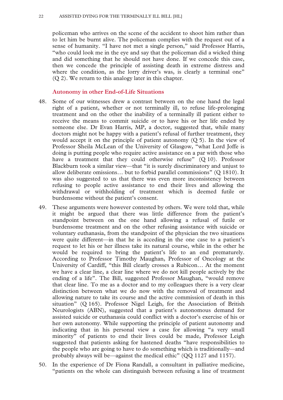policeman who arrives on the scene of the accident to shoot him rather than to let him be burnt alive. The policeman complies with the request out of a sense of humanity. "I have not met a single person," said Professor Harris, "who could look me in the eye and say that the policeman did a wicked thing and did something that he should not have done. If we concede this case, then we concede the principle of assisting death in extreme distress and where the condition, as the lorry driver's was, is clearly a terminal one" (Q 2). We return to this analogy later in this chapter.

#### **Autonomy in other End-of-Life Situations**

- 48. Some of our witnesses drew a contrast between on the one hand the legal right of a patient, whether or not terminally ill, to refuse life-prolonging treatment and on the other the inability of a terminally ill patient either to receive the means to commit suicide or to have his or her life ended by someone else. Dr Evan Harris, MP, a doctor, suggested that, while many doctors might not be happy with a patient's refusal of further treatment, they would accept it on the principle of patient autonomy  $(Q_5)$ . In the view of Professor Sheila McLean of the University of Glasgow, "what Lord Joffe is doing is putting people who require active assistance on a par with those who have a treatment that they could otherwise refuse" (Q 10). Professor Blackburn took a similar view—that "it is surely discriminatory and unjust to allow deliberate omissions… but to forbid parallel commissions" (Q 1810). It was also suggested to us that there was even more inconsistency between refusing to people active assistance to end their lives and allowing the withdrawal or withholding of treatment which is deemed futile or burdensome without the patient's consent.
- 49. These arguments were however contested by others. We were told that, while it might be argued that there was little difference from the patient's standpoint between on the one hand allowing a refusal of futile or burdensome treatment and on the other refusing assistance with suicide or voluntary euthanasia, from the standpoint of the physician the two situations were quite different—in that he is acceding in the one case to a patient's request to let his or her illness take its natural course, while in the other he would be required to bring the patient's life to an end prematurely. According to Professor Timothy Maughan, Professor of Oncology at the University of Cardiff, "this Bill clearly crosses a Rubicon… At the moment we have a clear line, a clear line where we do not kill people actively by the ending of a life". The Bill, suggested Professor Maughan, "would remove that clear line. To me as a doctor and to my colleagues there is a very clear distinction between what we do now with the removal of treatment and allowing nature to take its course and the active commission of death in this situation" (Q 165). Professor Nigel Leigh, for the Association of British Neurologists (ABN), suggested that a patient's autonomous demand for assisted suicide or euthanasia could conflict with a doctor's exercise of his or her own autonomy. While supporting the principle of patient autonomy and indicating that in his personal view a case for allowing "a very small minority" of patients to end their lives could be made, Professor Leigh suggested that patients asking for hastened deaths "have responsibilities to the people who are going to have to do something which is traditionally—and probably always will be—against the medical ethic" (QQ 1127 and 1157).
- 50. In the experience of Dr Fiona Randall, a consultant in palliative medicine, "patients on the whole can distinguish between refusing a line of treatment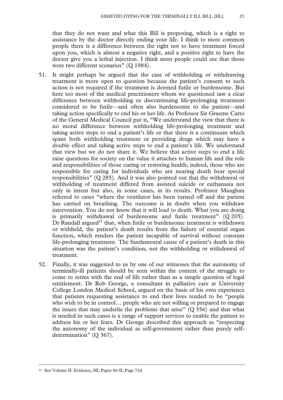that they do not want and what this Bill is proposing, which is a right to assistance by the doctor directly ending your life. I think to most common people there is a difference between the right not to have treatment forced upon you, which is almost a negative right, and a positive right to have the doctor give you a lethal injection. I think most people could see that those were two different scenarios" (O 1984).

- 51. It might perhaps be argued that the case of withholding or withdrawing treatment is more open to question because the patient's consent to such action is not required if the treatment is deemed futile or burdensome. But here too most of the medical practitioners whom we questioned saw a clear difference between withholding or discontinuing life-prolonging treatment considered to be futile—and often also burdensome to the patient—and taking action specifically to end his or her life. As Professor Sir Graeme Catto of the General Medical Council put it, "We understand the view that there is no moral difference between withholding life-prolonging treatment and taking active steps to end a patient's life or that there is a continuum which spans both withholding treatment or providing drugs which may have a double effect and taking active steps to end a patient's life. We understand that view but we do not share it. We believe that active steps to end a life raise questions for society on the value it attaches to human life and the role and responsibilities of those curing or restoring health; indeed, those who are responsible for caring for individuals who are nearing death bear special responsibilities" (Q 285). And it was also pointed out that the withdrawal or withholding of treatment differed from assisted suicide or euthanasia not only in intent but also, in some cases, in its results. Professor Maughan referred to cases "where the ventilator has been turned off and the patient has carried on breathing. The outcome is in doubt when you withdraw intervention. You do not know that it will lead to death. What you are doing is primarily withdrawal of burdensome and futile treatment" (Q 205). Dr Randall argued<sup>21</sup> that, when futile or burdensome treatment is withdrawn or withheld, the patient's death results from the failure of essential organ function, which renders the patient incapable of survival without constant life-prolonging treatment. The fundamental cause of a patient's death in this situation was the patient's condition, not the withholding or withdrawal of treatment.
- 52. Finally, it was suggested to us by one of our witnesses that the autonomy of terminally-ill patients should be seen within the context of the struggle to come to terms with the end of life rather than as a simple question of legal entitlement. Dr Rob George, a consultant in palliative care at University College London Medical School, argued on the basis of his own experience that patients requesting assistance to end their lives tended to be "people who wish to be in control… people who are not willing or prepared to engage the issues that may underlie the problems that arise"  $(Q 356)$  and that what is needed in such cases is a range of support services to enable the patient to address his or her fears. Dr George described this approach as "respecting the autonomy of the individual as self-government rather than purely selfdetermination" (Q 367).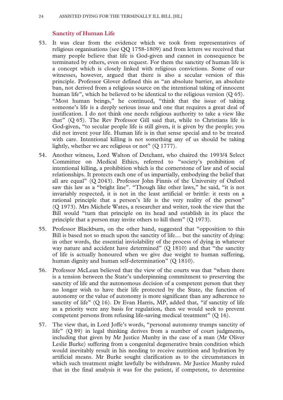#### **Sanctity of Human Life**

- 53. It was clear from the evidence which we took from representatives of religious organisations (see QQ 1758-1809) and from letters we received that many people believe that life is God-given and cannot in consequence be terminated by others, even on request. For them the sanctity of human life is a concept which is closely linked with religious convictions. Some of our witnesses, however, argued that there is also a secular version of this principle. Professor Glover defined this as "an absolute barrier, an absolute ban, not derived from a religious source on the intentional taking of innocent human life", which he believed to be identical to the religious version (Q 65). "Most human beings," he continued, "think that the issue of taking someone's life is a deeply serious issue and one that requires a great deal of justification. I do not think one needs religious authority to take a view like that" (Q 65). The Rev Professor Gill said that, while to Christians life is God-given, "to secular people life is still given, it is given by the people; you did not invent your life. Human life is in that sense special and to be treated with care. Intentional killing is not something any of us should be taking lightly, whether we are religious or not" (Q 1777).
- 54. Another witness, Lord Walton of Detchant, who chaired the 1993/4 Select Committee on Medical Ethics, referred to "society's prohibition of intentional killing, a prohibition which is the cornerstone of law and of social relationships. It protects each one of us impartially, embodying the belief that all are equal" (Q 2043). Professor John Finnis of the University of Oxford saw this law as a "bright line". "Though like other laws," he said, "it is not invariably respected, it is not in the least artificial or brittle: it rests on a rational principle that a person's life is the very reality of the person" (Q 1973). Mrs Michele Wates, a researcher and writer, took the view that the Bill would "turn that principle on its head and establish in its place the principle that a person may invite others to kill them" (Q 1973).
- 55. Professor Blackburn, on the other hand, suggested that "opposition to this Bill is based not so much upon the sanctity of life… but the sanctity of dying: in other words, the essential inviolability of the process of dying in whatever way nature and accident have determined" (Q 1810) and that "the sanctity of life is actually honoured when we give due weight to human suffering, human dignity and human self-determination" (Q 1810).
- 56. Professor McLean believed that the view of the courts was that "when there is a tension between the State's underpinning commitment to preserving the sanctity of life and the autonomous decision of a competent person that they no longer wish to have their life protected by the State, the function of autonomy or the value of autonomy is more significant than any adherence to sanctity of life" (Q 16). Dr Evan Harris, MP, added that, "if sanctity of life as a priority were any basis for regulation, then we would seek to prevent competent persons from refusing life-saving medical treatment" (Q 16).
- 57. The view that, in Lord Joffe's words, "personal autonomy trumps sanctity of life" (Q 89) in legal thinking derives from a number of court judgments, including that given by Mr Justice Munby in the case of a man (Mr Oliver Leslie Burke) suffering from a congenital degenerative brain condition which would inevitably result in his needing to receive nutrition and hydration by artificial means. Mr Burke sought clarification as to the circumstances in which such treatment might lawfully be withdrawn. Mr Justice Munby ruled that in the final analysis it was for the patient, if competent, to determine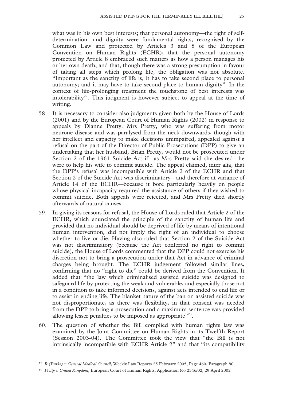what was in his own best interests; that personal autonomy—the right of selfdetermination—and dignity were fundamental rights, recognised by the Common Law and protected by Articles 3 and 8 of the European Convention on Human Rights (ECHR); that the personal autonomy protected by Article 8 embraced such matters as how a person manages his or her own death; and that, though there was a strong presumption in favour of taking all steps which prolong life, the obligation was not absolute. "Important as the sanctity of life is, it has to take second place to personal autonomy; and it may have to take second place to human dignity". In the context of life-prolonging treatment the touchstone of best interests was intolerability<sup>22</sup>. This judgment is however subject to appeal at the time of writing.

- 58. It is necessary to consider also judgments given both by the House of Lords (2001) and by the European Court of Human Rights (2002) in response to appeals by Dianne Pretty. Mrs Pretty, who was suffering from motor neurone disease and was paralysed from the neck downwards, though with her intellect and capacity to make decisions unimpaired, appealed against a refusal on the part of the Director of Public Prosecutions (DPP) to give an undertaking that her husband, Brian Pretty, would not be prosecuted under Section 2 of the 1961 Suicide Act if—as Mrs Pretty said she desired—he were to help his wife to commit suicide. The appeal claimed, inter alia, that the DPP's refusal was incompatible with Article 2 of the ECHR and that Section 2 of the Suicide Act was discriminatory—and therefore at variance of Article 14 of the ECHR—because it bore particularly heavily on people whose physical incapacity required the assistance of others if they wished to commit suicide. Both appeals were rejected, and Mrs Pretty died shortly afterwards of natural causes.
- 59. In giving its reasons for refusal, the House of Lords ruled that Article 2 of the ECHR, which enunciated the principle of the sanctity of human life and provided that no individual should be deprived of life by means of intentional human intervention, did not imply the right of an individual to choose whether to live or die. Having also ruled that Section 2 of the Suicide Act was not discriminatory (because the Act conferred no right to commit suicide), the House of Lords commented that the DPP could not exercise his discretion not to bring a prosecution under that Act in advance of criminal charges being brought. The ECHR judgement followed similar lines, confirming that no "right to die" could be derived from the Convention. It added that "the law which criminalised assisted suicide was designed to safeguard life by protecting the weak and vulnerable, and especially those not in a condition to take informed decisions, against acts intended to end life or to assist in ending life. The blanket nature of the ban on assisted suicide was not disproportionate, as there was flexibility, in that consent was needed from the DPP to bring a prosecution and a maximum sentence was provided allowing lesser penalties to be imposed as appropriate"<sup>23</sup>.
- 60. The question of whether the Bill complied with human rights law was examined by the Joint Committee on Human Rights in its Twelfth Report (Session 2003-04). The Committee took the view that "the Bill is not intrinsically incompatible with ECHR Article 2" and that "its compatibility

 <sup>22</sup> *R (Burke) v General Medical Council*, Weekly Law Reports 25 February 2005, Page 460, Paragraph 80

**<sup>23</sup>** *Pretty v United Kingdom*, European Court of Human Rights, Application No 2346/02, 29 April 2002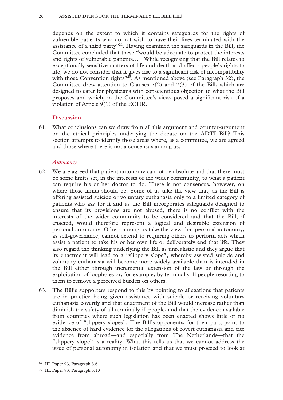depends on the extent to which it contains safeguards for the rights of vulnerable patients who do not wish to have their lives terminated with the assistance of a third party"24. Having examined the safeguards in the Bill, the Committee concluded that these "would be adequate to protect the interests and rights of vulnerable patients… While recognising that the Bill relates to exceptionally sensitive matters of life and death and affects people's rights to life, we do not consider that it gives rise to a significant risk of incompatibility with those Convention rights<sup>"25</sup>. As mentioned above (see Paragraph 32), the Committee drew attention to Clauses 7(2) and 7(3) of the Bill, which are designed to cater for physicians with conscientious objection to what the Bill proposes and which, in the Committee's view, posed a significant risk of a violation of Article 9(1) of the ECHR.

#### **Discussion**

61. What conclusions can we draw from all this argument and counter-argument on the ethical principles underlying the debate on the ADTI Bill? This section attempts to identify those areas where, as a committee, we are agreed and those where there is not a consensus among us.

#### *Autonomy*

- 62. We are agreed that patient autonomy cannot be absolute and that there must be some limits set, in the interests of the wider community, to what a patient can require his or her doctor to do. There is not consensus, however, on where those limits should be. Some of us take the view that, as the Bill is offering assisted suicide or voluntary euthanasia only to a limited category of patients who ask for it and as the Bill incorporates safeguards designed to ensure that its provisions are not abused, there is no conflict with the interests of the wider community to be considered and that the Bill, if enacted, would therefore represent a logical and desirable extension of personal autonomy. Others among us take the view that personal autonomy, as self-governance, cannot extend to requiring others to perform acts which assist a patient to take his or her own life or deliberately end that life. They also regard the thinking underlying the Bill as unrealistic and they argue that its enactment will lead to a "slippery slope", whereby assisted suicide and voluntary euthanasia will become more widely available than is intended in the Bill either through incremental extension of the law or through the exploitation of loopholes or, for example, by terminally ill people resorting to them to remove a perceived burden on others.
- 63. The Bill's supporters respond to this by pointing to allegations that patients are in practice being given assistance with suicide or receiving voluntary euthanasia covertly and that enactment of the Bill would increase rather than diminish the safety of all terminally-ill people, and that the evidence available from countries where such legislation has been enacted shows little or no evidence of "slippery slopes". The Bill's opponents, for their part, point to the absence of hard evidence for the allegations of covert euthanasia and cite evidence from abroad—and especially from The Netherlands—that the "slippery slope" is a reality. What this tells us that we cannot address the issue of personal autonomy in isolation and that we must proceed to look at

 <sup>24</sup> HL Paper 93, Paragraph 3.6

<sup>25</sup> HL Paper 93, Paragraph 3.10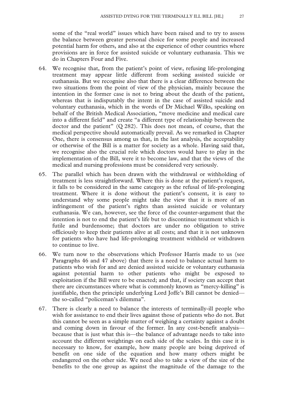some of the "real world" issues which have been raised and to try to assess the balance between greater personal choice for some people and increased potential harm for others, and also at the experience of other countries where provisions are in force for assisted suicide or voluntary euthanasia. This we do in Chapters Four and Five.

- 64. We recognise that, from the patient's point of view, refusing life-prolonging treatment may appear little different from seeking assisted suicide or euthanasia. But we recognise also that there is a clear difference between the two situations from the point of view of the physician, mainly because the intention in the former case is not to bring about the death of the patient, whereas that is indisputably the intent in the case of assisted suicide and voluntary euthanasia, which in the words of Dr Michael Wilks, speaking on behalf of the British Medical Association, "move medicine and medical care into a different field" and create "a different type of relationship between the doctor and the patient"  $(Q 282)$ . This does not mean, of course, that the medical perspective should automatically prevail. As we remarked in Chapter One, there is consensus among us that, in the last analysis, the acceptability or otherwise of the Bill is a matter for society as a whole. Having said that, we recognise also the crucial role which doctors would have to play in the implementation of the Bill, were it to become law, and that the views of the medical and nursing professions must be considered very seriously.
- 65. The parallel which has been drawn with the withdrawal or withholding of treatment is less straightforward. Where this is done at the patient's request, it falls to be considered in the same category as the refusal of life-prolonging treatment. Where it is done without the patient's consent, it is easy to understand why some people might take the view that it is more of an infringement of the patient's rights than assisted suicide or voluntary euthanasia. We can, however, see the force of the counter-argument that the intention is not to end the patient's life but to discontinue treatment which is futile and burdensome; that doctors are under no obligation to strive officiously to keep their patients alive at all costs; and that it is not unknown for patients who have had life-prolonging treatment withheld or withdrawn to continue to live.
- 66. We turn now to the observations which Professor Harris made to us (see Paragraphs 46 and 47 above) that there is a need to balance actual harm to patients who wish for and are denied assisted suicide or voluntary euthanasia against potential harm to other patients who might be exposed to exploitation if the Bill were to be enacted; and that, if society can accept that there are circumstances where what is commonly known as "mercy-killing" is justifiable, then the principle underlying Lord Joffe's Bill cannot be denied the so-called "policeman's dilemma".
- 67. There is clearly a need to balance the interests of terminally-ill people who wish for assistance to end their lives against those of patients who do not. But this cannot be seen as a simple matter of weighing a certainty against a doubt and coming down in favour of the former. In any cost-benefit analysis because that is just what this is—the balance of advantage needs to take into account the different weightings on each side of the scales. In this case it is necessary to know, for example, how many people are being deprived of benefit on one side of the equation and how many others might be endangered on the other side. We need also to take a view of the size of the benefits to the one group as against the magnitude of the damage to the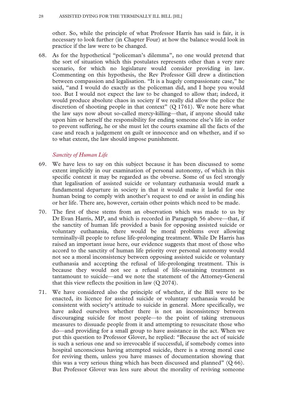other. So, while the principle of what Professor Harris has said is fair, it is necessary to look further (in Chapter Four) at how the balance would look in practice if the law were to be changed.

68. As for the hypothetical "policeman's dilemma", no one would pretend that the sort of situation which this postulates represents other than a very rare scenario, for which no legislature would consider providing in law. Commenting on this hypothesis, the Rev Professor Gill drew a distinction between compassion and legalisation. "It is a hugely compassionate case," he said, "and I would do exactly as the policeman did, and I hope you would too. But I would not expect the law to be changed to allow that; indeed, it would produce absolute chaos in society if we really did allow the police the discretion of shooting people in that context"  $(Q 1761)$ . We note here what the law says now about so-called mercy-killing—that, if anyone should take upon him or herself the responsibility for ending someone else's life in order to prevent suffering, he or she must let the courts examine all the facts of the case and reach a judgement on guilt or innocence and on whether, and if so to what extent, the law should impose punishment.

#### *Sanctity of Human Life*

- 69. We have less to say on this subject because it has been discussed to some extent implicitly in our examination of personal autonomy, of which in this specific context it may be regarded as the obverse. Some of us feel strongly that legalisation of assisted suicide or voluntary euthanasia would mark a fundamental departure in society in that it would make it lawful for one human being to comply with another's request to end or assist in ending his or her life. There are, however, certain other points which need to be made.
- 70. The first of these stems from an observation which was made to us by Dr Evan Harris, MP, and which is recorded in Paragraph 56 above—that, if the sanctity of human life provided a basis for opposing assisted suicide or voluntary euthanasia, there would be moral problems over allowing terminally-ill people to refuse life-prolonging treatment. While Dr Harris has raised an important issue here, our evidence suggests that most of those who accord to the sanctity of human life priority over personal autonomy would not see a moral inconsistency between opposing assisted suicide or voluntary euthanasia and accepting the refusal of life-prolonging treatment. This is because they would not see a refusal of life-sustaining treatment as tantamount to suicide—and we note the statement of the Attorney-General that this view reflects the position in law  $(Q 2074)$ .
- 71. We have considered also the principle of whether, if the Bill were to be enacted, its licence for assisted suicide or voluntary euthanasia would be consistent with society's attitude to suicide in general. More specifically, we have asked ourselves whether there is not an inconsistency between discouraging suicide for most people—to the point of taking strenuous measures to dissuade people from it and attempting to resuscitate those who do—and providing for a small group to have assistance in the act. When we put this question to Professor Glover, he replied: "Because the act of suicide is such a serious one and so irrevocable if successful, if somebody comes into hospital unconscious having attempted suicide, there is a strong moral case for reviving them, unless you have masses of documentation showing that this was a very serious thing which has been discussed and planned" (Q 66). But Professor Glover was less sure about the morality of reviving someone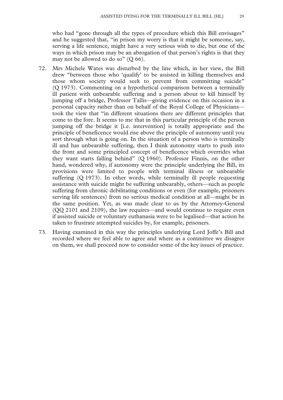who had "gone through all the types of procedure which this Bill envisages" and he suggested that, "in prison my worry is that it might be someone, say, serving a life sentence, might have a very serious wish to die, but one of the ways in which prison may be an abrogation of that person's rights is that they may not be allowed to do so" (Q 66).

- 72. Mrs Michele Wates was disturbed by the line which, in her view, the Bill drew "between those who 'qualify' to be assisted in killing themselves and those whom society would seek to prevent from committing suicide" (Q 1973). Commenting on a hypothetical comparison between a terminally ill patient with unbearable suffering and a person about to kill himself by jumping off a bridge, Professor Tallis—giving evidence on this occasion in a personal capacity rather than on behalf of the Royal College of Physicians took the view that "in different situations there are different principles that come to the fore. It seems to me that in this particular principle of the person jumping off the bridge it [i.e. intervention] is totally appropriate and the principle of beneficence would rise above the principle of autonomy until you sort through what is going on. In the situation of a person who is terminally ill and has unbearable suffering, then I think autonomy starts to push into the front and some principled concept of beneficence which overrides what they want starts falling behind" (Q 1960). Professor Finnis, on the other hand, wondered why, if autonomy were the principle underlying the Bill, its provisions were limited to people with terminal illness or unbearable suffering (Q 1973). In other words, while terminally ill people requesting assistance with suicide might be suffering unbearably, others—such as people suffering from chronic debilitating conditions or even (for example, prisoners serving life sentences) from no serious medical condition at all—might be in the same position. Yet, as was made clear to us by the Attorney-General (QQ 2101 and 2109), the law requires—and would continue to require even if assisted suicide or voluntary euthanasia were to be legalised—that action be taken to frustrate attempted suicides by, for example, prisoners.
- 73. Having examined in this way the principles underlying Lord Joffe's Bill and recorded where we feel able to agree and where as a committee we disagree on them, we shall proceed now to consider some of the key issues of practice.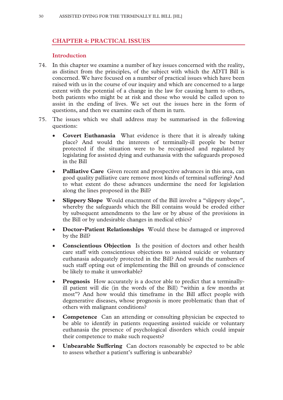#### **CHAPTER 4: PRACTICAL ISSUES**

#### **Introduction**

- 74. In this chapter we examine a number of key issues concerned with the reality, as distinct from the principles, of the subject with which the ADTI Bill is concerned. We have focused on a number of practical issues which have been raised with us in the course of our inquiry and which are concerned to a large extent with the potential of a change in the law for causing harm to others, both patients who might be at risk and those who would be called upon to assist in the ending of lives. We set out the issues here in the form of questions, and then we examine each of them in turn.
- 75. The issues which we shall address may be summarised in the following questions:
	- **Covert Euthanasia** What evidence is there that it is already taking place? And would the interests of terminally-ill people be better protected if the situation were to be recognised and regulated by legislating for assisted dying and euthanasia with the safeguards proposed in the Bill
	- **Palliative Care** Given recent and prospective advances in this area, can good quality palliative care remove most kinds of terminal suffering? And to what extent do these advances undermine the need for legislation along the lines proposed in the Bill?
	- **Slippery Slope** Would enactment of the Bill involve a "slippery slope", whereby the safeguards which the Bill contains would be eroded either by subsequent amendments to the law or by abuse of the provisions in the Bill or by undesirable changes in medical ethics?
	- **Doctor-Patient Relationships** Would these be damaged or improved by the Bill?
	- **Conscientious Objection** Is the position of doctors and other health care staff with conscientious objections to assisted suicide or voluntary euthanasia adequately protected in the Bill? And would the numbers of such staff opting out of implementing the Bill on grounds of conscience be likely to make it unworkable?
	- **Prognosis** How accurately is a doctor able to predict that a terminallyill patient will die (in the words of the Bill) "within a few months at most"? And how would this timeframe in the Bill affect people with degenerative diseases, whose prognosis is more problematic than that of others with malignant conditions?
	- **Competence** Can an attending or consulting physician be expected to be able to identify in patients requesting assisted suicide or voluntary euthanasia the presence of psychological disorders which could impair their competence to make such requests?
	- **Unbearable Suffering** Can doctors reasonably be expected to be able to assess whether a patient's suffering is unbearable?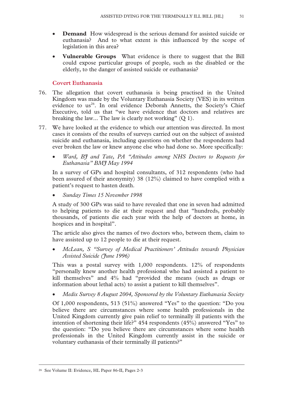- **Demand** How widespread is the serious demand for assisted suicide or euthanasia? And to what extent is this influenced by the scope of legislation in this area?
- **Vulnerable Groups** What evidence is there to suggest that the Bill could expose particular groups of people, such as the disabled or the elderly, to the danger of assisted suicide or euthanasia?

#### **Covert Euthanasia**

- 76. The allegation that covert euthanasia is being practised in the United Kingdom was made by the Voluntary Euthanasia Society (VES) in its written evidence to us<sup>26</sup>. In oral evidence Deborah Annetts, the Society's Chief Executive, told us that "we have evidence that doctors and relatives are breaking the law... The law is clearly not working" (Q 1).
- 77. We have looked at the evidence to which our attention was directed. In most cases it consists of the results of surveys carried out on the subject of assisted suicide and euthanasia, including questions on whether the respondents had ever broken the law or knew anyone else who had done so. More specifically:
	- *Ward, BJ and Tate, PA "Attitudes among NHS Doctors to Requests for Euthanasia" BMJ May 1994*

In a survey of GPs and hospital consultants, of 312 respondents (who had been assured of their anonymity) 38 (12%) claimed to have complied with a patient's request to hasten death.

• *Sunday Times 15 November 1998* 

A study of 300 GPs was said to have revealed that one in seven had admitted to helping patients to die at their request and that "hundreds, probably thousands, of patients die each year with the help of doctors at home, in hospices and in hospital".

The article also gives the names of two doctors who, between them, claim to have assisted up to 12 people to die at their request.

• *McLean, S "Survey of Medical Practitioners' Attitudes towards Physician*  Assisted Suicide (*Hune 1996*)

This was a postal survey with 1,000 respondents. 12% of respondents "personally knew another health professional who had assisted a patient to kill themselves" and 4% had "provided the means (such as drugs or information about lethal acts) to assist a patient to kill themselves".

• *Medix Survey 8 August 2004, Sponsored by the Voluntary Euthanasia Society* 

Of 1,000 respondents, 513 (51%) answered "Yes" to the question: "Do you believe there are circumstances where some health professionals in the United Kingdom currently give pain relief to terminally ill patients with the intention of shortening their life?" 454 respondents (45%) answered "Yes" to the question: "Do you believe there are circumstances where some health professionals in the United Kingdom currently assist in the suicide or voluntary euthanasia of their terminally ill patients?"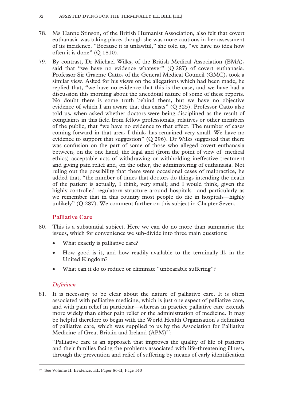- 78. Ms Hanne Stinson, of the British Humanist Association, also felt that covert euthanasia was taking place, though she was more cautious in her assessment of its incidence. "Because it is unlawful," she told us, "we have no idea how often it is done" (Q 1810).
- 79. By contrast, Dr Michael Wilks, of the British Medical Association (BMA), said that "we have no evidence whatever" (Q 287) of covert euthanasia. Professor Sir Graeme Catto, of the General Medical Council (GMC), took a similar view. Asked for his views on the allegations which had been made, he replied that, "we have no evidence that this is the case, and we have had a discussion this morning about the anecdotal nature of some of these reports. No doubt there is some truth behind them, but we have no objective evidence of which I am aware that this exists" (Q 325). Professor Catto also told us, when asked whether doctors were being disciplined as the result of complaints in this field from fellow professionals, relatives or other members of the public, that "we have no evidence to that effect. The number of cases coming forward in that area, I think, has remained very small. We have no evidence to support that suggestion"  $(Q 296)$ . Dr Wilks suggested that there was confusion on the part of some of those who alleged covert euthanasia between, on the one hand, the legal and (from the point of view of medical ethics) acceptable acts of withdrawing or withholding ineffective treatment and giving pain relief and, on the other, the administering of euthanasia. Not ruling out the possibility that there were occasional cases of malpractice, he added that, "the number of times that doctors do things intending the death of the patient is actually, I think, very small; and I would think, given the highly-controlled regulatory structure around hospitals—and particularly as we remember that in this country most people do die in hospitals—highly unlikely" (Q 287). We comment further on this subject in Chapter Seven.

#### **Palliative Care**

- 80. This is a substantial subject. Here we can do no more than summarise the issues, which for convenience we sub-divide into three main questions:
	- What exactly is palliative care?
	- How good is it, and how readily available to the terminally-ill, in the United Kingdom?
	- What can it do to reduce or eliminate "unbearable suffering"?

#### *Definition*

81. It is necessary to be clear about the nature of palliative care. It is often associated with palliative medicine, which is just one aspect of palliative care, and with pain relief in particular—whereas in practice palliative care extends more widely than either pain relief or the administration of medicine. It may be helpful therefore to begin with the World Health Organisation's definition of palliative care, which was supplied to us by the Association for Palliative Medicine of Great Britain and Ireland  $(APM)^{27}$ :

"Palliative care is an approach that improves the quality of life of patients and their families facing the problems associated with life-threatening illness, through the prevention and relief of suffering by means of early identification

 <sup>27</sup> See Volume II: Evidence, HL Paper 86-II, Page 140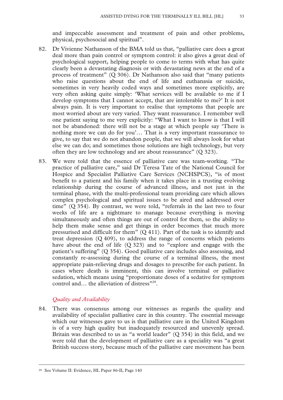and impeccable assessment and treatment of pain and other problems, physical, psychosocial and spiritual".

- 82. Dr Vivienne Nathanson of the BMA told us that, "palliative care does a great deal more than pain control or symptom control: it also gives a great deal of psychological support, helping people to come to terms with what has quite clearly been a devastating diagnosis or with devastating news at the end of a process of treatment" (Q 306). Dr Nathanson also said that "many patients who raise questions about the end of life and euthanasia or suicide, sometimes in very heavily coded ways and sometimes more explicitly, are very often asking quite simply: 'What services will be available to me if I develop symptoms that I cannot accept, that are intolerable to me?' It is not always pain. It is very important to realise that symptoms that people are most worried about are very varied. They want reassurance. I remember well one patient saying to me very explicitly: "What I want to know is that I will not be abandoned: there will not be a stage at which people say 'There is nothing more we can do for you'… That is a very important reassurance to give, to say that we do not abandon people, that we will always look for what else we can do; and sometimes those solutions are high technology, but very often they are low technology and are about reassurance" (Q 323).
- 83. We were told that the essence of palliative care was team-working. "The practice of palliative care," said Dr Teresa Tate of the National Council for Hospice and Specialist Palliative Care Services (NCHSPCS), "is of most benefit to a patient and his family when it takes place in a trusting evolving relationship during the course of advanced illness, and not just in the terminal phase, with the multi-professional team providing care which allows complex psychological and spiritual issues to be aired and addressed over time" (Q 354). By contrast, we were told, "referrals in the last two to four weeks of life are a nightmare to manage because everything is moving simultaneously and often things are out of control for them, so the ability to help them make sense and get things in order becomes that much more pressurised and difficult for them" (Q 411). Part of the task is to identify and treat depression (Q 409), to address the range of concerns which patients have about the end of life (Q 323) and to "explore and engage with the patient's suffering" (Q 354). Good palliative care includes also assessing, and constantly re-assessing during the course of a terminal illness, the most appropriate pain-relieving drugs and dosages to prescribe for each patient. In cases where death is imminent, this can involve terminal or palliative sedation, which means using "proportionate doses of a sedative for symptom control and... the alleviation of distress"<sup>28</sup>.

#### *Quality and Availability*

84. There was consensus among our witnesses as regards the quality and availability of specialist palliative care in this country. The essential message which our witnesses gave to us is that palliative care in the United Kingdom is of a very high quality but inadequately resourced and unevenly spread. Britain was described to us as "a world leader" (Q 354) in this field, and we were told that the development of palliative care as a speciality was "a great British success story, because much of the palliative care movement has been

 <sup>28</sup> See Volume II: Evidence, HL Paper 86-II, Page 140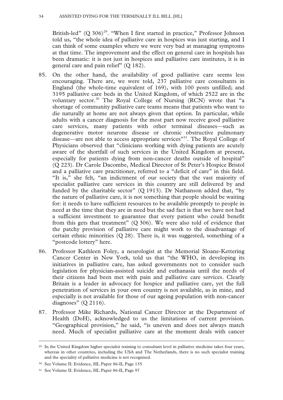British-led"  $(Q 306)^{29}$ . "When I first started in practice," Professor Johnson told us, "the whole idea of palliative care in hospices was just starting, and I can think of some examples where we were very bad at managing symptoms at that time. The improvement and the effect on general care in hospitals has been dramatic: it is not just in hospices and palliative care institutes, it is in general care and pain relief" (Q 182).

- 85. On the other hand, the availability of good palliative care seems less encouraging. There are, we were told, 237 palliative care consultants in England (the whole-time equivalent of 169), with 100 posts unfilled; and 3195 palliative care beds in the United Kingdom, of which 2522 are in the voluntary sector.<sup>30</sup> The Royal College of Nursing (RCN) wrote that "a shortage of community palliative care teams means that patients who want to die naturally at home are not always given that option. In particular, while adults with a cancer diagnosis for the most part now receive good palliative care services, many patients with other terminal diseases—such as degenerative motor neurone disease or chronic obstructive pulmonary disease—are not able to access appropriate services"31. The Royal College of Physicians observed that "clinicians working with dying patients are acutely aware of the shortfall of such services in the United Kingdom at present, especially for patients dying from non-cancer deaths outside of hospital" (Q 223). Dr Carole Dacombe, Medical Director of St Peter's Hospice Bristol and a palliative care practitioner, referred to a "deficit of care" in this field. "It is," she felt, "an indictment of our society that the vast majority of specialist palliative care services in this country are still delivered by and funded by the charitable sector" (Q 1913). Dr Nathanson added that, "by the nature of palliative care, it is not something that people should be waiting for: it needs to have sufficient resources to be available promptly to people in need at the time that they are in need but the sad fact is that we have not had a sufficient investment to guarantee that every patient who could benefit from this gets that treatment"  $(Q 306)$ . We were also told of evidence that the patchy provision of palliative care might work to the disadvantage of certain ethnic minorities  $(Q 28)$ . There is, it was suggested, something of a "postcode lottery" here.
- 86. Professor Kathleen Foley, a neurologist at the Memorial Sloane-Kettering Cancer Center in New York, told us that "the WHO, in developing its initiatives in palliative care, has asked governments not to consider such legislation for physician-assisted suicide and euthanasia until the needs of their citizens had been met with pain and palliative care services. Clearly Britain is a leader in advocacy for hospice and palliative care, yet the full penetration of services in your own country is not available, as in mine, and especially is not available for those of our ageing population with non-cancer diagnoses" (Q 2116).
- 87. Professor Mike Richards, National Cancer Director at the Department of Health (DoH), acknowledged to us the limitations of current provision. "Geographical provision," he said, "is uneven and does not always match need. Much of specialist palliative care at the moment deals with cancer

<sup>&</sup>lt;sup>29</sup> In the United Kingdom higher specialist training to consultant level in palliative medicine takes four years, whereas in other countries, including the USA and The Netherlands, there is no such specialist training and the speciality of palliative medicine is not recognised.

<sup>30</sup> See Volume II: Evidence, HL Paper 86-II, Page 135

<sup>31</sup> See Volume II: Evidence, HL Paper 86-II, Page 97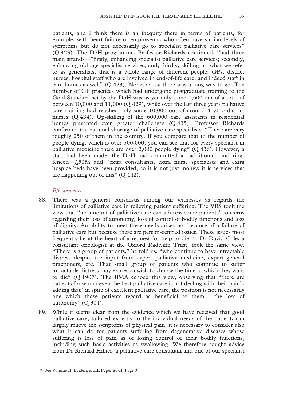patients, and I think there is an inequity there in terms of patients, for example, with heart failure or emphysema, who often have similar levels of symptoms but do not necessarily go to specialist palliative care services" (Q 423). The DoH programme, Professor Richards continued, "had three main strands—"firstly, enhancing specialist palliative care services; secondly, enhancing old age specialist services; and, thirdly, skilling-up what we refer to as generalists, that is a whole range of different people: GPs, district nurses, hospital staff who are involved in end-of-life care, and indeed staff in care homes as well" (Q 423). Nonetheless, there was a long way to go. The number of GP practices which had undergone postgraduate training to the Gold Standard set by the DoH was as yet only some 1,600 out of a total of between 10,000 and 11,000 (Q 429), while over the last three years palliative care training had reached only some 10,000 out of around 40,000 district nurses (Q 434). Up-skilling of the 600,000 care assistants in residential homes presented even greater challenges (Q 435). Professor Richards confirmed the national shortage of palliative care specialists. "There are very roughly 250 of them in the country. If you compare that to the number of people dying, which is over 500,000, you can see that for every specialist in palliative medicine there are over 2,000 people dying" (Q 436). However, a start had been made: the DoH had committed an additional—and ringfenced—£50M and "extra consultants, extra nurse specialists and extra hospice beds have been provided, so it is not just money; it is services that are happening out of this" (Q 442).

#### *Effectiveness*

- 88. There was a general consensus among our witnesses as regards the limitations of palliative care in relieving patient suffering. The VES took the view that "no amount of palliative care can address some patients' concerns regarding their loss of autonomy, loss of control of bodily functions and loss of dignity. An ability to meet these needs arises not because of a failure of palliative care but because these are person-centred issues. These issues most frequently lie at the heart of a request for help to die"32. Dr David Cole, a consultant oncologist at the Oxford Radcliffe Trust, took the same view. "There is a group of patients," he told us, "who continue to have intractable distress despite the input from expert palliative medicine, expert general practioners, etc. That small group of patients who continue to suffer intractable distress may express a wish to choose the time at which they want to die" (Q 1907). The BMA echoed this view, observing that "there are patients for whom even the best palliative care is not dealing with their pain", adding that "in spite of excellent palliative care, the position is not necessarily one which those patients regard as beneficial to them… the loss of autonomy"  $(O 304)$ .
- 89. While it seems clear from the evidence which we have received that good palliative care, tailored expertly to the individual needs of the patient, can largely relieve the symptoms of physical pain, it is necessary to consider also what it can do for patients suffering from degenerative diseases whose suffering is less of pain as of losing control of their bodily functions, including such basic activities as swallowing. We therefore sought advice from Dr Richard Hillier, a palliative care consultant and one of our specialist

 <sup>32</sup> See Volume II: Evidence, HL Paper 86-II, Page 3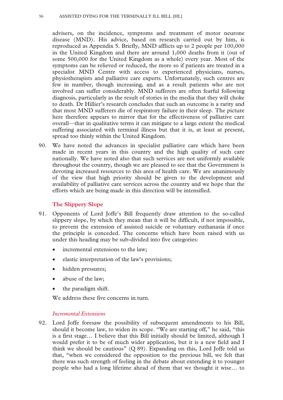advisers, on the incidence, symptoms and treatment of motor neurone disease (MND). His advice, based on research carried out by him, is reproduced as Appendix 5. Briefly, MND afflicts up to 2 people per 100,000 in the United Kingdom and there are around 1,000 deaths from it (out of some 500,000 for the United Kingdom as a whole) every year. Most of the symptoms can be relieved or reduced, the more so if patients are treated in a specialist MND Centre with access to experienced physicians, nurses, physiotherapists and palliative care experts. Unfortunately, such centres are few in number, though increasing, and as a result patients who are not involved can suffer considerably. MND sufferers are often fearful following diagnosis, particularly as the result of stories in the media that they will choke to death. Dr Hillier's research concludes that such an outcome is a rarity and that most MND sufferers die of respiratory failure in their sleep. The picture here therefore appears to mirror that for the effectiveness of palliative care overall—that in qualitative terms it can mitigate to a large extent the medical suffering associated with terminal illness but that it is, at least at present, spread too thinly within the United Kingdom.

90. We have noted the advances in specialist palliative care which have been made in recent years in this country and the high quality of such care nationally. We have noted also that such services are not uniformly available throughout the country, though we are pleased to see that the Government is devoting increased resources to this area of health care. We are unanimously of the view that high priority should be given to the development and availability of palliative care services across the country and we hope that the efforts which are being made in this direction will be intensified.

#### **The Slippery Slope**

- 91. Opponents of Lord Joffe's Bill frequently draw attention to the so-called slippery slope, by which they mean that it will be difficult, if not impossible, to prevent the extension of assisted suicide or voluntary euthanasia if once the principle is conceded. The concerns which have been raised with us under this heading may be sub-divided into five categories:
	- incremental extensions to the law;
	- elastic interpretation of the law's provisions;
	- hidden pressures;
	- abuse of the law;
	- the paradigm shift.

We address these five concerns in turn.

#### *Incremental Extensions*

92. Lord Joffe foresaw the possibility of subsequent amendments to his Bill, should it become law, to widen its scope. "We are starting off," he said, "this is a first stage… I believe that this Bill initially should be limited, although I would prefer it to be of much wider application, but it is a new field and I think we should be cautious" (Q 89). Expanding on this, Lord Joffe told us that, "when we considered the opposition to the previous bill, we felt that there was such strength of feeling in the debate about extending it to younger people who had a long lifetime ahead of them that we thought it wise… to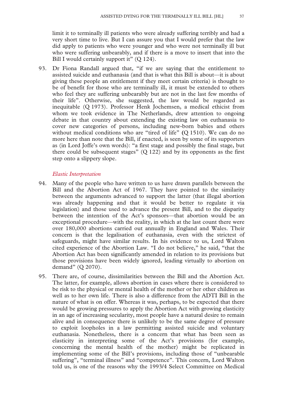limit it to terminally ill patients who were already suffering terribly and had a very short time to live. But I can assure you that I would prefer that the law did apply to patients who were younger and who were not terminally ill but who were suffering unbearably, and if there is a move to insert that into the Bill I would certainly support it" (Q 124).

93. Dr Fiona Randall argued that, "if we are saying that the entitlement to assisted suicide and euthanasia (and that is what this Bill is about—it is about giving these people an entitlement if they meet certain criteria) is thought to be of benefit for those who are terminally ill, it must be extended to others who feel they are suffering unbearably but are not in the last few months of their life". Otherwise, she suggested, the law would be regarded as inequitable (Q 1973). Professor Henk Jochemsen, a medical ethicist from whom we took evidence in The Netherlands, drew attention to ongoing debate in that country about extending the existing law on euthanasia to cover new categories of persons, including new-born babies and others without medical conditions who are "tired of life" **(**Q 1510). We can do no more here than note that the Bill, if enacted, is seen by some of its supporters as (in Lord Joffe's own words): "a first stage and possibly the final stage, but there could be subsequent stages"  $(Q 122)$  and by its opponents as the first step onto a slippery slope.

#### *Elastic Interpretation*

- 94. Many of the people who have written to us have drawn parallels between the Bill and the Abortion Act of 1967. They have pointed to the similarity between the arguments advanced to support the latter (that illegal abortion was already happening and that it would be better to regulate it via legislation) and those used to advance the present Bill, and to the disparity between the intention of the Act's sponsors—that abortion would be an exceptional procedure—with the reality, in which at the last count there were over 180,000 abortions carried out annually in England and Wales. Their concern is that the legalisation of euthanasia, even with the strictest of safeguards, might have similar results. In his evidence to us, Lord Walton cited experience of the Abortion Law. "I do not believe," he said, "that the Abortion Act has been significantly amended in relation to its provisions but those provisions have been widely ignored, leading virtually to abortion on demand" (Q 2070).
- 95. There are, of course, dissimilarities between the Bill and the Abortion Act. The latter, for example, allows abortion in cases where there is considered to be risk to the physical or mental health of the mother or her other children as well as to her own life. There is also a difference from the ADTI Bill in the nature of what is on offer. Whereas it was, perhaps, to be expected that there would be growing pressures to apply the Abortion Act with growing elasticity in an age of increasing secularity, most people have a natural desire to remain alive and in consequence there is unlikely to be the same degree of pressure to exploit loopholes in a law permitting assisted suicide and voluntary euthanasia. Nonetheless, there is a concern that what has been seen as elasticity in interpreting some of the Act's provisions (for example, concerning the mental health of the mother) might be replicated in implementing some of the Bill's provisions, including those of "unbearable suffering", "terminal illness" and "competence". This concern, Lord Walton told us, is one of the reasons why the 1993/4 Select Committee on Medical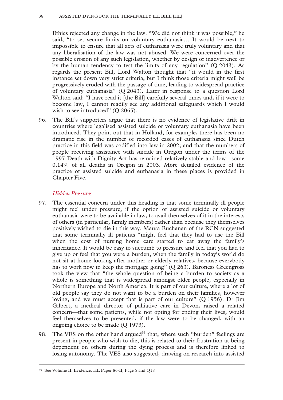#### 38 ASSISTED DYING FOR THE TERMINALLY ILL BILL [HL]

Ethics rejected any change in the law. "We did not think it was possible," he said, "to set secure limits on voluntary euthanasia… It would be next to impossible to ensure that all acts of euthanasia were truly voluntary and that any liberalisation of the law was not abused. We were concerned over the possible erosion of any such legislation, whether by design or inadvertence or by the human tendency to test the limits of any regulation" (Q 2043). As regards the present Bill, Lord Walton thought that "it would in the first instance set down very strict criteria, but I think those criteria might well be progressively eroded with the passage of time, leading to widespread practice of voluntary euthanasia" (Q 2043). Later in response to a question Lord Walton said: "I have read it [the Bill] carefully several times and, if it were to become law, I cannot readily see any additional safeguards which I would wish to see introduced" (O 2065).

96. The Bill's supporters argue that there is no evidence of legislative drift in countries where legalised assisted suicide or voluntary euthanasia have been introduced. They point out that in Holland, for example, there has been no dramatic rise in the number of recorded cases of euthanasia since Dutch practice in this field was codified into law in 2002; and that the numbers of people receiving assistance with suicide in Oregon under the terms of the 1997 Death with Dignity Act has remained relatively stable and low—some 0.14% of all deaths in Oregon in 2003. More detailed evidence of the practice of assisted suicide and euthanasia in these places is provided in Chapter Five.

# *Hidden Pressures*

- 97. The essential concern under this heading is that some terminally ill people might feel under pressure, if the option of assisted suicide or voluntary euthanasia were to be available in law, to avail themselves of it in the interests of others (in particular, family members) rather than because they themselves positively wished to die in this way. Maura Buchanan of the RCN suggested that some terminally ill patients "might feel that they had to use the Bill when the cost of nursing home care started to eat away the family's inheritance. It would be easy to succumb to pressure and feel that you had to give up or feel that you were a burden, when the family in today's world do not sit at home looking after mother or elderly relatives, because everybody has to work now to keep the mortgage going" (Q 263). Baroness Greengross took the view that "the whole question of being a burden to society as a whole is something that is widespread amongst older people, especially in Northern Europe and North America. It is part of our culture, where a lot of old people say they do not want to be a burden on their families, however loving, and we must accept that is part of our culture" (Q 1956). Dr Jim Gilbert, a medical director of palliative care in Devon, raised a related concern—that some patients, while not opting for ending their lives, would feel themselves to be presented, if the law were to be changed, with an ongoing choice to be made (Q 1973).
- 98. The VES on the other hand argued<sup>33</sup> that, where such "burden" feelings are present in people who wish to die, this is related to their frustration at being dependent on others during the dying process and is therefore linked to losing autonomy. The VES also suggested, drawing on research into assisted

 <sup>33</sup> See Volume II: Evidence, HL Paper 86-II, Page 5 and Q18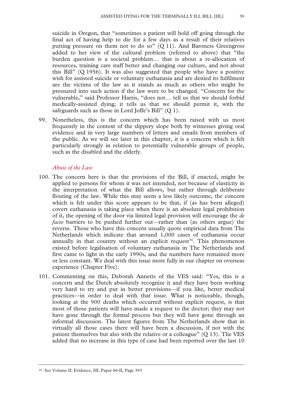suicide in Oregon, that "sometimes a patient will hold off going through the final act of having help to die for a few days as a result of their relatives putting pressure on them not to do so"  $(Q 11)$ . And Baroness Greengross added to her view of the cultural problem (referred to above) that "the burden question is a societal problem… that is about a re-allocation of resources, training care staff better and changing our culture, and not about this Bill" (Q 1956). It was also suggested that people who have a positive wish for assisted suicide or voluntary euthanasia and are denied its fulfilment are the victims of the law as it stands as much as others who might be pressured into such action if the law were to be changed. "Concern for the vulnerable," said Professor Harris, "does not… tell us that we should forbid medically-assisted dying; it tells us that we should permit it, with the safeguards such as those in Lord Joffe's Bill" (Q 1).

99. Nonetheless, this is the concern which has been raised with us most frequently in the context of the slippery slope both by witnesses giving oral evidence and in very large numbers of letters and emails from members of the public. As we will see later in this chapter, it is a concern which is felt particularly strongly in relation to potentially vulnerable groups of people, such as the disabled and the elderly.

### *Abuse of the Law*

- 100. The concern here is that the provisions of the Bill, if enacted, might be applied to persons for whom it was not intended, not because of elasticity in the interpretation of what the Bill allows, but rather through deliberate flouting of the law. While this may seem a less likely outcome, the concern which is felt under this score appears to be that, if (as has been alleged) covert euthanasia is taking place when there is an absolute legal prohibition of it, the opening of the door via limited legal provision will encourage the *de facto* barriers to be pushed further out—rather than (as others argue) the reverse. Those who have this concern usually quote empirical data from The Netherlands which indicate that around 1,000 cases of euthanasia occur annually in that country without an explicit request<sup>34</sup>. This phenomenon existed before legalisation of voluntary euthanasia in The Netherlands and first came to light in the early 1990s, and the numbers have remained more or less constant. We deal with this issue more fully in our chapter on overseas experience (Chapter Five).
- 101. Commenting on this, Deborah Annetts of the VES said: "Yes, this is a concern and the Dutch absolutely recognize it and they have been working very hard to try and put in better provisions—if you like, better medical practices—in order to deal with that issue. What is noticeable, though, looking at the 900 deaths which occurred without explicit request, is that most of those patients will have made a request to the doctor; they may not have gone through the formal process but they will have gone through an informal discussion. The latest figures from The Netherlands show that in virtually all those cases there will have been a discussion, if not with the patient themselves but also with the relative or a colleague" (Q 13). The VES added that no increase in this type of case had been reported over the last 10

 <sup>34</sup> See Volume II: Evidence, HL Paper 86-II, Page 393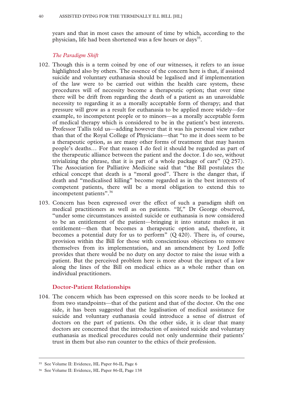years and that in most cases the amount of time by which, according to the physician, life had been shortened was a few hours or days<sup>35</sup>.

### *The Paradigm Shift*

- 102. Though this is a term coined by one of our witnesses, it refers to an issue highlighted also by others. The essence of the concern here is that, if assisted suicide and voluntary euthanasia should be legalised and if implementation of the law were to be carried out within the health care system, these procedures will of necessity become a therapeutic option; that over time there will be drift from regarding the death of a patient as an unavoidable necessity to regarding it as a morally acceptable form of therapy; and that pressure will grow as a result for euthanasia to be applied more widely—for example, to incompetent people or to minors—as a morally acceptable form of medical therapy which is considered to be in the patient's best interests. Professor Tallis told us—adding however that it was his personal view rather than that of the Royal College of Physicians—that "to me it does seem to be a therapeutic option, as are many other forms of treatment that may hasten people's deaths… For that reason I do feel it should be regarded as part of the therapeutic alliance between the patient and the doctor. I do see, without trivializing the phrase, that it is part of a whole package of care"  $(Q 257)$ . The Association for Palliative Medicine said that "the Bill postulates the ethical concept that death is a "moral good". There is the danger that, if death and "medicalised killing" become regarded as in the best interests of competent patients, there will be a moral obligation to extend this to incompetent patients".<sup>36</sup>
- 103. Concern has been expressed over the effect of such a paradigm shift on medical practitioners as well as on patients. "If," Dr George observed, "under some circumstances assisted suicide or euthanasia is now considered to be an entitlement of the patient—bringing it into statute makes it an entitlement—then that becomes a therapeutic option and, therefore, it becomes a potential duty for us to perform" (Q 420). There is, of course, provision within the Bill for those with conscientious objections to remove themselves from its implementation, and an amendment by Lord Joffe provides that there would be no duty on any doctor to raise the issue with a patient. But the perceived problem here is more about the impact of a law along the lines of the Bill on medical ethics as a whole rather than on individual practitioners.

#### **Doctor-Patient Relationships**

104. The concern which has been expressed on this score needs to be looked at from two standpoints—that of the patient and that of the doctor. On the one side, it has been suggested that the legalisation of medical assistance for suicide and voluntary euthanasia could introduce a sense of distrust of doctors on the part of patients. On the other side, it is clear that many doctors are concerned that the introduction of assisted suicide and voluntary euthanasia as medical procedures could not only undermine their patients' trust in them but also run counter to the ethics of their profession.

 <sup>35</sup> See Volume II: Evidence, HL Paper 86-II, Page 6

<sup>36</sup> See Volume II: Evidence, HL Paper 86-II, Page 138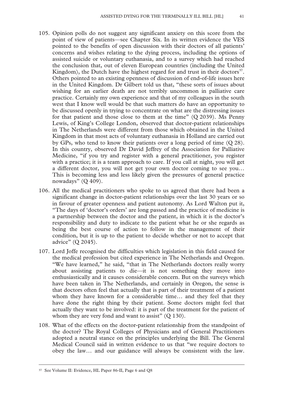- 105. Opinion polls do not suggest any significant anxiety on this score from the point of view of patients—see Chapter Six. In its written evidence the VES pointed to the benefits of open discussion with their doctors of all patients' concerns and wishes relating to the dying process, including the options of assisted suicide or voluntary euthanasia, and to a survey which had reached the conclusion that, out of eleven European countries (including the United Kingdom), the Dutch have the highest regard for and trust in their doctors<sup>37</sup>. Others pointed to an existing openness of discussion of end-of-life issues here in the United Kingdom. Dr Gilbert told us that, "these sorts of issues about wishing for an earlier death are not terribly uncommon in palliative care practice. Certainly my own experience and that of my colleagues in the south west that I know well would be that such matters do have an opportunity to be discussed openly in trying to concentrate on what are the distressing issues for that patient and those close to them at the time" (Q 2039). Ms Penny Lewis, of King's College London, observed that doctor-patient relationships in The Netherlands were different from those which obtained in the United Kingdom in that most acts of voluntary euthanasia in Holland are carried out by GPs, who tend to know their patients over a long period of time (Q 28). In this country, observed Dr David Jeffrey of the Association for Palliative Medicine, "if you try and register with a general practitioner, you register with a practice; it is a team approach to care. If you call at night, you will get a different doctor, you will not get your own doctor coming to see you… This is becoming less and less likely given the pressures of general practice nowadays" (Q 409).
- 106. All the medical practitioners who spoke to us agreed that there had been a significant change in doctor-patient relationships over the last 30 years or so in favour of greater openness and patient autonomy. As Lord Walton put it, "The days of 'doctor's orders' are long passed and the practice of medicine is a partnership between the doctor and the patient, in which it is the doctor's responsibility and duty to indicate to the patient what he or she regards as being the best course of action to follow in the management of their condition, but it is up to the patient to decide whether or not to accept that advice" (Q 2045).
- 107. Lord Joffe recognised the difficulties which legislation in this field caused for the medical profession but cited experience in The Netherlands and Oregon. "We have learned," he said, "that in The Netherlands doctors really worry about assisting patients to die—it is not something they move into enthusiastically and it causes considerable concern. But on the surveys which have been taken in The Netherlands, and certainly in Oregon, the sense is that doctors often feel that actually that is part of their treatment of a patient whom they have known for a considerable time… and they feel that they have done the right thing by their patient. Some doctors might feel that actually they want to be involved: it is part of the treatment for the patient of whom they are very fond and want to assist" (O 130).
- 108. What of the effects on the doctor-patient relationship from the standpoint of the doctor? The Royal Colleges of Physicians and of General Practitioners adopted a neutral stance on the principles underlying the Bill. The General Medical Council said in written evidence to us that "we require doctors to obey the law… and our guidance will always be consistent with the law.

 <sup>37</sup> See Volume II: Evidence, HL Paper 86-II, Page 6 and Q8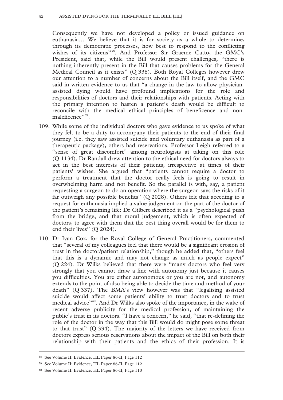#### 42 ASSISTED DYING FOR THE TERMINALLY ILL BILL [HL]

Consequently we have not developed a policy or issued guidance on euthanasia… We believe that it is for society as a whole to determine, through its democratic processes, how best to respond to the conflicting wishes of its citizens"38. And Professor Sir Graeme Catto, the GMC's President, said that, while the Bill would present challenges, "there is nothing inherently present in the Bill that causes problems for the General Medical Council as it exists" (Q 338). Both Royal Colleges however drew our attention to a number of concerns about the Bill itself, and the GMC said in written evidence to us that "a change in the law to allow physicianassisted dying would have profound implications for the role and responsibilities of doctors and their relationships with patients. Acting with the primary intention to hasten a patient's death would be difficult to reconcile with the medical ethical principles of beneficence and nonmaleficence"39.

- 109. While some of the individual doctors who gave evidence to us spoke of what they felt to be a duty to accompany their patients to the end of their final journey (i.e. they saw assisted suicide and voluntary euthanasia as part of a therapeutic package), others had reservations. Professor Leigh referred to a "sense of great discomfort" among neurologists at taking on this role (Q 1134). Dr Randall drew attention to the ethical need for doctors always to act in the best interests of their patients, irrespective at times of their patients' wishes. She argued that "patients cannot require a doctor to perform a treatment that the doctor really feels is going to result in overwhelming harm and not benefit. So the parallel is with, say, a patient requesting a surgeon to do an operation where the surgeon says the risks of it far outweigh any possible benefits"  $(Q 2028)$ . Others felt that acceding to a request for euthanasia implied a value judgement on the part of the doctor of the patient's remaining life: Dr Gilbert described it as a "psychological push from the bridge, and that moral judgement, which is often expected of doctors, to agree with them that the best thing overall would be for them to end their lives" (Q 2024).
- 110. Dr Ivan Cox, for the Royal College of General Practitioners, commented that "several of my colleagues feel that there would be a significant erosion of trust in the doctor/patient relationship," though he added that, "others feel that this is a dynamic and may not change as much as people expect" (Q 224). Dr Wilks believed that there were "many doctors who feel very strongly that you cannot draw a line with autonomy just because it causes you difficulties. You are either autonomous or you are not, and autonomy extends to the point of also being able to decide the time and method of your death" (Q 337). The BMA's view however was that "legalising assisted suicide would affect some patients' ability to trust doctors and to trust medical advice"40. And Dr Wilks also spoke of the importance, in the wake of recent adverse publicity for the medical profession, of maintaining the public's trust in its doctors. "I have a concern," he said, "that re-defining the role of the doctor in the way that this Bill would do might pose some threat to that trust" (Q 334). The majority of the letters we have received from doctors express serious reservations about the impact of the Bill on both their relationship with their patients and the ethics of their profession. It is

 <sup>38</sup> See Volume II: Evidence, HL Paper 86-II, Page 112

<sup>39</sup> See Volume II: Evidence, HL Paper 86-II, Page 112

<sup>40</sup> See Volume II: Evidence, HL Paper 86-II, Page 110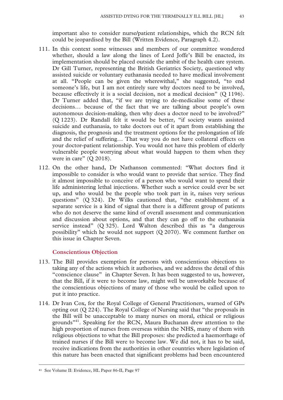important also to consider nurse/patient relationships, which the RCN felt could be jeopardised by the Bill (Written Evidence, Paragraph 4.2).

- 111. In this context some witnesses and members of our committee wondered whether, should a law along the lines of Lord Joffe's Bill be enacted, its implementation should be placed outside the ambit of the health care system. Dr Gill Turner, representing the British Geriatrics Society, questioned why assisted suicide or voluntary euthanasia needed to have medical involvement at all. "People can be given the wherewithal," she suggested, "to end someone's life, but I am not entirely sure why doctors need to be involved, because effectively it is a social decision, not a medical decision" (Q 1196). Dr Turner added that, "if we are trying to de-medicalise some of these decisions… because of the fact that we are talking about people's own autonomous decision-making, then why does a doctor need to be involved?" (Q 1223). Dr Randall felt it would be better, "if society wants assisted suicide and euthanasia, to take doctors out of it apart from establishing the diagnosis, the prognosis and the treatment options for the prolongation of life and the relief of suffering… That way you do not have collateral effects on your doctor-patient relationship. You would not have this problem of elderly vulnerable people worrying about what would happen to them when they were in care" (Q 2018).
- 112. On the other hand, Dr Nathanson commented: "What doctors find it impossible to consider is who would want to provide that service. They find it almost impossible to conceive of a person who would want to spend their life administering lethal injections. Whether such a service could ever be set up, and who would be the people who took part in it, raises very serious questions" (Q 324). Dr Wilks cautioned that, "the establishment of a separate service is a kind of signal that there is a different group of patients who do not deserve the same kind of overall assessment and communication and discussion about options, and that they can go off to the euthanasia service instead" (Q 325). Lord Walton described this as "a dangerous possibility" which he would not support (Q 2070). We comment further on this issue in Chapter Seven.

# **Conscientious Objection**

- 113. The Bill provides exemption for persons with conscientious objections to taking any of the actions which it authorises, and we address the detail of this "conscience clause" in Chapter Seven. It has been suggested to us, however, that the Bill, if it were to become law, might well be unworkable because of the conscientious objections of many of those who would be called upon to put it into practice.
- 114. Dr Ivan Cox, for the Royal College of General Practitioners, warned of GPs opting out (Q 224). The Royal College of Nursing said that "the proposals in the Bill will be unacceptable to many nurses on moral, ethical or religious grounds"41. Speaking for the RCN, Maura Buchanan drew attention to the high proportion of nurses from overseas within the NHS, many of them with religious objections to what the Bill proposes: she predicted a haemorrhage of trained nurses if the Bill were to become law. We did not, it has to be said, receive indications from the authorities in other countries where legislation of this nature has been enacted that significant problems had been encountered

 <sup>41</sup> See Volume II: Evidence, HL Paper 86-II, Page 97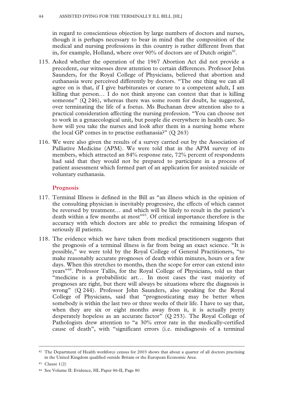in regard to conscientious objection by large numbers of doctors and nurses, though it is perhaps necessary to bear in mind that the composition of the medical and nursing professions in this country is rather different from that in, for example, Holland, where over 90% of doctors are of Dutch origin<sup>42</sup>.

- 115. Asked whether the operation of the 1967 Abortion Act did not provide a precedent, our witnesses drew attention to certain differences. Professor John Saunders, for the Royal College of Physicians, believed that abortion and euthanasia were perceived differently by doctors. "The one thing we can all agree on is that, if I give barbiturates or curare to a competent adult, I am killing that person… I do not think anyone can contest that that is killing someone" (Q 246), whereas there was some room for doubt, he suggested, over terminating the life of a foetus. Ms Buchanan drew attention also to a practical consideration affecting the nursing profession. "You can choose not to work in a gynaecological unit, but people die everywhere in health care. So how will you take the nurses and look after them in a nursing home where the local GP comes in to practise euthanasia?" (Q 263)
- 116. We were also given the results of a survey carried out by the Association of Palliative Medicine (APM). We were told that in the APM survey of its members, which attracted an 84% response rate, 72% percent of respondents had said that they would not be prepared to participate in a process of patient assessment which formed part of an application for assisted suicide or voluntary euthanasia.

# **Prognosis**

- 117. Terminal Illness is defined in the Bill as "an illness which in the opinion of the consulting physician is inevitably progressive, the effects of which cannot be reversed by treatment… and which will be likely to result in the patient's death within a few months at most<sup>343</sup>. Of critical importance therefore is the accuracy with which doctors are able to predict the remaining lifespan of seriously ill patients.
- 118. The evidence which we have taken from medical practitioners suggests that the prognosis of a terminal illness is far from being an exact science. "It is possible," we were told by the Royal College of General Practitioners, "to make reasonably accurate prognoses of death within minutes, hours or a few days. When this stretches to months, then the scope for error can extend into years"44. Professor Tallis, for the Royal College of Physicians, told us that "medicine is a probabilistic art… In most cases the vast majority of prognoses are right, but there will always be situations where the diagnosis is wrong" (Q 244). Professor John Saunders, also speaking for the Royal College of Physicians, said that "prognosticating may be better when somebody is within the last two or three weeks of their life. I have to say that, when they are six or eight months away from it, it is actually pretty desperately hopeless as an accurate factor" (Q 253). The Royal College of Pathologists drew attention to "a 30% error rate in the medically-certified cause of death", with "significant errors (i.e. misdiagnosis of a terminal

<sup>&</sup>lt;sup>42</sup> The Department of Health workforce census for 2003 shows that about a quarter of all doctors practising in the United Kingdom qualified outside Britain or the European Economic Area.

<sup>43</sup> Clause 1(2)

<sup>44</sup> See Volume II: Evidence, HL Paper 86-II, Page 80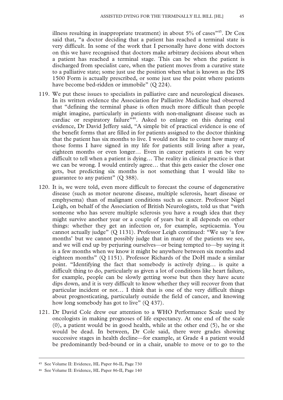illness resulting in inappropriate treatment) in about  $5\%$  of cases<sup> $345$ </sup>. Dr Cox said that, "a doctor deciding that a patient has reached a terminal state is very difficult. In some of the work that I personally have done with doctors on this we have recognised that doctors make arbitrary decisions about when a patient has reached a terminal stage. This can be when the patient is discharged from specialist care, when the patient moves from a curative state to a palliative state; some just use the position when what is known as the DS 1500 Form is actually prescribed, or some just use the point where patients have become bed-ridden or immobile" (Q 224).

- 119. We put these issues to specialists in palliative care and neurological diseases. In its written evidence the Association for Palliative Medicine had observed that "defining the terminal phase is often much more difficult than people might imagine, particularly in patients with non-malignant disease such as cardiac or respiratory failure<sup>746</sup>. Asked to enlarge on this during oral evidence, Dr David Jeffery said, "A simple bit of practical evidence is one of the benefit forms that are filled in for patients assigned to the doctor thinking that the patient has six months to live. I would not like to count how many of those forms I have signed in my life for patients still living after a year, eighteen months or even longer… Even in cancer patients it can be very difficult to tell when a patient is dying… The reality in clinical practice is that we can be wrong. I would entirely agree… that this gets easier the closer one gets, but predicting six months is not something that I would like to guarantee to any patient" (Q 388).
- 120. It is, we were told, even more difficult to forecast the course of degenerative disease (such as motor neurone disease, multiple sclerosis, heart disease or emphysema) than of malignant conditions such as cancer. Professor Nigel Leigh, on behalf of the Association of British Neurologists, told us that "with someone who has severe multiple sclerosis you have a rough idea that they might survive another year or a couple of years but it all depends on other things: whether they get an infection or, for example, septicaemia. You cannot actually judge" (Q 1131). Professor Leigh continued: "We say 'a few months' but we cannot possibly judge that in many of the patients we see, and we will end up by perjuring ourselves—or being tempted to—by saying it is a few months when we know it might be anywhere between six months and eighteen months" (Q 1151). Professor Richards of the DoH made a similar point. "Identifying the fact that somebody is actively dying… is quite a difficult thing to do, particularly as given a lot of conditions like heart failure, for example, people can be slowly getting worse but then they have acute dips down, and it is very difficult to know whether they will recover from that particular incident or not… I think that is one of the very difficult things about prognosticating, particularly outside the field of cancer, and knowing how long somebody has got to live" (Q 437).
- 121. Dr David Cole drew our attention to a WHO Performance Scale used by oncologists in making prognoses of life expectancy. At one end of the scale (0), a patient would be in good health, while at the other end (5), he or she would be dead. In between, Dr Cole said, there were grades showing successive stages in health decline—for example, at Grade 4 a patient would be predominantly bed-bound or in a chair, unable to move or to go to the

 <sup>45</sup> See Volume II: Evidence, HL Paper 86-II, Page 730

<sup>46</sup> See Volume II: Evidence, HL Paper 86-II, Page 140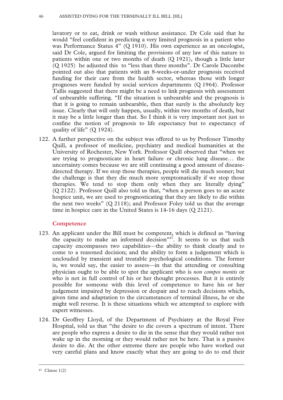#### 46 ASSISTED DYING FOR THE TERMINALLY ILL BILL [HL]

lavatory or to eat, drink or wash without assistance. Dr Cole said that he would "feel confident in predicting a very limited prognosis in a patient who was Performance Status 4" (Q 1910). His own experience as an oncologist, said Dr Cole, argued for limiting the provisions of any law of this nature to patients within one or two months of death (Q 1921), though a little later (Q 1925) he adjusted this to "less than three months". Dr Carole Dacombe pointed out also that patients with an 8-weeks-or-under prognosis received funding for their care from the health sector, whereas those with longer prognoses were funded by social services departments (Q 1964). Professor Tallis suggested that there might be a need to link prognosis with assessment of unbearable suffering. "If the situation is unbearable and the prognosis is that it is going to remain unbearable, then that surely is the absolutely key issue. Clearly that will only happen, usually, within two months of death, but it may be a little longer than that. So I think it is very important not just to confine the notion of prognosis to life expectancy but to expectancy of quality of life" (Q 1924).

122. A further perspective on the subject was offered to us by Professor Timothy Quill, a professor of medicine, psychiatry and medical humanities at the University of Rochester, New York. Professor Quill observed that "when we are trying to prognosticate in heart failure or chronic lung disease… the uncertainty comes because we are still continuing a good amount of diseasedirected therapy. If we stop those therapies, people will die much sooner; but the challenge is that they die much more symptomatically if we stop those therapies. We tend to stop them only when they are literally dying" (Q 2122). Professor Quill also told us that, "when a person goes to an acute hospice unit, we are used to prognosticating that they are likely to die within the next two weeks" (Q 2118); and Professor Foley told us that the average time in hospice care in the United States is 14-16 days (Q 2121).

# **Competence**

- 123. An applicant under the Bill must be competent, which is defined as "having the capacity to make an informed decision" $47$ . It seems to us that such capacity encompasses two capabilities—the ability to think clearly and to come to a reasoned decision; and the ability to form a judgement which is unclouded by transient and treatable psychological conditions. The former is, we would say, the easier to assess—in that the attending or consulting physician ought to be able to spot the applicant who is *non compos mentis* or who is not in full control of his or her thought processes. But it is entirely possible for someone with this level of competence to have his or her judgement impaired by depression or despair and to reach decisions which, given time and adaptation to the circumstances of terminal illness, he or she might well reverse. It is these situations which we attempted to explore with expert witnesses.
- 124. Dr Geoffrey Lloyd, of the Department of Psychiatry at the Royal Free Hospital, told us that "the desire to die covers a spectrum of intent. There are people who express a desire to die in the sense that they would rather not wake up in the morning or they would rather not be here. That is a passive desire to die. At the other extreme there are people who have worked out very careful plans and know exactly what they are going to do to end their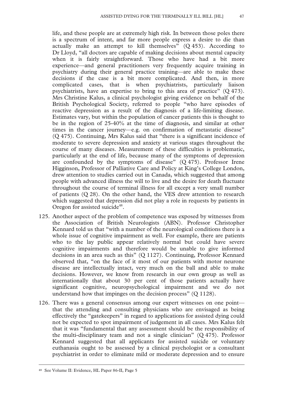life, and these people are at extremely high risk. In between those poles there is a spectrum of intent, and far more people express a desire to die than actually make an attempt to kill themselves"  $(Q 453)$ . According to Dr Lloyd, "all doctors are capable of making decisions about mental capacity when it is fairly straightforward. Those who have had a bit more experience—and general practitioners very frequently acquire training in psychiatry during their general practice training—are able to make these decisions if the case is a bit more complicated. And then, in more complicated cases, that is when psychiatrists, particularly liaison psychiatrists, have an expertise to bring to this area of practice" (Q 473). Mrs Christine Kalus, a clinical psychologist giving evidence on behalf of the British Psychological Society, referred to people "who have episodes of reactive depression as a result of the diagnosis of a life-limiting disease. Estimates vary, but within the population of cancer patients this is thought to be in the region of 25-40% at the time of diagnosis, and similar at other times in the cancer journey—e.g. on confirmation of metastatic disease" (Q 475). Continuing, Mrs Kalus said that "there is a significant incidence of moderate to severe depression and anxiety at various stages throughout the course of many diseases. Measurement of these difficulties is problematic, particularly at the end of life, because many of the symptoms of depression are confounded by the symptoms of disease" (Q 475). Professor Irene Higginson, Professor of Palliative Care and Policy at King's College London, drew attention to studies carried out in Canada, which suggested that among people with advanced illness the will to live and the desire for death fluctuate throughout the course of terminal illness for all except a very small number of patients (Q 28). On the other hand, the VES drew attention to research which suggested that depression did not play a role in requests by patients in Oregon for assisted suicide<sup>48</sup>.

- 125. Another aspect of the problem of competence was exposed by witnesses from the Association of British Neurologists (ABN). Professor Christopher Kennard told us that "with a number of the neurological conditions there is a whole issue of cognitive impairment as well. For example, there are patients who to the lay public appear relatively normal but could have severe cognitive impairments and therefore would be unable to give informed decisions in an area such as this" (Q 1127). Continuing, Professor Kennard observed that, "on the face of it most of our patients with motor neurone disease are intellectually intact, very much on the ball and able to make decisions. However, we know from research in our own group as well as internationally that about 30 per cent of those patients actually have significant cognitive, neuropsychological impairment and we do not understand how that impinges on the decision process" (Q 1128).
- 126. There was a general consensus among our expert witnesses on one point that the attending and consulting physicians who are envisaged as being effectively the "gatekeepers" in regard to applications for assisted dying could not be expected to spot impairment of judgement in all cases. Mrs Kalus felt that it was "fundamental that any assessment should be the responsibility of the multi-disciplinary team and not a single clinician" (Q 475). Professor Kennard suggested that all applicants for assisted suicide or voluntary euthanasia ought to be assessed by a clinical psychologist or a consultant psychiatrist in order to eliminate mild or moderate depression and to ensure

 <sup>48</sup> See Volume II: Evidence, HL Paper 86-II, Page 5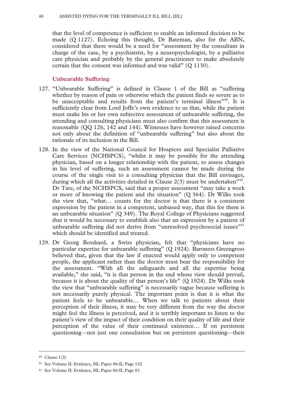that the level of competence is sufficient to enable an informed decision to be made (Q 1127). Echoing this thought, Dr Bateman, also for the ABN, considered that there would be a need for "assessment by the consultant in charge of the case, by a psychiatrist, by a neuropsychologist, by a palliative care physician and probably by the general practitioner to make absolutely certain that the consent was informed and was valid" (Q 1130).

# **Unbearable Suffering**

- 127. "Unbearable Suffering" is defined in Clause 1 of the Bill as "suffering whether by reason of pain or otherwise which the patient finds so severe as to be unacceptable and results from the patient's terminal illness<sup>"49</sup>. It is sufficiently clear from Lord Joffe's own evidence to us that, while the patient must make his or her own subjective assessment of unbearable suffering, the attending and consulting physicians must also confirm that this assessment is reasonable (QQ 126, 142 and 144). Witnesses have however raised concerns not only about the definition of "unbearable suffering" but also about the rationale of its inclusion in the Bill.
- 128. In the view of the National Council for Hospices and Specialist Palliative Care Services (NCHSPCS), "whilst it may be possible for the attending physician, based on a longer relationship with the patient, to assess changes in his level of suffering, such an assessment cannot be made during the course of the single visit to a consulting physician that the Bill envisages, during which all the activities detailed in Clause  $2(3)$  must be undertaken<sup>"50</sup>. Dr Tate, of the NCHSPCS, said that a proper assessment "may take a week or more of knowing the patient and the situation" (Q 364). Dr Wilks took the view that, "what… counts for the doctor is that there is a consistent expression by the patient in a competent, unbiased way, that this for them is an unbearable situation" (Q 349). The Royal College of Physicians suggested that it would be necessary to establish also that an expression by a patient of unbearable suffering did not derive from "unresolved psychosocial issues"<sup>51</sup> which should be identified and treated.
- 129. Dr Georg Bosshard, a Swiss physician, felt that "physicians have no particular expertise for unbearable suffering" (Q 1924). Baroness Greengross believed that, given that the law if enacted would apply only to competent people, the applicant rather than the doctor must bear the responsibility for the assessment. "With all the safeguards and all the expertise being available," she said, "it is that person in the end whose view should prevail, because it is about the quality of that person's life" (Q 1924). Dr Wilks took the view that "unbearable suffering" is necessarily vague because suffering is not necessarily purely physical. The important point is that it is what the patient feels to be unbearable… When we talk to patients about their perception of their illness, it may be very different from the way the doctor might feel the illness is perceived, and it is terribly important to listen to the patient's view of the impact of their condition on their quality of life and their perception of the value of their continued existence… If on persistent questioning—not just one consultation but on persistent questioning—their

 <sup>49</sup> Clause 1(2)

<sup>50</sup> See Volume II: Evidence, HL Paper 86-II, Page 132

<sup>51</sup> See Volume II: Evidence, HL Paper 86-II, Page 83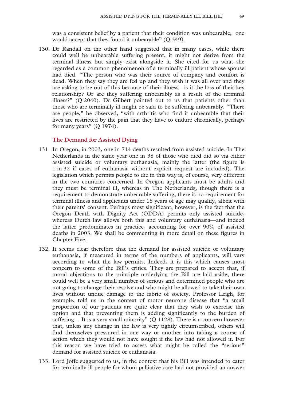was a consistent belief by a patient that their condition was unbearable, one would accept that they found it unbearable" (Q 349).

130. Dr Randall on the other hand suggested that in many cases, while there could well be unbearable suffering present, it might not derive from the terminal illness but simply exist alongside it. She cited for us what she regarded as a common phenomenon of a terminally ill patient whose spouse had died. "The person who was their source of company and comfort is dead. When they say they are fed up and they wish it was all over and they are asking to be out of this because of their illness—is it the loss of their key relationship? Or are they suffering unbearably as a result of the terminal illness?" (Q 2040). Dr Gilbert pointed out to us that patients other than those who are terminally ill might be said to be suffering unbearably. "There are people," he observed, "with arthritis who find it unbearable that their lives are restricted by the pain that they have to endure chronically, perhaps for many years"  $(Q 1974)$ .

### **The Demand for Assisted Dying**

- 131. In Oregon, in 2003, one in 714 deaths resulted from assisted suicide. In The Netherlands in the same year one in 38 of those who died did so via either assisted suicide or voluntary euthanasia, mainly the latter (the figure is 1 in 32 if cases of euthanasia without explicit request are included). The legislation which permits people to die in this way is, of course, very different in the two countries concerned. In Oregon applicants must be adults and they must be terminal ill, whereas in The Netherlands, though there is a requirement to demonstrate unbearable suffering, there is no requirement for terminal illness and applicants under 18 years of age may qualify, albeit with their parents' consent. Perhaps most significant, however, is the fact that the Oregon Death with Dignity Act (ODDA) permits only assisted suicide, whereas Dutch law allows both this and voluntary euthanasia—and indeed the latter predominates in practice, accounting for over 90% of assisted deaths in 2003. We shall be commenting in more detail on these figures in Chapter Five.
- 132. It seems clear therefore that the demand for assisted suicide or voluntary euthanasia, if measured in terms of the numbers of applicants, will vary according to what the law permits. Indeed, it is this which causes most concern to some of the Bill's critics. They are prepared to accept that, if moral objections to the principle underlying the Bill are laid aside, there could well be a very small number of serious and determined people who are not going to change their resolve and who might be allowed to take their own lives without undue damage to the fabric of society. Professor Leigh, for example, told us in the context of motor neurone disease that "a small proportion of our patients are quite clear that they wish to exercise this option and that preventing them is adding significantly to the burden of suffering... It is a very small minority" (Q 1128). There is a concern however that, unless any change in the law is very tightly circumscribed, others will find themselves pressured in one way or another into taking a course of action which they would not have sought if the law had not allowed it. For this reason we have tried to assess what might be called the "serious" demand for assisted suicide or euthanasia.
- 133. Lord Joffe suggested to us, in the context that his Bill was intended to cater for terminally ill people for whom palliative care had not provided an answer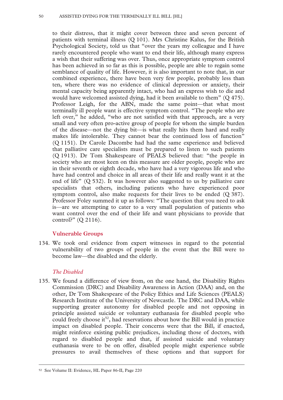to their distress, that it might cover between three and seven percent of patients with terminal illness (Q 101). Mrs Christine Kalus, for the British Psychological Society, told us that "over the years my colleague and I have rarely encountered people who want to end their life, although many express a wish that their suffering was over. Thus, once appropriate symptom control has been achieved in so far as this is possible, people are able to regain some semblance of quality of life. However, it is also important to note that, in our combined experience, there have been very few people, probably less than ten, where there was no evidence of clinical depression or anxiety, their mental capacity being apparently intact, who had an express wish to die and would have welcomed assisted dying, had it been available to them" (Q 475). Professor Leigh, for the ABN, made the same point—that what most terminally ill people want is effective symptom control. "The people who are left over," he added, "who are not satisfied with that approach, are a very small and very often pro-active group of people for whom the simple burden of the disease—not the dying bit—is what really hits them hard and really makes life intolerable. They cannot bear the continued loss of function" (Q 1151). Dr Carole Dacombe had had the same experience and believed that palliative care specialists must be prepared to listen to such patients (Q 1913). Dr Tom Shakespeare of PEALS believed that: "the people in society who are most keen on this measure are older people, people who are in their seventh or eighth decade, who have had a very vigorous life and who have had control and choice in all areas of their life and really want it at the end of life"  $(Q 532)$ . It was however also suggested to us by palliative care specialists that others, including patients who have experienced poor symptom control, also make requests for their lives to be ended (Q 387). Professor Foley summed it up as follows: "The question that you need to ask is—are we attempting to cater to a very small population of patients who want control over the end of their life and want physicians to provide that control?" (Q 2116).

# **Vulnerable Groups**

134. We took oral evidence from expert witnesses in regard to the potential vulnerability of two groups of people in the event that the Bill were to become law—the disabled and the elderly.

# *The Disabled*

135. We found a difference of view from, on the one hand, the Disability Rights Commission (DRC) and Disability Awareness in Action (DAA) and, on the other, Dr Tom Shakespeare of the Policy Ethics and Life Sciences (PEALS) Research Institute of the University of Newcastle. The DRC and DAA, while supporting greater autonomy for disabled people and not opposing in principle assisted suicide or voluntary euthanasia for disabled people who could freely choose it<sup>52</sup>, had reservations about how the Bill would in practice impact on disabled people. Their concerns were that the Bill, if enacted, might reinforce existing public prejudices, including those of doctors, with regard to disabled people and that, if assisted suicide and voluntary euthanasia were to be on offer, disabled people might experience subtle pressures to avail themselves of these options and that support for

 <sup>52</sup> See Volume II: Evidence, HL Paper 86-II, Page 220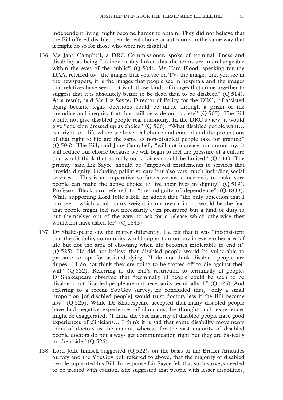independent living might become harder to obtain. They did not believe that the Bill offered disabled people real choice or autonomy in the same way that it might do so for those who were not disabled.

- 136. Ms Jane Campbell, a DRC Commissioner, spoke of terminal illness and disability as being "so inextricably linked that the terms are interchangeable within the eyes of the public"  $(Q 504)$ . Ms Tara Flood, speaking for the DAA, referred to, "the images that you see on TV, the images that you see in the newspapers, it is the images that people see in hospitals and the images that relatives have seen… it is all those kinds of images that come together to suggest that it is absolutely better to be dead than to be disabled"  $(Q 514)$ . As a result, said Ms Liz Sayce, Director of Policy for the DRC, "if assisted dying became legal, decisions could be made through a prism of the prejudice and inequity that does still pervade our society" (Q 505). The Bill would not give disabled people real autonomy. In the DRC's view, it would give "coercion dressed up as choice" (Q 506). "What disabled people want… is a right to a life where we have real choice and control and the protections of that right to life are the same as non-disabled people take for granted" (Q 506). The Bill, said Jane Campbell, "will not increase our autonomy, it will reduce our choice because we will begin to feel the pressure of a culture that would think that actually our choices should be limited"  $(Q 511)$ . The priority, said Liz Sayce, should be "improved entitlements to services that provide dignity, including palliative care but also very much including social services… This is an imperative so far as we are concerned, to make sure people can make the active choice to live their lives in dignity" (Q 519). Professor Blackburn referred to "the indignity of dependence" (Q 1839). While supporting Lord Joffe's Bill, he added that "the only objection that I can see… which would carry weight in my own mind… would be the fear that people might feel not necessarily even pressured but a kind of duty to put themselves out of the way, to ask for a release which otherwise they would not have asked for" (Q 1843).
- 137. Dr Shakespeare saw the matter differently. He felt that it was "inconsistent that the disability community would support autonomy in every other area of life but not the area of choosing when life becomes intolerable to end it" (Q 525). He did not believe that disabled people would be vulnerable to pressure to opt for assisted dying. "I do not think disabled people are dupes… I do not think they are going to be trotted off to die against their will" (Q 532). Referring to the Bill's restriction to terminally ill people, Dr Shakespeare observed that "terminally ill people could be seen to be disabled, but disabled people are not necessarily terminally ill" (Q 525). And referring to a recent YouGov survey, he concluded that, "only a small proportion [of disabled people] would trust doctors less if the Bill became law" (Q 525). While Dr Shakespeare accepted that many disabled people have had negative experiences of clinicians, he thought such experiences might be exaggerated. "I think the vast majority of disabled people have good experiences of clinicians… I think it is sad that some disability movements think of doctors as the enemy, whereas for the vast majority of disabled people doctors do not always get communication right but they are basically on their side"  $(Q 526)$ .
- 138. Lord Joffe himself suggested (Q 522), on the basis of the British Attitudes Survey and the YouGov poll referred to above, that the majority of disabled people supported his Bill. In response Liz Sayce felt that such surveys needed to be treated with caution. She suggested that people with lesser disabilities,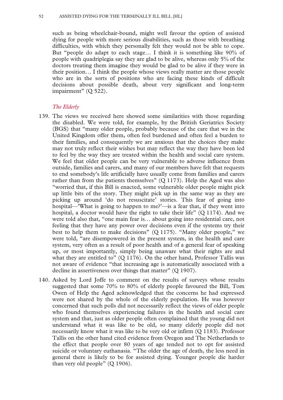such as being wheelchair-bound, might well favour the option of assisted dying for people with more serious disabilities, such as those with breathing difficulties, with which they personally felt they would not be able to cope. But "people do adapt to each stage… I think it is something like 90% of people with quadriplegia say they are glad to be alive, whereas only 5% of the doctors treating them imagine they would be glad to be alive if they were in their position… I think the people whose views really matter are those people who are in the sorts of positions who are facing these kinds of difficult decisions about possible death, about very significant and long-term impairment" (Q 522).

### *The Elderly*

- 139. The views we received here showed some similarities with those regarding the disabled. We were told, for example, by the British Geriatrics Society (BGS) that "many older people, probably because of the care that we in the United Kingdom offer them, often feel burdened and often feel a burden to their families, and consequently we are anxious that the choices they make may not truly reflect their wishes but may reflect the way they have been led to feel by the way they are treated within the health and social care system. We feel that older people can be very vulnerable to adverse influence from outside, families and carers, and many of our members have felt that requests to end somebody's life artificially have usually come from families and carers rather than from the patients themselves" (Q 1173). Help the Aged was also "worried that, if this Bill is enacted, some vulnerable older people might pick up little bits of the story. They might pick up in the same way as they are picking up around 'do not resuscitate' stories. This fear of going into hospital—'What is going to happen to me?'—is a fear that, if they went into hospital, a doctor would have the right to take their life" (Q 1174). And we were told also that, "one main fear is… about going into residential care, not feeling that they have any power over decisions even if the systems try their best to help them to make decisions" (Q 1175). "Many older people," we were told, "are disempowered in the present system, in the health and care system, very often as a result of poor health and of a general fear of speaking up, or most importantly, simply being unaware what their rights are and what they are entitled to"  $(Q 1176)$ . On the other hand, Professor Tallis was not aware of evidence "that increasing age is automatically associated with a decline in assertiveness over things that matter" (Q 1907).
- 140. Asked by Lord Joffe to comment on the results of surveys whose results suggested that some 70% to 80% of elderly people favoured the Bill, Tom Owen of Help the Aged acknowledged that the concerns he had expressed were not shared by the whole of the elderly population. He was however concerned that such polls did not necessarily reflect the views of older people who found themselves experiencing failures in the health and social care system and that, just as older people often complained that the young did not understand what it was like to be old, so many elderly people did not necessarily know what it was like to be very old or infirm (Q 1183). Professor Tallis on the other hand cited evidence from Oregon and The Netherlands to the effect that people over 80 years of age tended not to opt for assisted suicide or voluntary euthanasia. "The older the age of death, the less need in general there is likely to be for assisted dying. Younger people die harder than very old people" (Q 1906).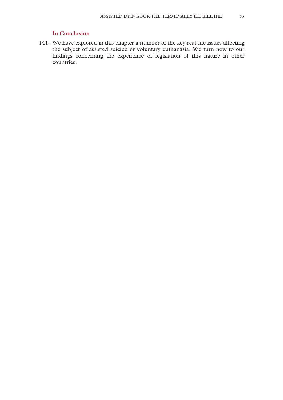# **In Conclusion**

141. We have explored in this chapter a number of the key real-life issues affecting the subject of assisted suicide or voluntary euthanasia. We turn now to our findings concerning the experience of legislation of this nature in other countries.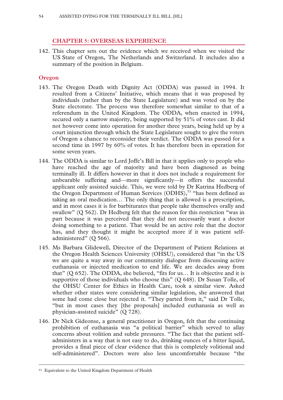# **CHAPTER 5: OVERSEAS EXPERIENCE**

142. This chapter sets out the evidence which we received when we visited the US State of Oregon, The Netherlands and Switzerland. It includes also a summary of the position in Belgium.

### **Oregon**

- 143. The Oregon Death with Dignity Act (ODDA) was passed in 1994. It resulted from a Citizens' Initiative, which means that it was proposed by individuals (rather than by the State Legislature) and was voted on by the State electorate. The process was therefore somewhat similar to that of a referendum in the United Kingdom. The ODDA, when enacted in 1994, secured only a narrow majority, being supported by 51% of votes cast. It did not however come into operation for another three years, being held up by a court injunction through which the State Legislature sought to give the voters of Oregon a chance to reconsider their verdict. The ODDA was passed for a second time in 1997 by 60% of votes. It has therefore been in operation for some seven years.
- 144. The ODDA is similar to Lord Joffe's Bill in that it applies only to people who have reached the age of majority and have been diagnosed as being terminally ill. It differs however in that it does not include a requirement for unbearable suffering and—more significantly—it offers the successful applicant only assisted suicide. This, we were told by Dr Katrina Hedberg of the Oregon Department of Human Services (ODHS),<sup>53</sup> "has been defined as taking an oral medication… The only thing that is allowed is a prescription, and in most cases it is for barbiturates that people take themselves orally and swallow" (Q 562). Dr Hedberg felt that the reason for this restriction "was in part because it was perceived that they did not necessarily want a doctor doing something to a patient. That would be an active role that the doctor has, and they thought it might be accepted more if it was patient selfadministered" (O 566).
- 145. Ms Barbara Glidewell, Director of the Department of Patient Relations at the Oregon Health Sciences University (OHSU), considered that "in the US we are quite a way away in our community dialogue from discussing active euthanasia or injected medication to end life. We are decades away from that" (Q 652). The ODDA, she believed, "fits for us… It is objective and it is supportive of those individuals who choose this" (Q 648). Dr Susan Tolle, of the OHSU Center for Ethics in Health Care, took a similar view. Asked whether other states were considering similar legislation, she answered that some had come close but rejected it. "They parted from it," said Dr Tolle, "but in most cases they [the proposals] included euthanasia as well as physician-assisted suicide" (Q 728).
- 146. Dr Nick Gideonse, a general practitioner in Oregon, felt that the continuing prohibition of euthanasia was "a political barrier" which served to allay concerns about volition and subtle pressures. "The fact that the patient selfadministers in a way that is not easy to do, drinking ounces of a bitter liquid, provides a final piece of clear evidence that this is completely volitional and self-administered". Doctors were also less uncomfortable because "the

 <sup>53</sup> Equivalent to the United Kingdom Department of Health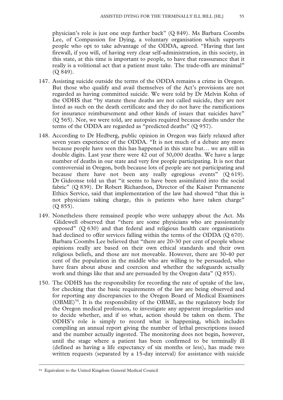physician's role is just one step further back" (Q 849). Ms Barbara Coombs Lee, of Compassion for Dying, a voluntary organisation which supports people who opt to take advantage of the ODDA, agreed. "Having that last firewall, if you will, of having very clear self-administration, in this society, in this state, at this time is important to people, to have that reassurance that it really is a volitional act that a patient must take. The trade-offs are minimal" (Q 849).

- 147. Assisting suicide outside the terms of the ODDA remains a crime in Oregon. But those who qualify and avail themselves of the Act's provisions are not regarded as having committed suicide. We were told by Dr Melvin Kohn of the ODHS that "by statute these deaths are not called suicide, they are not listed as such on the death certificate and they do not have the ramifications for insurance reimbursement and other kinds of issues that suicides have" (Q 565). Nor, we were told, are autopsies required because deaths under the terms of the ODDA are regarded as "predicted deaths" (Q 957).
- 148. According to Dr Hedberg, public opinion in Oregon was fairly relaxed after seven years experience of the ODDA. "It is not much of a debate any more because people have seen this has happened in this state but… we are still in double digits. Last year there were 42 out of 30,000 deaths. We have a large number of deaths in our state and very few people participating. It is not that controversial in Oregon, both because lots of people are not participating and because there have not been any really egregious events" (Q 619). Dr Gideonse told us that "it seems to have been assimilated into the social fabric" (Q 839). Dr Robert Richardson, Director of the Kaiser Permanente Ethics Service, said that implementation of the law had showed "that this is not physicians taking charge, this is patients who have taken charge" (Q 855).
- 149. Nonetheless there remained people who were unhappy about the Act. Ms Glidewell observed that "there are some physicians who are passionately opposed" (Q 630) and that federal and religious health care organisations had declined to offer services falling within the terms of the ODDA (Q 670). Barbara Coombs Lee believed that "there are 20-30 per cent of people whose opinions really are based on their own ethical standards and their own religious beliefs, and those are not moveable. However, there are 30-40 per cent of the population in the middle who are willing to be persuaded, who have fears about abuse and coercion and whether the safeguards actually work and things like that and are persuaded by the Oregon data" (Q 855).
- 150. The ODHS has the responsibility for recording the rate of uptake of the law, for checking that the basic requirements of the law are being observed and for reporting any discrepancies to the Oregon Board of Medical Examiners  $(OBME)^{54}$ . It is the responsibility of the OBME, as the regulatory body for the Oregon medical profession, to investigate any apparent irregularities and to decide whether, and if so what, action should be taken on them. The ODHS's role is simply to record what is happening, which includes compiling an annual report giving the number of lethal prescriptions issued and the number actually ingested. The monitoring does not begin, however, until the stage where a patient has been confirmed to be terminally ill (defined as having a life expectancy of six months or less), has made two written requests (separated by a 15-day interval) for assistance with suicide

 <sup>54</sup> Equivalent to the United Kingdom General Medical Council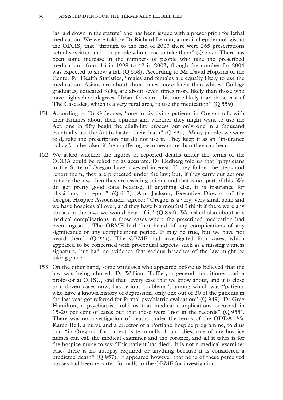(as laid down in the statute) and has been issued with a prescription for lethal medication. We were told by Dr Richard Leman, a medical epidemiologist at the ODHS, that "through to the end of 2003 there were 265 prescriptions actually written and 117 people who chose to take them"  $(Q 577)$ . There has been some increase in the numbers of people who take the prescribed medication—from 16 in 1998 to 42 in 2003, though the number for 2004 was expected to show a fall (Q 558). According to Mr David Hopkins of the Center for Health Statistics, "males and females are equally likely to use the medication. Asians are about three times more likely than whites. College graduates, educated folks, are about seven times more likely than those who have high school degrees. Urban folks are a bit more likely than those east of The Cascades, which is a very rural area, to use the medication" (Q 559).

- 151. According to Dr Gideonse, "one in six dying patients in Oregon talk with their families about their options and whether they might want to use the Act, one in fifty begin the eligibility process but only one in a thousand eventually use the Act to hasten their death" (Q 839). Many people, we were told, take the prescription but do not use it. They keep it as an "insurance policy", to be taken if their suffering becomes more than they can bear.
- 152. We asked whether the figures of reported deaths under the terms of the ODDA could be relied on as accurate. Dr Hedberg told us that "physicians in the State of Oregon have a vested interest. If they follow the steps and report them, they are protected under the law; but, if they carry out actions outside the law, then they are assisting suicide and that is not part of this. We do get pretty good data because, if anything else, it is insurance for physicians to report" (Q 617). Ann Jackson, Executive Director of the Oregon Hospice Association, agreed: "Oregon is a very, very small state and we have hospices all over, and they have big mouths! I think if there were any abuses in the law, we would hear of it"  $(Q 834)$ . We asked also about any medical complications in those cases where the prescribed medication had been ingested. The OBME had "not heard of any complications of any significance or any complications period. It may be true, but we have not heard them" (Q 929). The OBME had investigated four cases, which appeared to be concerned with procedural aspects, such as a missing witness signature, but had no evidence that serious breaches of the law might be taking place.
- 153. On the other hand, some witnesses who appeared before us believed that the law was being abused. Dr William Toffler, a general practitioner and a professor at OHSU, said that "every case that we know about, and it is close to a dozen cases now, has serious problems", among which was "patients who have a known history of depression, only one out of 20 of the patients in the last year got referred for formal psychiatric evaluation" (Q 949). Dr Greg Hamilton, a psychiatrist, told us that medical complications occurred in 15-20 per cent of cases but that these were "not in the records" (Q 955). There was no investigation of deaths under the terms of the ODDA. Ms Karen Bell, a nurse and a director of a Portland hospice programme, told us that "in Oregon, if a patient is terminally ill and dies, one of my hospice nurses can call the medical examiner and the coroner, and all it takes is for the hospice nurse to say 'This patient has died'. It is not a medical examiner case, there is no autopsy required or anything because it is considered a predicted death" (Q 957). It appeared however that none of these perceived abuses had been reported formally to the OBME for investigation.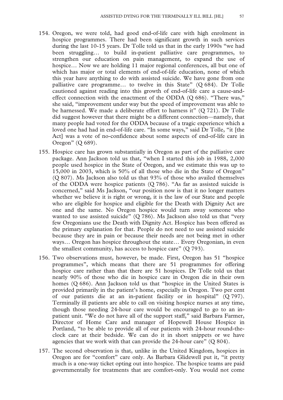- 154. Oregon, we were told, had good end-of-life care with high enrolment in hospice programmes. There had been significant growth in such services during the last 10-15 years. Dr Tolle told us that in the early 1990s "we had been struggling… to build in-patient palliative care programmes, to strengthen our education on pain management, to expand the use of hospice... Now we are holding 11 major regional conferences, all but one of which has major or total elements of end-of-life education, none of which this year have anything to do with assisted suicide. We have gone from one palliative care programme… to twelve in this State" (Q 684). Dr Tolle cautioned against reading into this growth of end-of-life care a cause-andeffect connection with the enactment of the ODDA (Q 686). "There was," she said, "improvement under way but the speed of improvement was able to be harnessed. We made a deliberate effort to harness it" (Q 721). Dr Tolle did suggest however that there might be a different connection—namely, that many people had voted for the ODDA because of a tragic experience which a loved one had had in end-of-life care. "In some ways," said Dr Tolle, "it [the Act] was a vote of no-confidence about some aspects of end-of-life care in Oregon" (Q 689).
- 155. Hospice care has grown substantially in Oregon as part of the palliative care package. Ann Jackson told us that, "when I started this job in 1988, 2,000 people used hospice in the State of Oregon, and we estimate this was up to 15,000 in 2003, which is 50% of all those who die in the State of Oregon" (Q 807). Ms Jackson also told us that 93% of those who availed themselves of the ODDA were hospice patients (Q 786). "As far as assisted suicide is concerned," said Ms Jackson, "our position now is that it no longer matters whether we believe it is right or wrong, it is the law of our State and people who are eligible for hospice and eligible for the Death with Dignity Act are one and the same. No Oregon hospice would turn away someone who wanted to use assisted suicide"  $(Q 786)$ . Ms Jackson also told us that "very few Oregonians use the Death with Dignity Act. Hospice has been offered as the primary explanation for that. People do not need to use assisted suicide because they are in pain or because their needs are not being met in other ways… Oregon has hospice throughout the state… Every Oregonian, in even the smallest community, has access to hospice care" (Q 793).
- 156. Two observations must, however, be made. First, Oregon has 51 "hospice programmes", which means that there are 51 programmes for offering hospice care rather than that there are 51 hospices. Dr Tolle told us that nearly 90% of those who die in hospice care in Oregon die in their own homes (Q 686). Ann Jackson told us that "hospice in the United States is provided primarily in the patient's home, especially in Oregon. Two per cent of our patients die at an in-patient facility or in hospital" (Q 797). Terminally ill patients are able to call on visiting hospice nurses at any time, though those needing 24-hour care would be encouraged to go to an inpatient unit. "We do not have all of the support staff," said Barbara Farmer, Director of Home Care and manager of Hopewell House Hospice in Portland, "to be able to provide all of our patients with 24-hour round-theclock care at their bedside. We can do it in short snippets or we have agencies that we work with that can provide the 24-hour care" (Q 804).
- 157. The second observation is that, unlike in the United Kingdom, hospices in Oregon are for "comfort" care only. As Barbara Glidewell put it, "it pretty much is a one-way ticket opting out into hospice. The hospice teams are paid governmentally for treatments that are comfort-only. You would not come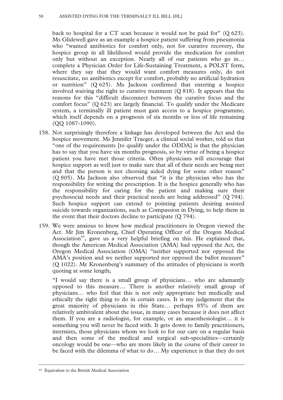back to hospital for a CT scan because it would not be paid for" (Q 623). Ms Glidewell gave as an example a hospice patient suffering from pneumonia who "wanted antibiotics for comfort only, not for curative recovery, the hospice group in all likelihood would provide the medication for comfort only but without an exception. Nearly all of our patients who go in… complete a Physician Order for Life-Sustaining Treatment, a POLST form, where they say that they would want comfort measures only, do not resuscitate, no antibiotics except for comfort, probably no artificial hydration or nutrition" (Q 625). Ms Jackson confirmed that entering a hospice involved waiving the right to curative treatment (Q 818). It appears that the reasons for this "difficult disconnect between the curative focus and the comfort focus" (Q 623) are largely financial. To qualify under the Medicare system, a terminally ill patient must gain access to a hospice programme, which itself depends on a prognosis of six months or less of life remaining (QQ 1087-1090).

- 158. Not surprisingly therefore a linkage has developed between the Act and the hospice movement. Ms Jennifer Traeger, a clinical social worker, told us that "one of the requirements [to qualify under the ODDA] is that the physician has to say that you have six months prognosis, so by virtue of being a hospice patient you have met those criteria. Often physicians will encourage that hospice support as well just to make sure that all of their needs are being met and that the person is not choosing aided dying for some other reason" (Q 805). Ms Jackson also observed that "it is the physician who has the responsibility for writing the prescription. It is the hospice generally who has the responsibility for caring for the patient and making sure their psychosocial needs and their practical needs are being addressed" (Q 794). Such hospice support can extend to pointing patients desiring assisted suicide towards organizations, such as Compassion in Dying, to help them in the event that their doctors decline to participate (Q 794).
- 159. We were anxious to know how medical practitioners in Oregon viewed the Act. Mr Jim Kronenberg, Chief Operating Officer of the Oregon Medical Association<sup>55</sup>, gave us a very helpful briefing on this. He explained that, though the American Medical Association (AMA) had opposed the Act, the Oregon Medical Association (OMA) "neither supported nor opposed the AMA's position and we neither supported nor opposed the ballot measure" (Q 1022). Mr Kronenberg's summary of the attitudes of physicians is worth quoting at some length;

"I would say there is a small group of physicians… who are adamantly opposed to this measure… There is another relatively small group of physicians… who feel that this is not only appropriate but medically and ethically the right thing to do in certain cases. It is my judgement that the great majority of physicians in this State… perhaps 85% of them are relatively ambivalent about the issue, in many cases because it does not affect them. If you are a radiologist, for example, or an anaesthesiologist… it is something you will never be faced with. It gets down to family practitioners, internists, those physicians whom we look to for our care on a regular basis and then some of the medical and surgical sub-specialities—certainly oncology would be one—who are more likely in the course of their career to be faced with the dilemma of what to do… My experience is that they do not

 <sup>55</sup> Equivalent to the British Medical Association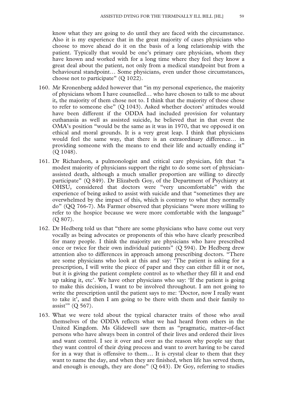know what they are going to do until they are faced with the circumstance. Also it is my experience that in the great majority of cases physicians who choose to move ahead do it on the basis of a long relationship with the patient. Typically that would be one's primary care physician, whom they have known and worked with for a long time where they feel they know a great deal about the patient, not only from a medical standpoint but from a behavioural standpoint… Some physicians, even under those circumstances, choose not to participate" (Q 1022).

- 160. Mr Kronenberg added however that "in my personal experience, the majority of physicians whom I have counselled… who have chosen to talk to me about it, the majority of them chose not to. I think that the majority of those chose to refer to someone else" (Q 1043). Asked whether doctors' attitudes would have been different if the ODDA had included provision for voluntary euthanasia as well as assisted suicide, he believed that in that event the OMA's position "would be the same as it was in 1970, that we opposed it on ethical and moral grounds. It is a very great leap. I think that physicians would feel the same way, that there is an extraordinary difference… in providing someone with the means to end their life and actually ending it" (Q 1048).
- 161. Dr Richardson, a pulmonologist and critical care physician, felt that "a modest majority of physicians support the right to do some sort of physicianassisted death, although a much smaller proportion are willing to directly participate" (Q 849). Dr Elizabeth Goy, of the Department of Psychiatry at OHSU, considered that doctors were "very uncomfortable" with the experience of being asked to assist with suicide and that "sometimes they are overwhelmed by the impact of this, which is contrary to what they normally do" (QQ 766-7). Ms Farmer observed that physicians "were more willing to refer to the hospice because we were more comfortable with the language" (Q 807).
- 162. Dr Hedberg told us that "there are some physicians who have come out very vocally as being advocates or proponents of this who have clearly prescribed for many people. I think the majority are physicians who have prescribed once or twice for their own individual patients" (Q 594). Dr Hedberg drew attention also to differences in approach among prescribing doctors. "There are some physicians who look at this and say: 'The patient is asking for a prescription, I will write the piece of paper and they can either fill it or not, but it is giving the patient complete control as to whether they fill it and end up taking it, etc'. We have other physicians who say: 'If the patient is going to make this decision, I want to be involved throughout. I am not going to write the prescription until the patient says to me: 'Doctor, now I really want to take it', and then I am going to be there with them and their family to assist'" (Q 567).
- 163. What we were told about the typical character traits of those who avail themselves of the ODDA reflects what we had heard from others in the United Kingdom. Ms Glidewell saw them as "pragmatic, matter-of-fact persons who have always been in control of their lives and ordered their lives and want control. I see it over and over as the reason why people say that they want control of their dying process and want to avert having to be cared for in a way that is offensive to them… It is crystal clear to them that they want to name the day, and when they are finished, when life has served them, and enough is enough, they are done"  $(Q 643)$ . Dr Goy, referring to studies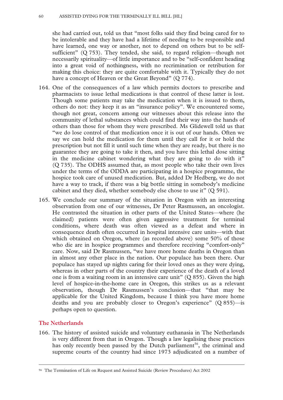she had carried out, told us that "most folks said they find being cared for to be intolerable and they have had a lifetime of needing to be responsible and have learned, one way or another, not to depend on others but to be selfsufficient" (Q 753). They tended, she said, to regard religion—though not necessarily spirituality—of little importance and to be "self-confident heading into a great void of nothingness, with no recrimination or retribution for making this choice: they are quite comfortable with it. Typically they do not have a concept of Heaven or the Great Beyond" (Q 774).

- 164. One of the consequences of a law which permits doctors to prescribe and pharmacists to issue lethal medications is that control of these latter is lost. Though some patients may take the medication when it is issued to them, others do not: they keep it as an "insurance policy". We encountered some, though not great, concern among our witnesses about this release into the community of lethal substances which could find their way into the hands of others than those for whom they were prescribed. Ms Glidewell told us that "we do lose control of that medication once it is out of our hands. Often we say we can hold the medication for them until they call for it or hold the prescription but not fill it until such time when they are ready, but there is no guarantee they are going to take it then, and you have this lethal dose sitting in the medicine cabinet wondering what they are going to do with it" (Q 735). The ODHS assumed that, as most people who take their own lives under the terms of the ODDA are participating in a hospice programme, the hospice took care of unused medication. But, added Dr Hedberg, we do not have a way to track, if there was a big bottle sitting in somebody's medicine cabinet and they died, whether somebody else chose to use it" (Q 591).
- 165. We conclude our summary of the situation in Oregon with an interesting observation from one of our witnesses, Dr Peter Rasmussen, an oncologist. He contrasted the situation in other parts of the United States—where (he claimed) patients were often given aggressive treatment for terminal conditions, where death was often viewed as a defeat and where in consequence death often occurred in hospital intensive care units—with that which obtained on Oregon, where (as recorded above) some 50% of those who die are in hospice programmes and therefore receiving "comfort-only" care. Now, said Dr Rasmussen, "we have more home deaths in Oregon than in almost any other place in the nation. Our populace has been there. Our populace has stayed up nights caring for their loved ones as they were dying, whereas in other parts of the country their experience of the death of a loved one is from a waiting room in an intensive care unit"  $(Q 855)$ . Given the high level of hospice-in-the-home care in Oregon, this strikes us as a relevant observation, though Dr Rasmussen's conclusion—that "that may be applicable for the United Kingdom, because I think you have more home deaths and you are probably closer to Oregon's experience" (Q 855)—is perhaps open to question.

### **The Netherlands**

166. The history of assisted suicide and voluntary euthanasia in The Netherlands is very different from that in Oregon. Though a law legalising these practices has only recently been passed by the Dutch parliament<sup>56</sup>, the criminal and supreme courts of the country had since 1973 adjudicated on a number of

 <sup>56</sup> The Termination of Life on Request and Assisted Suicide (Review Procedures) Act 2002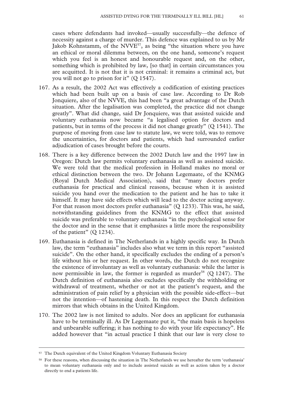cases where defendants had invoked—usually successfully—the defence of necessity against a charge of murder. This defence was explained to us by Mr Jakob Kohnstamm, of the NVVE<sup>57</sup>, as being "the situation where you have an ethical or moral dilemma between, on the one hand, someone's request which you feel is an honest and honourable request and, on the other, something which is prohibited by law, [so that] in certain circumstances you are acquitted. It is not that it is not criminal: it remains a criminal act, but you will not go to prison for it" (Q 1547).

- 167. As a result, the 2002 Act was effectively a codification of existing practices which had been built up on a basis of case law. According to Dr Rob Jonquiere, also of the NVVE, this had been "a great advantage of the Dutch situation. After the legalisation was completed, the practice did not change greatly". What did change, said Dr Jonquiere, was that assisted suicide and voluntary euthanasia now became "a legalised option for doctors and patients, but in terms of the process it did not change greatly" (Q 1541). The purpose of moving from case law to statute law, we were told, was to remove the uncertainties, for doctors and patients, which had surrounded earlier adjudication of cases brought before the courts.
- 168. There is a key difference between the 2002 Dutch law and the 1997 law in Oregon: Dutch law permits voluntary euthanasia as well as assisted suicide. We were told that the medical profession in Holland makes no moral or ethical distinction between the two. Dr Johann Legemaate, of the KNMG (Royal Dutch Medical Association), said that "many doctors prefer euthanasia for practical and clinical reasons, because when it is assisted suicide you hand over the medication to the patient and he has to take it himself. It may have side effects which will lead to the doctor acting anyway. For that reason most doctors prefer euthanasia" (Q 1233). This was, he said, notwithstanding guidelines from the KNMG to the effect that assisted suicide was preferable to voluntary euthanasia "in the psychological sense for the doctor and in the sense that it emphasizes a little more the responsibility of the patient" (Q 1234).
- 169. Euthanasia is defined in The Netherlands in a highly specific way. In Dutch law, the term "euthanasia" includes also what we term in this report "assisted suicide". On the other hand, it specifically excludes the ending of a person's life without his or her request. In other words, the Dutch do not recognize the existence of involuntary as well as voluntary euthanasia: while the latter is now permissible in law, the former is regarded as murder<sup>58</sup> (O 1247). The Dutch definition of euthanasia also excludes specifically the withholding or withdrawal of treatment, whether or not at the patient's request, and the administration of pain relief by a physician with the possible side-effect—but not the intention—of hastening death. In this respect the Dutch definition mirrors that which obtains in the United Kingdom.
- 170. The 2002 law is not limited to adults. Nor does an applicant for euthanasia have to be terminally ill. As Dr Legemaate put it, "the main basis is hopeless and unbearable suffering; it has nothing to do with your life expectancy". He added however that "in actual practice I think that our law is very close to

 <sup>57</sup> The Dutch equivalent of the United Kingdom Voluntary Euthanasia Society

<sup>58</sup> For these reasons, when discussing the situation in The Netherlands we use hereafter the term 'euthanasia' to mean voluntary euthanasia only and to include assisted suicide as well as action taken by a doctor directly to end a patients life.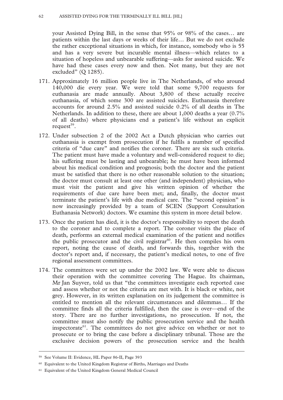your Assisted Dying Bill, in the sense that 95% or 98% of the cases… are patients within the last days or weeks of their life… But we do not exclude the rather exceptional situations in which, for instance, somebody who is 55 and has a very severe but incurable mental illness—which relates to a situation of hopeless and unbearable suffering—asks for assisted suicide. We have had these cases every now and then. Not many, but they are not excluded" (Q 1285).

- 171. Approximately 16 million people live in The Netherlands, of who around 140,000 die every year. We were told that some 9,700 requests for euthanasia are made annually. About 3,800 of these actually receive euthanasia, of which some 300 are assisted suicides. Euthanasia therefore accounts for around 2.5% and assisted suicide 0.2% of all deaths in The Netherlands. In addition to these, there are about 1,000 deaths a year (0.7% of all deaths) where physicians end a patient's life without an explicit request $59$ .
- 172. Under subsection 2 of the 2002 Act a Dutch physician who carries out euthanasia is exempt from prosecution if he fulfils a number of specified criteria of "due care" and notifies the coroner. There are six such criteria. The patient must have made a voluntary and well-considered request to die; his suffering must be lasting and unbearable; he must have been informed about his medical condition and prognosis; both the doctor and the patient must be satisfied that there is no other reasonable solution to the situation; the doctor must consult at least one other (and independent) physician, who must visit the patient and give his written opinion of whether the requirements of due care have been met; and, finally, the doctor must terminate the patient's life with due medical care. The "second opinion" is now increasingly provided by a team of SCEN (Support Consultation Euthanasia Network) doctors. We examine this system in more detail below.
- 173. Once the patient has died, it is the doctor's responsibility to report the death to the coroner and to complete a report. The coroner visits the place of death, performs an external medical examination of the patient and notifies the public prosecutor and the civil registrar $60$ . He then compiles his own report, noting the cause of death, and forwards this, together with the doctor's report and, if necessary, the patient's medical notes, to one of five regional assessment committees.
- 174. The committees were set up under the 2002 law. We were able to discuss their operation with the committee covering The Hague. Its chairman, Mr Jan Suyver, told us that "the committees investigate each reported case and assess whether or not the criteria are met with. It is black or white, not grey. However, in its written explanation on its judgement the committee is entitled to mention all the relevant circumstances and dilemmas… If the committee finds all the criteria fulfilled, then the case is over—end of the story. There are no further investigations, no prosecution. If not, the committee must also notify the public prosecution service and the health inspectorate<sup>61</sup>. The committees do not give advice on whether or not to prosecute or to bring the case before a disciplinary tribunal. Those are the exclusive decision powers of the prosecution service and the health

 <sup>59</sup> See Volume II: Evidence, HL Paper 86-II, Page 393

<sup>60</sup> Equivalent to the United Kingdom Registrar of Births, Marriages and Deaths

<sup>61</sup> Equivalent of the United Kingdom General Medical Council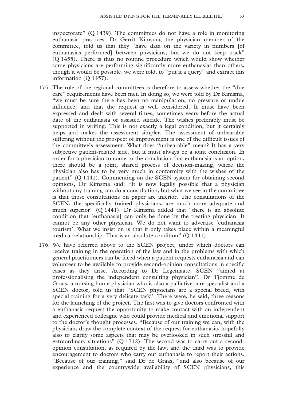inspectorate" (Q 1439). The committees do not have a role in monitoring euthanasia practices. Dr Gerrit Kimsma, the physician member of the committee, told us that they "have data on the variety in numbers [of euthanasias performed] between physicians, but we do not keep track" (Q 1455). There is thus no routine procedure which would show whether some physicians are performing significantly more euthanasias than others, though it would be possible, we were told, to "put it a query" and extract this information (Q 1457).

- 175. The role of the regional committees is therefore to assess whether the "due care" requirements have been met. In doing so, we were told by Dr Kimsma, "we must be sure there has been no manipulation, no pressure or undue influence, and that the request is well considered. It must have been expressed and dealt with several times, sometimes years before the actual date of the euthanasia or assisted suicide. The wishes preferably must be supported in writing. This is not exactly a legal condition, but it certainly helps and makes the assessment simpler. The assessment of unbearable suffering without the prospect of improvement is one of the difficult issues of the committee's assessment. What does "unbearable" mean? It has a very subjective patient-related side, but it must always be a joint conclusion. In order for a physician to come to the conclusion that euthanasia is an option, there should be a joint, shared process of decision-making, where the physician also has to be very much in conformity with the wishes of the patient" (Q 1441). Commenting on the SCEN system for obtaining second opinions, Dr Kimsma said: "It is now legally possible that a physician without any training can do a consultation, but what we see in the committee is that those consultations on paper are inferior. The consultations of the SCEN, the specifically trained physicians, are much more adequate and much superior" (Q 1441). Dr Kimsma added that "there is an absolute condition that [euthanasia] can only be done by the treating physician. It cannot be any other physician. We do not want to advertise 'euthanasia tourism'. What we insist on is that it only takes place within a meaningful medical relationship. That is an absolute condition" (Q 1441).
- 176. We have referred above to the SCEN project, under which doctors can receive training in the operation of the law and in the problems with which general practitioners can be faced when a patient requests euthanasia and can volunteer to be available to provide second-opinion consultations in specific cases as they arise. According to Dr Legemaate, SCEN "aimed at professionalising the independent consulting physician". Dr Tjomme de Graas, a nursing home physician who is also a palliative care specialist and a SCEN doctor, told us that "SCEN physicians are a special breed, with special training for a very delicate task". There were, he said, three reasons for the launching of the project. The first was to give doctors confronted with a euthanasia request the opportunity to make contact with an independent and experienced colleague who could provide medical and emotional support to the doctor's thought processes. "Because of our training we can, with the physician, draw the complete context of the request for euthanasia, hopefully also to clarify some aspects that may be overlooked in such stressful and extraordinary situations" (Q 1712). The second was to carry out a secondopinion consultation, as required by the law; and the third was to provide encouragement to doctors who carry out euthanasia to report their actions. "Because of our training," said Dr de Graas, "and also because of our experience and the countrywide availability of SCEN physicians, this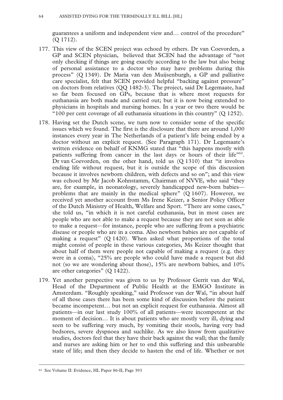guarantees a uniform and independent view and… control of the procedure" (Q 1712).

- 177. This view of the SCEN project was echoed by others. Dr van Coevorden, a GP and SCEN physician, believed that SCEN had the advantage of "not only checking if things are going exactly according to the law but also being of personal assistance to a doctor who may have problems during this process" (Q 1349). Dr Maria van den Muijsenburgh, a GP and palliative care specialist, felt that SCEN provided helpful "backing against pressure" on doctors from relatives (QQ 1482-3). The project, said Dr Legemaate, had so far been focused on GPs, because that is where most requests for euthanasia are both made and carried out; but it is now being extended to physicians in hospitals and nursing homes. In a year or two there would be "100 per cent coverage of all euthanasia situations in this country" (Q 1252).
- 178. Having set the Dutch scene, we turn now to consider some of the specific issues which we found. The first is the disclosure that there are around 1,000 instances every year in The Netherlands of a patient's life being ended by a doctor without an explicit request. (See Paragraph 171). Dr Legemaate's written evidence on behalf of KNMG stated that "this happens mostly with patients suffering from cancer in the last days or hours of their life"<sup>62</sup>. Dr van Coevorden, on the other hand, told us (Q 1310) that "it involves ending life without request, but it is outside the scope of this discussion because it involves newborn children, with defects and so on"; and this view was echoed by Mr Jacob Kohnstamm, Chairman of NVVE, who said "they are, for example, in neonatology, severely handicapped new-born babies problems that are mainly in the medical sphere" (Q 1607). However, we received yet another account from Ms Irene Keizer, a Senior Policy Officer of the Dutch Ministry of Health, Welfare and Sport. "There are some cases," she told us, "in which it is not careful euthanasia, but in most cases are people who are not able to make a request because they are not seen as able to make a request—for instance, people who are suffering from a psychiatric disease or people who are in a coma. Also newborn babies are not capable of making a request" (Q 1420). When asked what proportions of the total might consist of people in these various categories, Ms Keizer thought that about half of them were people not capable of making a request (e.g. they were in a coma), "25% are people who could have made a request but did not (so we are wondering about those), 15% are newborn babies, and 10% are other categories" (Q 1422).
- 179. Yet another perspective was given to us by Professor Gerrit van der Wal, Head of the Department of Public Health at the EMGO Institute in Amsterdam. "Roughly speaking," said Professor van der Wal, "in about half of all those cases there has been some kind of discussion before the patient became incompetent… but not an explicit request for euthanasia. Almost all patients—in our last study 100% of all patients—were incompetent at the moment of decision... It is about patients who are mostly very ill, dying and seen to be suffering very much, by vomiting their stools, having very bad bedsores, severe dyspnoea and suchlike. As we also know from qualitative studies, doctors feel that they have their back against the wall; that the family and nurses are asking him or her to end this suffering and this unbearable state of life; and then they decide to hasten the end of life. Whether or not

 <sup>62</sup> See Volume II: Evidence, HL Paper 86-II, Page 393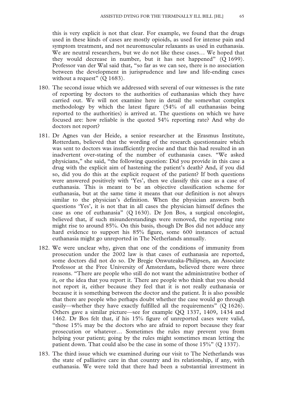this is very explicit is not that clear. For example, we found that the drugs used in these kinds of cases are mostly opioids, as used for intense pain and symptom treatment, and not neuromuscular relaxants as used in euthanasia. We are neutral researchers, but we do not like these cases… We hoped that they would decrease in number, but it has not happened" (Q 1699). Professor van der Wal said that, "so far as we can see, there is no association between the development in jurisprudence and law and life-ending cases without a request"  $(O 1683)$ .

- 180. The second issue which we addressed with several of our witnesses is the rate of reporting by doctors to the authorities of euthanasias which they have carried out. We will not examine here in detail the somewhat complex methodology by which the latest figure (54% of all euthanasias being reported to the authorities) is arrived at. The questions on which we have focused are: how reliable is the quoted 54% reporting rate? And why do doctors not report?
- 181. Dr Agnes van der Heide, a senior researcher at the Erasmus Institute, Rotterdam, believed that the wording of the research questionnaire which was sent to doctors was insufficiently precise and that this had resulted in an inadvertent over-stating of the number of euthanasia cases. "We asked physicians," she said, "the following question: Did you provide in this case a drug with the explicit aim of hastening the patient's death? And, if you did so, did you do this at the explicit request of the patient? If both questions were answered positively with 'Yes', then we classify this case as a case of euthanasia. This is meant to be an objective classification scheme for euthanasia, but at the same time it means that our definition is not always similar to the physician's definition. When the physician answers both questions 'Yes', it is not that in all cases the physician himself defines the case as one of euthanasia" (Q 1630). Dr Jon Bos, a surgical oncologist, believed that, if such misunderstandings were removed, the reporting rate might rise to around 85%. On this basis, though Dr Bos did not adduce any hard evidence to support his 85% figure, some 600 instances of actual euthanasia might go unreported in The Netherlands annually.
- 182. We were unclear why, given that one of the conditions of immunity from prosecution under the 2002 law is that cases of euthanasia are reported, some doctors did not do so. Dr Bregje Onwuteaka-Philipsen, an Associate Professor at the Free University of Amsterdam, believed there were three reasons. "There are people who still do not want the administrative bother of it, or the idea that you report it. There are people who think that you should not report it, either because they feel that it is not really euthanasia or because it is something between the doctor and the patient. It is also possible that there are people who perhaps doubt whether the case would go through easily—whether they have exactly fulfilled all the requirements" (Q 1626). Others gave a similar picture—see for example QQ 1337, 1409, 1434 and 1462. Dr Bos felt that, if his 15% figure of unreported cases were valid, "those 15% may be the doctors who are afraid to report because they fear prosecution or whatever… Sometimes the rules may prevent you from helping your patient; going by the rules might sometimes mean letting the patient down. That could also be the case in some of those 15%" (Q 1337).
- 183. The third issue which we examined during our visit to The Netherlands was the state of palliative care in that country and its relationship, if any, with euthanasia. We were told that there had been a substantial investment in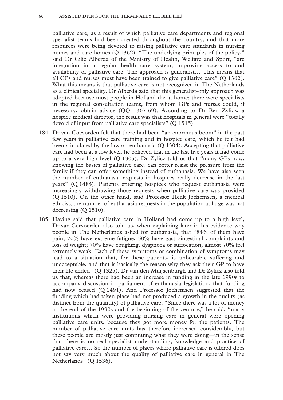#### 66 ASSISTED DYING FOR THE TERMINALLY ILL BILL [HL]

palliative care, as a result of which palliative care departments and regional specialist teams had been created throughout the country; and that more resources were being devoted to raising palliative care standards in nursing homes and care homes (Q 1362). "The underlying principles of the policy," said Dr Cilie Alberda of the Ministry of Health, Welfare and Sport, "are integration in a regular health care system, improving access to and availability of palliative care. The approach is generalist… This means that all GPs and nurses must have been trained to give palliative care" (Q 1362). What this means is that palliative care is not recognized in The Netherlands as a clinical speciality. Dr Alberda said that this generalist-only approach was adopted because most people in Holland die at home: there were specialists in the regional consultation teams, from whom GPs and nurses could, if necessary, obtain advice (QQ 1367-69). According to Dr Ben Zylicz, a hospice medical director, the result was that hospitals in general were "totally devoid of input from palliative care specialists" (Q 1515).

- 184. Dr van Coevorden felt that there had been "an enormous boom" in the past few years in palliative care training and in hospice care, which he felt had been stimulated by the law on euthanasia (Q 1304). Accepting that palliative care had been at a low level, he believed that in the last five years it had come up to a very high level (Q 1305). Dr Zylicz told us that "many GPs now, knowing the basics of palliative care, can better resist the pressure from the family if they can offer something instead of euthanasia. We have also seen the number of euthanasia requests in hospices really decrease in the last years" (Q 1484). Patients entering hospices who request euthanasia were increasingly withdrawing those requests when palliative care was provided (Q 1510). On the other hand, said Professor Henk Jochemsen, a medical ethicist, the number of euthanasia requests in the population at large was not decreasing (Q 1510).
- 185. Having said that palliative care in Holland had come up to a high level, Dr van Corvoerden also told us, when explaining later in his evidence why people in The Netherlands asked for euthanasia, that "84% of them have pain; 70% have extreme fatigue; 50% have gastrointestinal complaints and loss of weight; 70% have coughing, dyspnoea or suffocation; almost 70% feel extremely weak. Each of these symptoms or combination of symptoms may lead to a situation that, for these patients, is unbearable suffering and unacceptable, and that is basically the reason why they ask their GP to have their life ended" (Q 1325). Dr van den Muijsenburgh and Dr Zylicz also told us that, whereas there had been an increase in funding in the late 1990s to accompany discussion in parliament of euthanasia legislation, that funding had now ceased (Q 1491). And Professor Jochemsen suggested that the funding which had taken place had not produced a growth in the quality (as distinct from the quantity) of palliative care. "Since there was a lot of money at the end of the 1990s and the beginning of the century," he said, "many institutions which were providing nursing care in general were opening palliative care units, because they got more money for the patients. The number of palliative care units has therefore increased considerably, but these people are mostly just continuing what they were doing—in the sense that there is no real specialist understanding, knowledge and practice of palliative care… So the number of places where palliative care is offered does not say very much about the quality of palliative care in general in The Netherlands" (Q 1536).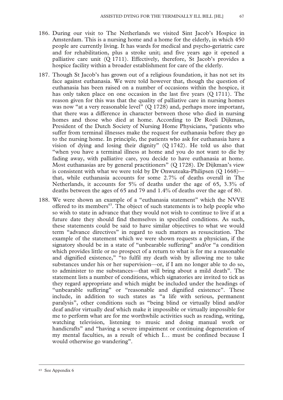- 186. During our visit to The Netherlands we visited Sint Jacob's Hospice in Amsterdam. This is a nursing home and a home for the elderly, in which 450 people are currently living. It has wards for medical and psycho-geriatric care and for rehabilitation, plus a stroke unit; and five years ago it opened a palliative care unit (Q 1711). Effectively, therefore, St Jacob's provides a hospice facility within a broader establishment for care of the elderly.
- 187. Though St Jacob's has grown out of a religious foundation, it has not set its face against euthanasia. We were told however that, though the question of euthanasia has been raised on a number of occasions within the hospice, it has only taken place on one occasion in the last five years (Q 1711). The reason given for this was that the quality of palliative care in nursing homes was now "at a very reasonable level" (Q 1728) and, perhaps more important, that there was a difference in character between those who died in nursing homes and those who died at home. According to Dr Roeli Dijkman, President of the Dutch Society of Nursing Home Physicians, "patients who suffer from terminal illnesses make the request for euthanasia before they go to the nursing home. In principle, the patients who ask for euthanasia have a vision of dying and losing their dignity" (Q 1742). He told us also that "when you have a terminal illness at home and you do not want to die by fading away, with palliative care, you decide to have euthanasia at home. Most euthanasias are by general practitioners" (Q 1728). Dr Dijkman's view is consistent with what we were told by Dr Onwuteaka-Philipsen (Q 1668) that, while euthanasia accounts for some 2.7% of deaths overall in The Netherlands, it accounts for 5% of deaths under the age of 65, 3.3% of deaths between the ages of 65 and 79 and 1.4% of deaths over the age of 80.
- 188. We were shown an example of a "euthanasia statement" which the NVVE offered to its members<sup>63</sup>. The object of such statements is to help people who so wish to state in advance that they would not wish to continue to live if at a future date they should find themselves in specified conditions. As such, these statements could be said to have similar objectives to what we would term "advance directives" in regard to such matters as resuscitation. The example of the statement which we were shown requests a physician, if the signatory should be in a state of "unbearable suffering" and/or "a condition which provides little or no prospect of a return to what is for me a reasonable and dignified existence," "to fulfil my death wish by allowing me to take substances under his or her supervision—or, if I am no longer able to do so, to administer to me substances—that will bring about a mild death". The statement lists a number of conditions, which signatories are invited to tick as they regard appropriate and which might be included under the headings of "unbearable suffering" or "reasonable and dignified existence". These include, in addition to such states as "a life with serious, permanent paralysis", other conditions such as "being blind or virtually blind and/or deaf and/or virtually deaf which make it impossible or virtually impossible for me to perform what are for me worthwhile activities such as reading, writing, watching television, listening to music and doing manual work or handicrafts" and "having a severe impairment or continuing degeneration of my mental faculties, as a result of which I… must be confined because I would otherwise go wandering".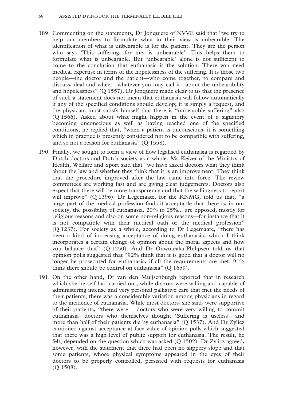- 189. Commenting on the statements, Dr Jonquiere of NVVE said that "we try to help our members to formulate what in their view is unbearable. The identification of what is unbearable is for the patient. They are the person who says 'This suffering, for me, is unbearable'. This helps them to formulate what is unbearable. But 'unbearable' alone is not sufficient to come to the conclusion that euthanasia is the solution. There you need medical expertise in terms of the hopelessness of the suffering. It is those two people—the doctor and the patient—who come together, to compare and discuss, deal and wheel—whatever you may call it—about the unbearability and hopelessness" (Q 1557). Dr Jonquiere made clear to us that the presence of such a statement does not mean that euthanasia will follow automatically if any of the specified conditions should develop; it is simply a request, and the physician must satisfy himself that there is "unbearable suffering" also (Q 1566). Asked about what might happen in the event of a signatory becoming unconscious as well as having reached one of the specified conditions, he replied that, "when a patient is unconscious, it is something which in practice is presently considered not to be compatible with suffering, and so not a reason for euthanasia" (Q 1558).
- 190. Finally, we sought to form a view of how legalised euthanasia is regarded by Dutch doctors and Dutch society as a whole. Ms Keizer of the Ministry of Health, Welfare and Sport said that "we have asked doctors what they think about the law and whether they think that it is an improvement. They think that the procedure improved after the law came into force. The review committees are working fast and are giving clear judgements. Doctors also expect that there will be more transparency and that the willingness to report will improve" (Q 1396). Dr Legemaate, for the KNMG, told us that, "a large part of the medical profession finds it acceptable that there is, in our society, the possibility of euthanasia. 20% to 25%... are opposed, mostly for religious reasons and also on some non-religious reasons—for instance that it is not compatible with their medical oath or the medical profession" (Q 1237). For society as a whole, according to Dr Legemaate, "there has been a kind of increasing acceptance of doing euthanasia, which I think incorporates a certain change of opinion about the moral aspects and how you balance that" (Q 1250). And Dr Onwuteaka-Philipsen told us that opinion polls suggested that "92% think that it is good that a doctor will no longer be prosecuted for euthanasia, if all the requirements are met. 91% think there should be control on euthanasia" (Q 1659).
- 191. On the other hand, Dr van den Muijsenburgh reported that in research which she herself had carried out, while doctors were willing and capable of administering intense and very personal palliative care that met the needs of their patients, there was a considerable variation among physicians in regard to the incidence of euthanasia. While most doctors, she said, were supportive of their patients, "there were… doctors who were very willing to commit euthanasia—doctors who themselves thought 'Suffering is useless'—and more than half of their patients die by euthanasia" (Q 1537). And Dr Zylicz cautioned against acceptance at face value of opinion polls which suggested that there was a high level of public support for euthanasia. The result, he felt, depended on the question which was asked (Q 1502). Dr Zylicz agreed, however, with the statement that there had been no slippery slope and that some patients, whose physical symptoms appeared in the eyes of their doctors to be properly controlled, persisted with requests for euthanasia (Q 1508).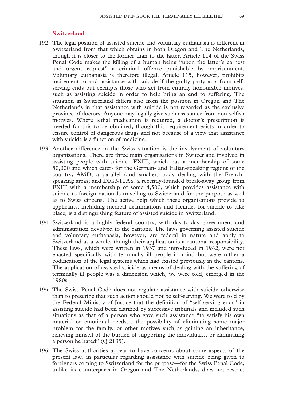### **Switzerland**

- 192. The legal position of assisted suicide and voluntary euthanasia is different in Switzerland from that which obtains in both Oregon and The Netherlands, though it is closer to the former than to the latter. Article 114 of the Swiss Penal Code makes the killing of a human being "upon the latter's earnest and urgent request" a criminal offence punishable by imprisonment. Voluntary euthanasia is therefore illegal. Article 115, however, prohibits incitement to and assistance with suicide if the guilty party acts from selfserving ends but exempts those who act from entirely honourable motives, such as assisting suicide in order to help bring an end to suffering. The situation in Switzerland differs also from the position in Oregon and The Netherlands in that assistance with suicide is not regarded as the exclusive province of doctors. Anyone may legally give such assistance from non-selfish motives. Where lethal medication is required, a doctor's prescription is needed for this to be obtained, though this requirement exists in order to ensure control of dangerous drugs and not because of a view that assistance with suicide is a function of medicine.
- 193. Another difference in the Swiss situation is the involvement of voluntary organisations. There are three main organisations in Switzerland involved in assisting people with suicide—EXIT, which has a membership of some 50,000 and which caters for the German- and Italian-speaking regions of the country; AMD, a parallel (and smaller) body dealing with the Frenchspeaking areas; and DIGNITAS, a recently-founded break-away group from EXIT with a membership of some 4,500, which provides assistance with suicide to foreign nationals travelling to Switzerland for the purpose as well as to Swiss citizens. The active help which these organisations provide to applicants, including medical examinations and facilities for suicide to take place, is a distinguishing feature of assisted suicide in Switzerland.
- 194. Switzerland is a highly federal country, with day-to-day government and administration devolved to the cantons. The laws governing assisted suicide and voluntary euthanasia, however, are federal in nature and apply to Switzerland as a whole, though their application is a cantonal responsibility. These laws, which were written in 1937 and introduced in 1942, were not enacted specifically with terminally ill people in mind but were rather a codification of the legal systems which had existed previously in the cantons. The application of assisted suicide as means of dealing with the suffering of terminally ill people was a dimension which, we were told, emerged in the 1980s.
- 195. The Swiss Penal Code does not regulate assistance with suicide otherwise than to prescribe that such action should not be self-serving. We were told by the Federal Ministry of Justice that the definition of "self-serving ends" in assisting suicide had been clarified by successive tribunals and included such situations as that of a person who gave such assistance "to satisfy his own material or emotional needs… the possibility of eliminating some major problem for the family, or other motives such as gaining an inheritance, relieving himself of the burden of supporting the individual… or eliminating a person he hated"  $(Q 2135)$ .
- 196. The Swiss authorities appear to have concerns about some aspects of the present law, in particular regarding assistance with suicide being given to foreigners coming to Switzerland for the purpose—for the Swiss Penal Code, unlike its counterparts in Oregon and The Netherlands, does not restrict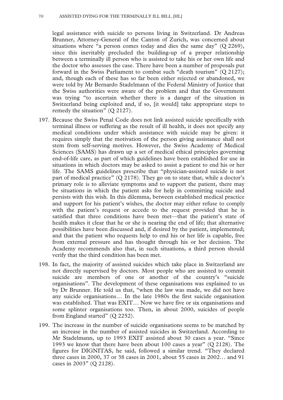legal assistance with suicide to persons living in Switzerland. Dr Andreas Brunner, Attorney-General of the Canton of Zurich, was concerned about situations where "a person comes today and dies the same day"  $(Q 2269)$ , since this inevitably precluded the building-up of a proper relationship between a terminally ill person who is assisted to take his or her own life and the doctor who assesses the case. There have been a number of proposals put forward in the Swiss Parliament to combat such "death tourism" (Q 2127); and, though each of these has so far been either rejected or abandoned, we were told by Mr Bernardo Stadelmann of the Federal Ministry of Justice that the Swiss authorities were aware of the problem and that the Government was trying "to ascertain whether there is a danger of the situation in Switzerland being exploited and, if so, [it would] take appropriate steps to remedy the situation" (Q 2127).

- 197. Because the Swiss Penal Code does not link assisted suicide specifically with terminal illness or suffering as the result of ill health, it does not specify any medical conditions under which assistance with suicide may be given: it requires simply that the motivation of the person giving assistance shall not stem from self-serving motives. However, the Swiss Academy of Medical Sciences (SAMS) has drawn up a set of medical ethical principles governing end-of-life care, as part of which guidelines have been established for use in situations in which doctors may be asked to assist a patient to end his or her life. The SAMS guidelines prescribe that "physician-assisted suicide is not part of medical practice" (Q 2178). They go on to state that, while a doctor's primary role is to alleviate symptoms and to support the patient, there may be situations in which the patient asks for help in committing suicide and persists with this wish. In this dilemma, between established medical practice and support for his patient's wishes, the doctor may either refuse to comply with the patient's request or accede to the request provided that he is satisfied that three conditions have been met—that the patient's state of health makes it clear that he or she is nearing the end of life; that alternative possibilities have been discussed and, if desired by the patient, implemented; and that the patient who requests help to end his or her life is capable, free from external pressure and has thought through his or her decision. The Academy recommends also that, in such situations, a third person should verify that the third condition has been met.
- 198. In fact, the majority of assisted suicides which take place in Switzerland are not directly supervised by doctors. Most people who are assisted to commit suicide are members of one or another of the country's "suicide organisations". The development of these organisations was explained to us by Dr Brunner. He told us that, "when the law was made, we did not have any suicide organisations… In the late 1980s the first suicide organisation was established. That was EXIT… Now we have five or six organisations and some splinter organisations too. Then, in about 2000, suicides of people from England started" (Q 2252).
- 199. The increase in the number of suicide organisations seems to be matched by an increase in the number of assisted suicides in Switzerland. According to Mr Stadelmann, up to 1993 EXIT assisted about 30 cases a year. "Since 1993 we know that there have been about 100 cases a year" (Q 2128). The figures for DIGNITAS, he said, followed a similar trend. "They declared three cases in 2000, 37 or 38 cases in 2001, about 55 cases in 2002… and 91 cases in 2003" (Q 2128).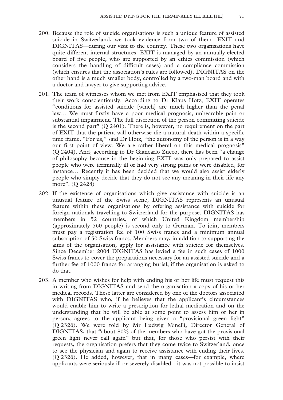- 200. Because the role of suicide organisations is such a unique feature of assisted suicide in Switzerland, we took evidence from two of them—EXIT and DIGNITAS—during our visit to the country. These two organisations have quite different internal structures. EXIT is managed by an annually-elected board of five people, who are supported by an ethics commission (which considers the handling of difficult cases) and a compliance commission (which ensures that the association's rules are followed). DIGNITAS on the other hand is a much smaller body, controlled by a two-man board and with a doctor and lawyer to give supporting advice.
- 201. The team of witnesses whom we met from EXIT emphasised that they took their work conscientiously. According to Dr Klaus Hotz, EXIT operates "conditions for assisted suicide [which] are much higher than the penal law… We must firstly have a poor medical prognosis, unbearable pain or substantial impairment. The full discretion of the person committing suicide is the second part" (Q 2401). There is, however, no requirement on the part of EXIT that the patient will otherwise die a natural death within a specific time frame. "For us," said Dr Hotz, "the autonomy of the person is in a way our first point of view. We are rather liberal on this medical prognosis" (Q 2404). And, according to Dr Giancarlo Zucco, there has been "a change of philosophy because in the beginning EXIT was only prepared to assist people who were terminally ill or had very strong pains or were disabled, for instance… Recently it has been decided that we would also assist elderly people who simply decide that they do not see any meaning in their life any more". (Q 2428)
- 202. If the existence of organisations which give assistance with suicide is an unusual feature of the Swiss scene, DIGNITAS represents an unusual feature within these organisations by offering assistance with suicide for foreign nationals travelling to Switzerland for the purpose. DIGNITAS has members in 52 countries, of which United Kingdom membership (approximately 560 people) is second only to German. To join, members must pay a registration fee of 100 Swiss francs and a minimum annual subscription of 50 Swiss francs. Members may, in addition to supporting the aims of the organisation, apply for assistance with suicide for themselves. Since December 2004 DIGNITAS has levied a fee in such cases of 1000 Swiss francs to cover the preparations necessary for an assisted suicide and a further fee of 1000 francs for arranging burial, if the organisation is asked to do that.
- 203. A member who wishes for help with ending his or her life must request this in writing from DIGNITAS and send the organisation a copy of his or her medical records. These latter are considered by one of the doctors associated with DIGNITAS who, if he believes that the applicant's circumstances would enable him to write a prescription for lethal medication and on the understanding that he will be able at some point to assess him or her in person, agrees to the applicant being given a "provisional green light" (Q 2326). We were told by Mr Ludwig Minelli, Director General of DIGNITAS, that "about 80% of the members who have got the provisional green light never call again" but that, for those who persist with their requests, the organisation prefers that they come twice to Switzerland, once to see the physician and again to receive assistance with ending their lives. (Q 2326). He added, however, that in many cases—for example, where applicants were seriously ill or severely disabled—it was not possible to insist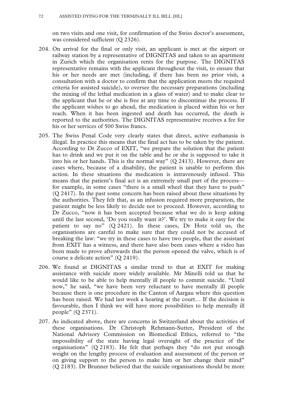on two visits and one visit, for confirmation of the Swiss doctor's assessment, was considered sufficient (Q 2326).

- 204. On arrival for the final or only visit, an applicant is met at the airport or railway station by a representative of DIGNITAS and taken to an apartment in Zurich which the organisation rents for the purpose. The DIGNITAS representative remains with the applicant throughout the visit, to ensure that his or her needs are met (including, if there has been no prior visit, a consultation with a doctor to confirm that the application meets the required criteria for assisted suicide), to oversee the necessary preparations (including the mixing of the lethal medication in a glass of water) and to make clear to the applicant that he or she is free at any time to discontinue the process. If the applicant wishes to go ahead, the medication is placed within his or her reach. When it has been ingested and death has occurred, the death is reported to the authorities. The DIGNITAS representative receives a fee for his or her services of 500 Swiss francs.
- 205. The Swiss Penal Code very clearly states that direct, active euthanasia is illegal. In practice this means that the final act has to be taken by the patient. According to Dr Zucco of EXIT, "we prepare the solution that the patient has to drink and we put it on the table and he or she is supposed to take it into his or her hands. This is the normal way"  $(Q 2413)$ . However, there are cases where, because of a disability, the patient is unable to perform this action. In these situations the medication is intravenously infused. This means that the patient's final act is an extremely small part of the process for example, in some cases "there is a small wheel that they have to push" (Q 2417). In the past some concern has been raised about these situations by the authorities. They felt that, as an infusion required more preparation, the patient might be less likely to decide not to proceed. However, according to Dr Zucco, "now it has been accepted because what we do is keep asking until the last second, 'Do you really want it?'. We try to make it easy for the patient to say no" (Q 2421). In these cases, Dr Hotz told us, the organisations are careful to make sure that they could not be accused of breaking the law: "we try in these cases to have two people, that the assistant from EXIT has a witness, and there have also been cases where a video has been made to prove afterwards that the person opened the valve, which is of course a delicate action" (Q 2419).
- 206. We found at DIGNITAS a similar trend to that at EXIT for making assistance with suicide more widely available. Mr Minelli told us that he would like to be able to help mentally ill people to commit suicide. "Until now," he said, "we have been very reluctant to have mentally ill people because there is one procedure in the Canton of Aargau where this question has been raised. We had last week a hearing at the court… If the decision is favourable, then I think we will have more possibilities to help mentally ill people" (Q 2371).
- 207. As indicated above, there are concerns in Switzerland about the activities of these organisations. Dr Christoph Rehmann-Sutter, President of the National Advisory Commission on Biomedical Ethics, referred to "the impossibility of the state having legal oversight of the practice of the organisations" (Q 2183). He felt that perhaps they "do not put enough weight on the lengthy process of evaluation and assessment of the person or on giving support to the person to make him or her change their mind" (Q 2183). Dr Brunner believed that the suicide organisations should be more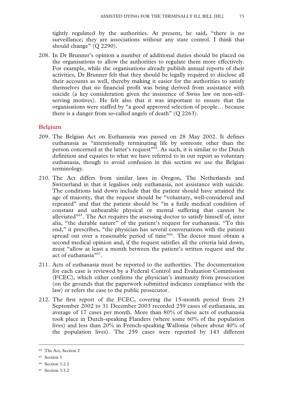tightly regulated by the authorities. At present, he said, "there is no surveillance; they are associations without any state control. I think that should change" (Q 2290).

208. In Dr Brunner's opinion a number of additional duties should be placed on the organisations to allow the authorities to regulate them more effectively. For example, while the organisations already publish annual reports of their activities, Dr Brunner felt that they should be legally required to disclose all their accounts as well, thereby making it easier for the authorities to satisfy themselves that no financial profit was being derived from assistance with suicide (a key consideration given the insistence of Swiss law on non-selfserving motives). He felt also that it was important to ensure that the organisations were staffed by "a good approved selection of people… because there is a danger from so-called angels of death" (Q 2263).

# **Belgium**

- 209. The Belgian Act on Euthanasia was passed on 28 May 2002. It defines euthanasia as "intentionally terminating life by someone other than the person concerned at the latter's request"<sup>64</sup>. As such, it is similar to the Dutch definition and equates to what we have referred to in our report as voluntary euthanasia, though to avoid confusion in this section we use the Belgian terminology.
- 210. The Act differs from similar laws in Oregon, The Netherlands and Switzerland in that it legalises only euthanasia, not assistance with suicide. The conditions laid down include that the patient should have attained the age of majority, that the request should be "voluntary, well-considered and repeated" and that the patient should be "in a futile medical condition of constant and unbearable physical or mental suffering that cannot be alleviated<sup>"65</sup>. The Act requires the assessing doctor to satisfy himself of, inter alia, "the durable nature" of the patient's request for euthanasia. "To this end," it prescribes, "the physician has several conversations with the patient spread out over a reasonable period of time"<sup>66</sup>. The doctor must obtain a second medical opinion and, if the request satisfies all the criteria laid down, must "allow at least a month between the patient's written request and the act of euthanasia"<sup>67</sup>.
- 211. Acts of euthanasia must be reported to the authorities. The documentation for each case is reviewed by a Federal Control and Evaluation Commission (FCEC), which either confirms the physician's immunity from prosecution (on the grounds that the paperwork submitted indicates compliance with the law) or refers the case to the public prosecutor.
- 212. The first report of the FCEC, covering the 15-month period from 23 September 2002 to 31 December 2003 recorded 259 cases of euthanasia, an average of 17 cases per month. More than 80% of these acts of euthanasia took place in Dutch-speaking Flanders (where some 60% of the population lives) and less than 20% in French-speaking Wallonia (where about 40% of the population lives). The 259 cases were reported by 143 different

 <sup>64</sup> The Act, Section 2

<sup>65</sup> Section 3

<sup>66</sup> Section 3.2.2

<sup>67</sup> Section 3.3.2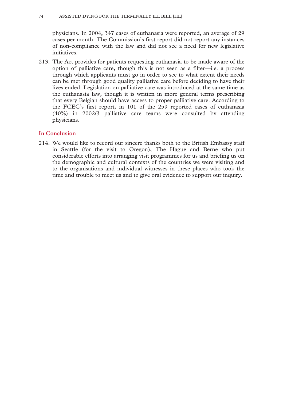physicians. In 2004, 347 cases of euthanasia were reported, an average of 29 cases per month. The Commission's first report did not report any instances of non-compliance with the law and did not see a need for new legislative initiatives.

213. The Act provides for patients requesting euthanasia to be made aware of the option of palliative care, though this is not seen as a filter—i.e. a process through which applicants must go in order to see to what extent their needs can be met through good quality palliative care before deciding to have their lives ended. Legislation on palliative care was introduced at the same time as the euthanasia law, though it is written in more general terms prescribing that every Belgian should have access to proper palliative care. According to the FCEC's first report, in 101 of the 259 reported cases of euthanasia (40%) in 2002/3 palliative care teams were consulted by attending physicians.

# **In Conclusion**

214. We would like to record our sincere thanks both to the British Embassy staff in Seattle (for the visit to Oregon), The Hague and Berne who put considerable efforts into arranging visit programmes for us and briefing us on the demographic and cultural contexts of the countries we were visiting and to the organisations and individual witnesses in these places who took the time and trouble to meet us and to give oral evidence to support our inquiry.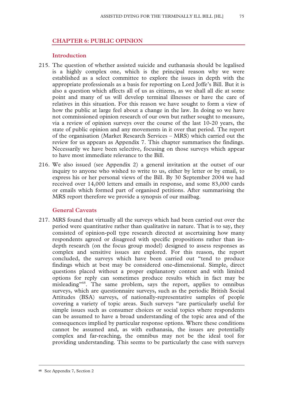# **CHAPTER 6: PUBLIC OPINION**

#### **Introduction**

- 215. The question of whether assisted suicide and euthanasia should be legalised is a highly complex one, which is the principal reason why we were established as a select committee to explore the issues in depth with the appropriate professionals as a basis for reporting on Lord Joffe's Bill. But it is also a question which affects all of us as citizens, as we shall all die at some point and many of us will develop terminal illnesses or have the care of relatives in this situation. For this reason we have sought to form a view of how the public at large feel about a change in the law. In doing so we have not commissioned opinion research of our own but rather sought to measure, via a review of opinion surveys over the course of the last 10-20 years, the state of public opinion and any movements in it over that period. The report of the organisation (Market Research Services – MRS) which carried out the review for us appears as Appendix 7. This chapter summarises the findings. Necessarily we have been selective, focusing on those surveys which appear to have most immediate relevance to the Bill.
- 216. We also issued (see Appendix 2) a general invitation at the outset of our inquiry to anyone who wished to write to us, either by letter or by email, to express his or her personal views of the Bill. By 30 September 2004 we had received over 14,000 letters and emails in response, and some 83,000 cards or emails which formed part of organised petitions. After summarising the MRS report therefore we provide a synopsis of our mailbag.

# **General Caveats**

217. MRS found that virtually all the surveys which had been carried out over the period were quantitative rather than qualitative in nature. That is to say, they consisted of opinion-poll type research directed at ascertaining how many respondents agreed or disagreed with specific propositions rather than indepth research (on the focus group model) designed to assess responses as complex and sensitive issues are explored. For this reason, the report concluded, the surveys which have been carried out "tend to produce findings which at best may be considered one-dimensional. Simple, direct questions placed without a proper explanatory context and with limited options for reply can sometimes produce results which in fact may be misleading"68. The same problem, says the report, applies to omnibus surveys, which are questionnaire surveys, such as the periodic British Social Attitudes (BSA) surveys, of nationally-representative samples of people covering a variety of topic areas. Such surveys "are particularly useful for simple issues such as consumer choices or social topics where respondents can be assumed to have a broad understanding of the topic area and of the consequences implied by particular response options. Where these conditions cannot be assumed and, as with euthanasia, the issues are potentially complex and far-reaching, the omnibus may not be the ideal tool for providing understanding. This seems to be particularly the case with surveys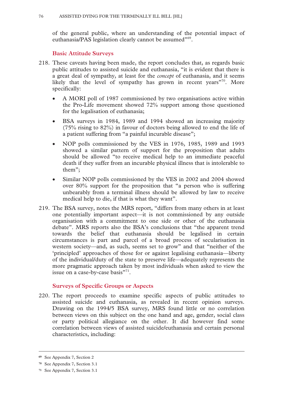of the general public, where an understanding of the potential impact of euthanasia/PAS legislation clearly cannot be assumed"<sup>69</sup>.

# **Basic Attitude Surveys**

- 218. These caveats having been made, the report concludes that, as regards basic public attitudes to assisted suicide and euthanasia, "it is evident that there is a great deal of sympathy, at least for the *concept* of euthanasia, and it seems likely that the level of sympathy has grown in recent years<sup>"70</sup>. More specifically:
	- A MORI poll of 1987 commissioned by two organisations active within the Pro-Life movement showed 72% support among those questioned for the legalisation of euthanasia;
	- BSA surveys in 1984, 1989 and 1994 showed an increasing majority (75% rising to 82%) in favour of doctors being allowed to end the life of a patient suffering from "a painful incurable disease";
	- NOP polls commissioned by the VES in 1976, 1985, 1989 and 1993 showed a similar pattern of support for the proposition that adults should be allowed "to receive medical help to an immediate peaceful death if they suffer from an incurable physical illness that is intolerable to them";
	- Similar NOP polls commissioned by the VES in 2002 and 2004 showed over 80% support for the proposition that "a person who is suffering unbearably from a terminal illness should be allowed by law to receive medical help to die, if that is what they want".
- 219. The BSA survey, notes the MRS report, "differs from many others in at least one potentially important aspect—it is not commissioned by any outside organisation with a commitment to one side or other of the euthanasia debate". MRS reports also the BSA's conclusions that "the apparent trend towards the belief that euthanasia should be legalised in certain circumstances is part and parcel of a broad process of secularisation in western society—and, as such, seems set to grow" and that "neither of the 'principled' approaches of those for or against legalising euthanasia—liberty of the individual/duty of the state to preserve life—adequately represents the more pragmatic approach taken by most individuals when asked to view the issue on a case-by-case basis"<sup>71</sup>.

# **Surveys of Specific Groups or Aspects**

220. The report proceeds to examine specific aspects of public attitudes to assisted suicide and euthanasia, as revealed in recent opinion surveys. Drawing on the 1994/5 BSA survey, MRS found little or no correlation between views on this subject on the one hand and age, gender, social class or party political allegiance on the other. It did however find some correlation between views of assisted suicide/euthanasia and certain personal characteristics, including:

**<sup>69</sup>** See Appendix 7, Section 2

**<sup>70</sup>** See Appendix 7, Section 3.1

**<sup>71</sup>** See Appendix 7, Section 3.1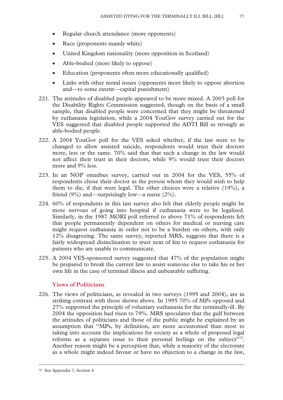- Regular church attendance (more opponents)
- Race (proponents mainly white)
- United Kingdom nationality (more opposition in Scotland)
- Able-bodied (more likely to oppose)
- Education (proponents often more educationally qualified)
- Links with other moral issues (opponents more likely to oppose abortion and—to some extent—capital punishment)
- 221. The attitudes of disabled people appeared to be more mixed. A 2003 poll for the Disability Rights Commission suggested, though on the basis of a small sample, that disabled people were concerned that they might be threatened by euthanasia legislation, while a 2004 YouGov survey carried out for the VES suggested that disabled people supported the ADTI Bill as strongly as able-bodied people.
- 222. A 2004 YouGov poll for the VES asked whether, if the law were to be changed to allow assisted suicide, respondents would trust their doctors more, less or the same. 70% said that that such a change in the law would not affect their trust in their doctors, while 9% would trust their doctors more and 9% less.
- 223. In an NOP omnibus survey, carried out in 2004 for the VES, 55% of respondents chose their doctor as the person whom they would wish to help them to die, if that were legal. The other choices were a relative (19%), a friend  $(9\%)$  and—surprisingly low—a nurse  $(2\%)$ .
- 224. 60% of respondents in this last survey also felt that elderly people might be more nervous of going into hospital if euthanasia were to be legalised. Similarly, in the 1987 MORI poll referred to above 71% of respondents felt that people permanently dependent on others for medical or nursing care might request euthanasia in order not to be a burden on others, with only 12% disagreeing. The same survey, reported MRS, suggests that there is a fairly widespread disinclination to trust next of kin to request euthanasia for patients who are unable to communicate.
- 225. A 2004 VES-sponsored survey suggested that 47% of the population might be prepared to break the current law to assist someone else to take his or her own life in the case of terminal illness and unbearable suffering.

# **Views of Politicians**

226. The views of politicians, as revealed in two surveys (1995 and 2004), are in striking contrast with those shown above. In 1995 70% of MPs opposed and 27% supported the principle of voluntary euthanasia for the terminally-ill. By 2004 the opposition had risen to 79%. MRS speculates that the gulf between the attitudes of politicians and those of the public might be explained by an assumption that "MPs, by definition, are more accustomed than most to taking into account the implications for society as a whole of proposed legal reforms as a separate issue to their personal feelings on the subject"<sup>72</sup>. Another reason might be a perception that, while a majority of the electorate as a whole might indeed favour or have no objection to a change in the law,

**<sup>72</sup>** See Appendix 7, Section 4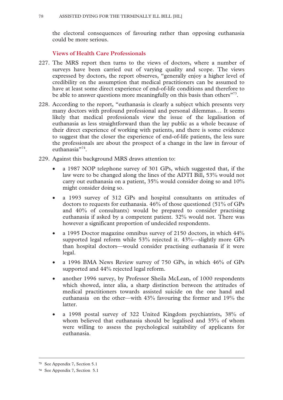the electoral consequences of favouring rather than opposing euthanasia could be more serious.

**Views of Health Care Professionals** 

- 227. The MRS report then turns to the views of doctors, where a number of surveys have been carried out of varying quality and scope. The views expressed by doctors, the report observes, "generally enjoy a higher level of credibility on the assumption that medical practitioners can be assumed to have at least some direct experience of end-of-life conditions and therefore to be able to answer questions more meaningfully on this basis than others<sup>"73</sup>.
- 228. According to the report, "euthanasia is clearly a subject which presents very many doctors with profound professional and personal dilemmas… It seems likely that medical professionals view the issue of the legalisation of euthanasia as less straightforward than the lay public as a whole because of their direct experience of working with patients, and there is some evidence to suggest that the closer the experience of end-of-life patients, the less sure the professionals are about the prospect of a change in the law in favour of euthanasia"<sup>74</sup>.
- 229. Against this background MRS draws attention to:
	- a 1987 NOP telephone survey of 301 GPs, which suggested that, if the law were to be changed along the lines of the ADTI Bill, 53% would not carry out euthanasia on a patient, 35% would consider doing so and 10% might consider doing so.
	- a 1993 survey of 312 GPs and hospital consultants on attitudes of doctors to requests for euthanasia. 46% of those questioned (51% of GPs and 40% of consultants) would be prepared to consider practising euthanasia if asked by a competent patient. 32% would not. There was however a significant proportion of undecided respondents.
	- a 1995 Doctor magazine omnibus survey of 2150 doctors, in which 44% supported legal reform while 53% rejected it. 43%—slightly more GPs than hospital doctors—would consider practising euthanasia if it were legal.
	- a 1996 BMA News Review survey of 750 GPs, in which 46% of GPs supported and 44% rejected legal reform.
	- another 1996 survey, by Professor Sheila McLean, of 1000 respondents which showed, inter alia, a sharp distinction between the attitudes of medical practitioners towards assisted suicide on the one hand and euthanasia on the other—with 43% favouring the former and 19% the latter.
	- a 1998 postal survey of 322 United Kingdom psychiatrists, 38% of whom believed that euthanasia should be legalised and 35% of whom were willing to assess the psychological suitability of applicants for euthanasia.

**<sup>73</sup>** See Appendix 7, Section 5.1

**<sup>74</sup>** See Appendix 7, Section 5.1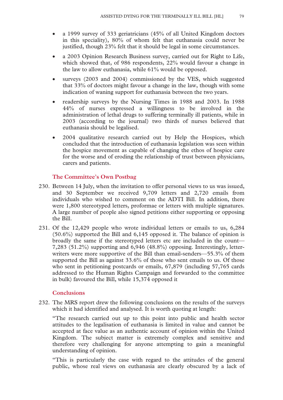- a 1999 survey of 333 geriatricians (45% of all United Kingdom doctors in this speciality), 80% of whom felt that euthanasia could never be justified, though 23% felt that it should be legal in some circumstances.
- a 2003 Opinion Research Business survey, carried out for Right to Life, which showed that, of 986 respondents, 22% would favour a change in the law to allow euthanasia, while 61% would be opposed.
- surveys (2003 and 2004) commissioned by the VES, which suggested that 33% of doctors might favour a change in the law, though with some indication of waning support for euthanasia between the two years.
- readership surveys by the Nursing Times in 1988 and 2003. In 1988 44% of nurses expressed a willingness to be involved in the administration of lethal drugs to suffering terminally ill patients, while in 2003 (according to the journal) two thirds of nurses believed that euthanasia should be legalised.
- 2004 qualitative research carried out by Help the Hospices, which concluded that the introduction of euthanasia legislation was seen within the hospice movement as capable of changing the ethos of hospice care for the worse and of eroding the relationship of trust between physicians, carers and patients.

# **The Committee's Own Postbag**

- 230. Between 14 July, when the invitation to offer personal views to us was issued, and 30 September we received 9,709 letters and 2,720 emails from individuals who wished to comment on the ADTI Bill. In addition, there were 1,800 stereotyped letters, proformae or letters with multiple signatures. A large number of people also signed petitions either supporting or opposing the Bill.
- 231. Of the 12,429 people who wrote individual letters or emails to us, 6,284 (50.6%) supported the Bill and 6,145 opposed it. The balance of opinion is broadly the same if the stereotyped letters etc are included in the count— 7,283 (51.2%) supporting and 6,946 (48.8%) opposing. Interestingly, letterwriters were more supportive of the Bill than email-senders—55.3% of them supported the Bill as against 33.6% of those who sent emails to us. Of those who sent in petitioning postcards or emails, 67,879 (including 57,765 cards addressed to the Human Rights Campaign and forwarded to the committee in bulk) favoured the Bill, while 15,374 opposed it

# **Conclusions**

232. The MRS report drew the following conclusions on the results of the surveys which it had identified and analysed. It is worth quoting at length:

"The research carried out up to this point into public and health sector attitudes to the legalisation of euthanasia is limited in value and cannot be accepted at face value as an authentic account of opinion within the United Kingdom. The subject matter is extremely complex and sensitive and therefore very challenging for anyone attempting to gain a meaningful understanding of opinion.

"This is particularly the case with regard to the attitudes of the general public, whose real views on euthanasia are clearly obscured by a lack of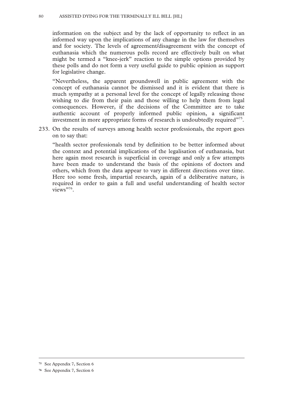#### 80 ASSISTED DYING FOR THE TERMINALLY ILL BILL [HL]

information on the subject and by the lack of opportunity to reflect in an informed way upon the implications of any change in the law for themselves and for society. The levels of agreement/disagreement with the concept of euthanasia which the numerous polls record are effectively built on what might be termed a "knee-jerk" reaction to the simple options provided by these polls and do not form a very useful guide to public opinion as support for legislative change.

"Nevertheless, the apparent groundswell in public agreement with the concept of euthanasia cannot be dismissed and it is evident that there is much sympathy at a personal level for the concept of legally releasing those wishing to die from their pain and those willing to help them from legal consequences. However, if the decisions of the Committee are to take authentic account of properly informed public opinion, a significant investment in more appropriate forms of research is undoubtedly required"<sup>75</sup>.

233. On the results of surveys among health sector professionals, the report goes on to say that:

"health sector professionals tend by definition to be better informed about the context and potential implications of the legalisation of euthanasia, but here again most research is superficial in coverage and only a few attempts have been made to understand the basis of the opinions of doctors and others, which from the data appear to vary in different directions over time. Here too some fresh, impartial research, again of a deliberative nature, is required in order to gain a full and useful understanding of health sector views"<sup>76</sup>.

**<sup>75</sup>** See Appendix 7, Section 6

**<sup>76</sup>** See Appendix 7, Section 6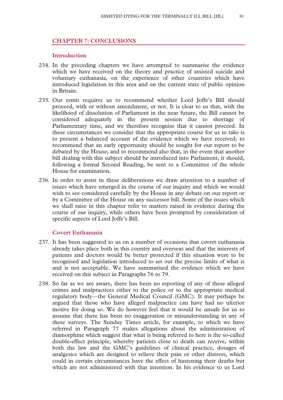#### **CHAPTER 7: CONCLUSIONS**

#### **Introduction**

- 234. In the preceding chapters we have attempted to summarise the evidence which we have received on the theory and practice of assisted suicide and voluntary euthanasia, on the experience of other countries which have introduced legislation in this area and on the current state of public opinion in Britain.
- 235. Our remit requires us to recommend whether Lord Joffe's Bill should proceed, with or without amendment, or not. It is clear to us that, with the likelihood of dissolution of Parliament in the near future, the Bill cannot be considered adequately in the present session due to shortage of Parliamentary time, and we therefore recognise that it cannot proceed. In these circumstances we consider that the appropriate course for us to take is to present a balanced account of the evidence which we have received; to recommend that an early opportunity should be sought for our report to be debated by the House; and to recommend also that, in the event that another bill dealing with this subject should be introduced into Parliament, it should, following a formal Second Reading, be sent to a Committee of the whole House for examination.
- 236. In order to assist in these deliberations we draw attention to a number of issues which have emerged in the course of our inquiry and which we would wish to see considered carefully by the House in any debate on our report or by a Committee of the House on any successor bill. Some of the issues which we shall raise in this chapter refer to matters raised in evidence during the course of our inquiry, while others have been prompted by consideration of specific aspects of Lord Joffe's Bill.

# **Covert Euthanasia**

- 237. It has been suggested to us on a number of occasions that covert euthanasia already takes place both in this country and overseas and that the interests of patients and doctors would be better protected if this situation were to be recognised and legislation introduced to set out the precise limits of what is and is not acceptable. We have summarised the evidence which we have received on this subject in Paragraphs 76 to 79.
- 238. So far as we are aware, there has been no reporting of any of these alleged crimes and malpractices either to the police or to the appropriate medical regulatory body—the General Medical Council (GMC). It may perhaps be argued that those who have alleged malpractice can have had no ulterior motive for doing so. We do however feel that it would be unsafe for us to assume that there has been no exaggeration or misunderstanding in any of these surveys. The Sunday Times article, for example, to which we have referred in Paragraph 77 makes allegations about the administration of diamorphine which suggest that what is being referred to here is the so-called double-effect principle, whereby patients close to death can receive, within both the law and the GMC's guidelines of clinical practice, dosages of analgesics which are designed to relieve their pain or other distress, which could in certain circumstances have the effect of hastening their deaths but which are not administered with that intention. In his evidence to us Lord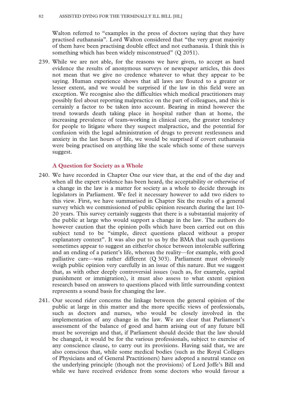Walton referred to "examples in the press of doctors saying that they have practised euthanasia". Lord Walton considered that "the very great majority of them have been practising double effect and not euthanasia. I think this is something which has been widely misconstrued" (Q 2051).

239. While we are not able, for the reasons we have given, to accept as hard evidence the results of anonymous surveys or newspaper articles, this does not mean that we give no credence whatever to what they appear to be saying. Human experience shows that all laws are flouted to a greater or lesser extent, and we would be surprised if the law in this field were an exception. We recognise also the difficulties which medical practitioners may possibly feel about reporting malpractice on the part of colleagues, and this is certainly a factor to be taken into account. Bearing in mind however the trend towards death taking place in hospital rather than at home, the increasing prevalence of team-working in clinical care, the greater tendency for people to litigate where they suspect malpractice, and the potential for confusion with the legal administration of drugs to prevent restlessness and anxiety in the last hours of life, we would be surprised if covert euthanasia were being practised on anything like the scale which some of these surveys suggest.

#### **A Question for Society as a Whole**

- 240. We have recorded in Chapter One our view that, at the end of the day and when all the expert evidence has been heard, the acceptability or otherwise of a change in the law is a matter for society as a whole to decide through its legislators in Parliament. We feel it necessary however to add two riders to this view. First, we have summarised in Chapter Six the results of a general survey which we commissioned of public opinion research during the last 10- 20 years. This survey certainly suggests that there is a substantial majority of the public at large who would support a change in the law. The authors do however caution that the opinion polls which have been carried out on this subject tend to be "simple, direct questions placed without a proper explanatory context". It was also put to us by the BMA that such questions sometimes appear to suggest an either/or choice between intolerable suffering and an ending of a patient's life, whereas the reality—for example, with good palliative care—was rather different (Q 303). Parliament must obviously weigh public opinion very carefully in an issue of this nature. But we suggest that, as with other deeply controversial issues (such as, for example, capital punishment or immigration), it must also assess to what extent opinion research based on answers to questions placed with little surrounding context represents a sound basis for changing the law.
- 241. Our second rider concerns the linkage between the general opinion of the public at large in this matter and the more specific views of professionals, such as doctors and nurses, who would be closely involved in the implementation of any change in the law. We are clear that Parliament's assessment of the balance of good and harm arising out of any future bill must be sovereign and that, if Parliament should decide that the law should be changed, it would be for the various professionals, subject to exercise of any conscience clause, to carry out its provisions. Having said that, we are also conscious that, while some medical bodies (such as the Royal Colleges of Physicians and of General Practitioners) have adopted a neutral stance on the underlying principle (though not the provisions) of Lord Joffe's Bill and while we have received evidence from some doctors who would favour a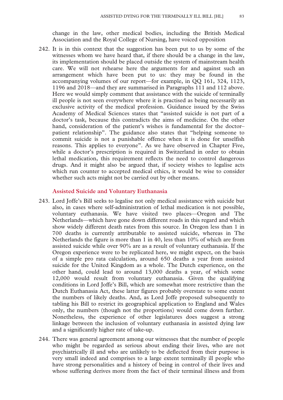change in the law, other medical bodies, including the British Medical Association and the Royal College of Nursing, have voiced opposition

242. It is in this context that the suggestion has been put to us by some of the witnesses whom we have heard that, if there should be a change in the law, its implementation should be placed outside the system of mainstream health care. We will not rehearse here the arguments for and against such an arrangement which have been put to us: they may be found in the accompanying volumes of our report—for example, in QQ 161, 324, 1123, 1196 and 2018—and they are summarised in Paragraphs 111 and 112 above. Here we would simply comment that assistance with the suicide of terminally ill people is not seen everywhere where it is practised as being necessarily an exclusive activity of the medical profession. Guidance issued by the Swiss Academy of Medical Sciences states that "assisted suicide is not part of a doctor's task, because this contradicts the aims of medicine. On the other hand, consideration of the patient's wishes is fundamental for the doctor– patient relationship". The guidance also states that "helping someone to commit suicide is not a punishable offence when it is done for unselfish reasons. This applies to everyone". As we have observed in Chapter Five, while a doctor's prescription is required in Switzerland in order to obtain lethal medication, this requirement reflects the need to control dangerous drugs. And it might also be argued that, if society wishes to legalise acts which run counter to accepted medical ethics, it would be wise to consider whether such acts might not be carried out by other means.

#### **Assisted Suicide and Voluntary Euthanasia**

- 243. Lord Joffe's Bill seeks to legalise not only medical assistance with suicide but also, in cases where self-administration of lethal medication is not possible, voluntary euthanasia. We have visited two places—Oregon and The Netherlands—which have gone down different roads in this regard and which show widely different death rates from this source. In Oregon less than 1 in 700 deaths is currently attributable to assisted suicide, whereas in The Netherlands the figure is more than 1 in 40, less than 10% of which are from assisted suicide while over 90% are as a result of voluntary euthanasia. If the Oregon experience were to be replicated here, we might expect, on the basis of a simple pro rata calculation, around 650 deaths a year from assisted suicide for the United Kingdom as a whole. The Dutch experience, on the other hand, could lead to around 13,000 deaths a year, of which some 12,000 would result from voluntary euthanasia. Given the qualifying conditions in Lord Joffe's Bill, which are somewhat more restrictive than the Dutch Euthanasia Act, these latter figures probably overstate to some extent the numbers of likely deaths. And, as Lord Joffe proposed subsequently to tabling his Bill to restrict its geographical application to England and Wales only, the numbers (though not the proportions) would come down further. Nonetheless, the experience of other legislatures does suggest a strong linkage between the inclusion of voluntary euthanasia in assisted dying law and a significantly higher rate of take-up.
- 244. There was general agreement among our witnesses that the number of people who might be regarded as serious about ending their lives, who are not psychiatrically ill and who are unlikely to be deflected from their purpose is very small indeed and comprises to a large extent terminally ill people who have strong personalities and a history of being in control of their lives and whose suffering derives more from the fact of their terminal illness and from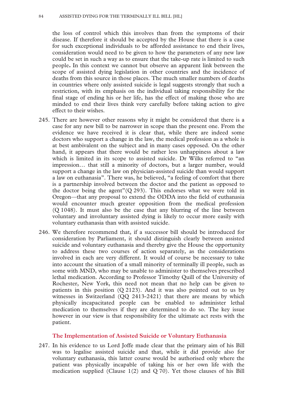the loss of control which this involves than from the symptoms of their disease. If therefore it should be accepted by the House that there is a case for such exceptional individuals to be afforded assistance to end their lives, consideration would need to be given to how the parameters of any new law could be set in such a way as to ensure that the take-up rate is limited to such people**.** In this context we cannot but observe an apparent link between the scope of assisted dying legislation in other countries and the incidence of deaths from this source in those places. The much smaller numbers of deaths in countries where only assisted suicide is legal suggests strongly that such a restriction, with its emphasis on the individual taking responsibility for the final stage of ending his or her life, has the effect of making those who are minded to end their lives think very carefully before taking action to give effect to their wishes.

- 245. There are however other reasons why it might be considered that there is a case for any new bill to be narrower in scope than the present one. From the evidence we have received it is clear that, while there are indeed some doctors who support a change in the law, the medical profession as a whole is at best ambivalent on the subject and in many cases opposed. On the other hand, it appears that there would be rather less unhappiness about a law which is limited in its scope to assisted suicide. Dr Wilks referred to "an impression… that still a minority of doctors, but a larger number, would support a change in the law on physician-assisted suicide than would support a law on euthanasia". There was, he believed, "a feeling of comfort that there is a partnership involved between the doctor and the patient as opposed to the doctor being the agent" $(Q 293)$ . This endorses what we were told in Oregon—that any proposal to extend the ODDA into the field of euthanasia would encounter much greater opposition from the medical profession (Q 1048). It must also be the case that any blurring of the line between voluntary and involuntary assisted dying is likely to occur more easily with voluntary euthanasia than with assisted suicide.
- 246. We therefore recommend that, if a successor bill should be introduced for consideration by Parliament, it should distinguish clearly between assisted suicide and voluntary euthanasia and thereby give the House the opportunity to address these two courses of action separately, as the considerations involved in each are very different. It would of course be necessary to take into account the situation of a small minority of terminally ill people, such as some with MND, who may be unable to administer to themselves prescribed lethal medication. According to Professor Timothy Quill of the University of Rochester, New York, this need not mean that no help can be given to patients in this position (Q 2123). And it was also pointed out to us by witnesses in Switzerland (QQ 2413-2421) that there are means by which physically incapacitated people can be enabled to administer lethal medication to themselves if they are determined to do so. The key issue however in our view is that responsibility for the ultimate act rests with the patient.

# **The Implementation of Assisted Suicide or Voluntary Euthanasia**

247. In his evidence to us Lord Joffe made clear that the primary aim of his Bill was to legalise assisted suicide and that, while it did provide also for voluntary euthanasia, this latter course would be authorised only where the patient was physically incapable of taking his or her own life with the medication supplied (Clause 1(2) and Q 70). Yet those clauses of his Bill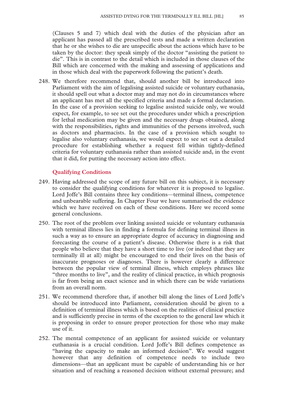(Clauses 5 and 7) which deal with the duties of the physician after an applicant has passed all the prescribed tests and made a written declaration that he or she wishes to die are unspecific about the actions which have to be taken by the doctor: they speak simply of the doctor "assisting the patient to die". This is in contrast to the detail which is included in those clauses of the Bill which are concerned with the making and assessing of applications and in those which deal with the paperwork following the patient's death.

248. We therefore recommend that, should another bill be introduced into Parliament with the aim of legalising assisted suicide or voluntary euthanasia, it should spell out what a doctor may and may not do in circumstances where an applicant has met all the specified criteria and made a formal declaration. In the case of a provision seeking to legalise assisted suicide only, we would expect, for example, to see set out the procedures under which a prescription for lethal medication may be given and the necessary drugs obtained, along with the responsibilities, rights and immunities of the persons involved, such as doctors and pharmacists. In the case of a provision which sought to legalise also voluntary euthanasia, we would expect to see set out a detailed procedure for establishing whether a request fell within tightly-defined criteria for voluntary euthanasia rather than assisted suicide and, in the event that it did, for putting the necessary action into effect.

# **Qualifying Conditions**

- 249. Having addressed the scope of any future bill on this subject, it is necessary to consider the qualifying conditions for whatever it is proposed to legalise. Lord Joffe's Bill contains three key conditions—terminal illness, competence and unbearable suffering. In Chapter Four we have summarised the evidence which we have received on each of these conditions. Here we record some general conclusions.
- 250. The root of the problem over linking assisted suicide or voluntary euthanasia with terminal illness lies in finding a formula for defining terminal illness in such a way as to ensure an appropriate degree of accuracy in diagnosing and forecasting the course of a patient's disease. Otherwise there is a risk that people who believe that they have a short time to live (or indeed that they are terminally ill at all) might be encouraged to end their lives on the basis of inaccurate prognoses or diagnoses. There is however clearly a difference between the popular view of terminal illness, which employs phrases like "three months to live", and the reality of clinical practice, in which prognosis is far from being an exact science and in which there can be wide variations from an overall norm.
- 251. We recommend therefore that, if another bill along the lines of Lord Joffe's should be introduced into Parliament, consideration should be given to a definition of terminal illness which is based on the realities of clinical practice and is sufficiently precise in terms of the exception to the general law which it is proposing in order to ensure proper protection for those who may make use of it.
- 252. The mental competence of an applicant for assisted suicide or voluntary euthanasia is a crucial condition. Lord Joffe's Bill defines competence as "having the capacity to make an informed decision". We would suggest however that any definition of competence needs to include two dimensions—that an applicant must be capable of understanding his or her situation and of reaching a reasoned decision without external pressure; and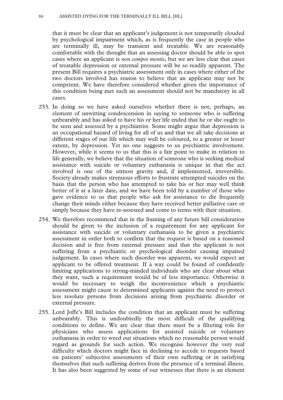that it must be clear that an applicant's judgement is not temporarily clouded by psychological impairment which, as is frequently the case in people who are terminally ill, may be transient and treatable. We are reasonably comfortable with the thought that an assessing doctor should be able to spot cases where an applicant is *non compos mentis*, but we are less clear that cases of treatable depression or external pressure will be so readily apparent. The present Bill requires a psychiatric assessment only in cases where either of the two doctors involved has reason to believe that an applicant may not be competent. We have therefore considered whether given the importance of this condition being met such an assessment should not be mandatory in all cases.

- 253. In doing so we have asked ourselves whether there is not, perhaps, an element of unwitting condescension in saying to someone who is suffering unbearably and has asked to have his or her life ended that he or she ought to be seen and assessed by a psychiatrist. Some might argue that depression is an occupational hazard of living for all of us and that we all take decisions at different stages of our life which may well be coloured, to a greater or lesser extent, by depression. Yet no one suggests to us psychiatric involvement. However, while it seems to us that this is a fair point to make in relation to life generally, we believe that the situation of someone who is seeking medical assistance with suicide or voluntary euthanasia is unique in that the act involved is one of the utmost gravity and, if implemented, irreversible. Society already makes strenuous efforts to frustrate attempted suicides on the basis that the person who has attempted to take his or her may well think better of it at a later date, and we have been told by a number of those who gave evidence to us that people who ask for assistance to die frequently change their minds either because they have received better palliative care or simply because they have re-assessed and come to terms with their situation.
- 254. We therefore recommend that in the framing of any future bill consideration should be given to the inclusion of a requirement for any applicant for assistance with suicide or voluntary euthanasia to be given a psychiatric assessment in order both to confirm that the request is based on a reasoned decision and is free from external pressure and that the applicant is not suffering from a psychiatric or psychological disorder causing impaired judgement. In cases where such disorder was apparent, we would expect an applicant to be offered treatment. If a way could be found of confidently limiting applications to strong-minded individuals who are clear about what they want, such a requirement would be of less importance. Otherwise it would be necessary to weigh the inconvenience which a psychiatric assessment might cause to determined applicants against the need to protect less resolute persons from decisions arising from psychiatric disorder or external pressure.
- 255. Lord Joffe's Bill includes the condition that an applicant must be suffering unbearably. This is undoubtedly the most difficult of the qualifying conditions to define. We are clear that there must be a filtering role for physicians who assess applications for assisted suicide or voluntary euthanasia in order to weed out situations which no reasonable person would regard as grounds for such action. We recognise however the very real difficulty which doctors might face in declining to accede to requests based on patients' subjective assessments of their own suffering or in satisfying themselves that such suffering derives from the presence of a terminal illness. It has also been suggested by some of our witnesses that there is an element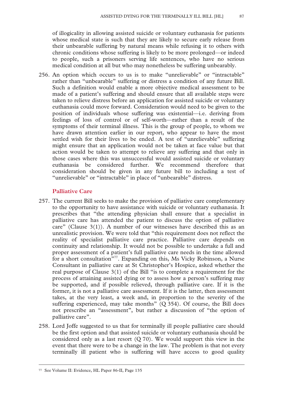of illogicality in allowing assisted suicide or voluntary euthanasia for patients whose medical state is such that they are likely to secure early release from their unbearable suffering by natural means while refusing it to others with chronic conditions whose suffering is likely to be more prolonged—or indeed to people, such a prisoners serving life sentences, who have no serious medical condition at all but who may nonetheless be suffering unbearably.

256. An option which occurs to us is to make "unrelievable" or "intractable" rather than "unbearable" suffering or distress a condition of any future Bill. Such a definition would enable a more objective medical assessment to be made of a patient's suffering and should ensure that all available steps were taken to relieve distress before an application for assisted suicide or voluntary euthanasia could move forward. Consideration would need to be given to the position of individuals whose suffering was existential—i.e. deriving from feelings of loss of control or of self-worth—rather than a result of the symptoms of their terminal illness. This is the group of people, to whom we have drawn attention earlier in our report, who appear to have the most settled wish for their lives to be ended. A test of "unrelievable" suffering might ensure that an application would not be taken at face value but that action would be taken to attempt to relieve any suffering and that only in those cases where this was unsuccessful would assisted suicide or voluntary euthanasia be considered further. We recommend therefore that consideration should be given in any future bill to including a test of "unrelievable" or "intractable" in place of "unbearable" distress.

#### **Palliative Care**

- 257. The current Bill seeks to make the provision of palliative care complementary to the opportunity to have assistance with suicide or voluntary euthanasia. It prescribes that "the attending physician shall ensure that a specialist in palliative care has attended the patient to discuss the option of palliative care" (Clause  $3(1)$ ). A number of our witnesses have described this as an unrealistic provision. We were told that "this requirement does not reflect the reality of specialist palliative care practice. Palliative care depends on continuity and relationship. It would not be possible to undertake a full and proper assessment of a patient's full palliative care needs in the time allowed for a short consultation"<sup>77</sup>. Expanding on this, Ms Vicky Robinson, a Nurse Consultant in palliative care at St Christopher's Hospice, asked whether the real purpose of Clause 3(1) of the Bill "is to complete a requirement for the process of attaining assisted dying or to assess how a person's suffering may be supported, and if possible relieved, through palliative care. If it is the former, it is not a palliative care assessment. If it is the latter, then assessment takes, at the very least, a week and, in proportion to the severity of the suffering experienced, may take months" (Q 354). Of course, the Bill does not prescribe an "assessment", but rather a discussion of "the option of palliative care".
- 258. Lord Joffe suggested to us that for terminally ill people palliative care should be the first option and that assisted suicide or voluntary euthanasia should be considered only as a last resort  $(Q 70)$ . We would support this view in the event that there were to be a change in the law. The problem is that not every terminally ill patient who is suffering will have access to good quality

 <sup>77</sup> See Volume II: Evidence, HL Paper 86-II, Page 135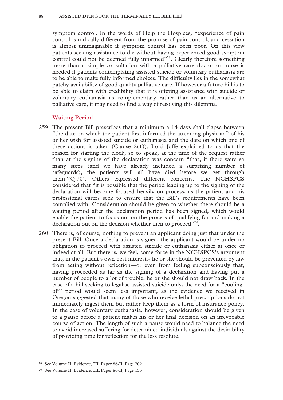symptom control. In the words of Help the Hospices, "experience of pain control is radically different from the promise of pain control, and cessation is almost unimaginable if symptom control has been poor. On this view patients seeking assistance to die without having experienced good symptom control could not be deemed fully informed"<sup>78</sup>. Clearly therefore something more than a simple consultation with a palliative care doctor or nurse is needed if patients contemplating assisted suicide or voluntary euthanasia are to be able to make fully informed choices. The difficulty lies in the somewhat patchy availability of good quality palliative care. If however a future bill is to be able to claim with credibility that it is offering assistance with suicide or voluntary euthanasia as complementary rather than as an alternative to palliative care, it may need to find a way of resolving this dilemma.

#### **Waiting Period**

- 259. The present Bill prescribes that a minimum a 14 days shall elapse between "the date on which the patient first informed the attending physician" of his or her wish for assisted suicide or euthanasia and the date on which one of these actions is taken (Clause  $2(1)$ ). Lord Joffe explained to us that the reason for starting the clock, so to speak, at the time of the request rather than at the signing of the declaration was concern "that, if there were so many steps (and we have already included a surprising number of safeguards), the patients will all have died before we get through them"(Q 70). Others expressed different concerns. The NCHSPCS considered that "it is possible that the period leading up to the signing of the declaration will become focused heavily on process, as the patient and his professional carers seek to ensure that the Bill's requirements have been complied with. Consideration should be given to whether there should be a waiting period after the declaration period has been signed, which would enable the patient to focus not on the process of qualifying for and making a declaration but on the decision whether then to proceed"<sup>79</sup>.
- 260. There is, of course, nothing to prevent an applicant doing just that under the present Bill. Once a declaration is signed, the applicant would be under no obligation to proceed with assisted suicide or euthanasia either at once or indeed at all. But there is, we feel, some force in the NCHSPCS's argument that, in the patient's own best interests, he or she should be prevented by law from acting without reflection—or even from feeling subconsciously that, having proceeded as far as the signing of a declaration and having put a number of people to a lot of trouble, he or she should not draw back. In the case of a bill seeking to legalise assisted suicide only, the need for a "coolingoff" period would seem less important, as the evidence we received in Oregon suggested that many of those who receive lethal prescriptions do not immediately ingest them but rather keep them as a form of insurance policy. In the case of voluntary euthanasia, however, consideration should be given to a pause before a patient makes his or her final decision on an irrevocable course of action. The length of such a pause would need to balance the need to avoid increased suffering for determined individuals against the desirability of providing time for reflection for the less resolute.

 <sup>78</sup> See Volume II: Evidence, HL Paper 86-II, Page 702

<sup>79</sup> See Volume II: Evidence, HL Paper 86-II, Page 133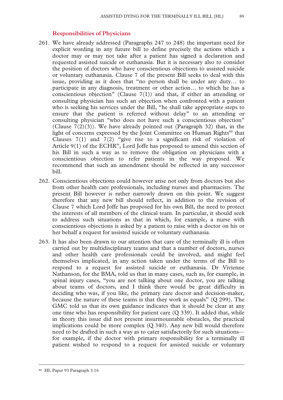# **Responsibilities of Physicians**

- 261. We have already addressed (Paragraphs 247 to 248) the important need for explicit wording in any future bill to define precisely the actions which a doctor may or may not take after a patient has signed a declaration and requested assisted suicide or euthanasia. But it is necessary also to consider the position of doctors who have conscientious objections to assisted suicide or voluntary euthanasia. Clause 7 of the present Bill seeks to deal with this issue, providing as it does that "no person shall be under any duty… to participate in any diagnosis, treatment or other action… to which he has a conscientious objection" (Clause  $7(1)$ ) and that, if either an attending or consulting physician has such an objection when confronted with a patient who is seeking his services under the Bill, "he shall take appropriate steps to ensure that the patient is referred without delay" to an attending or consulting physician "who does not have such a conscientious objection" (Clause  $7(2)(3)$ ). We have already pointed out (Paragraph 32) that, in the light of concerns expressed by the Joint Committee on Human Rights<sup>80</sup> that Clauses 7(1) and 7(2) "give rise to a significant risk of violation of Article 9(1) of the ECHR", Lord Joffe has proposed to amend this section of his Bill in such a way as to remove the obligation on physicians with a conscientious objection to refer patients in the way proposed. We recommend that such an amendment should be reflected in any successor bill.
- 262. Conscientious objections could however arise not only from doctors but also from other health care professionals, including nurses and pharmacists. The present Bill however is rather narrowly drawn on this point. We suggest therefore that any new bill should reflect, in addition to the revision of Clause 7 which Lord Joffe has proposed for his own Bill, the need to protect the interests of all members of the clinical team. In particular, it should seek to address such situations as that in which, for example, a nurse with conscientious objections is asked by a patient to raise with a doctor on his or her behalf a request for assisted suicide or voluntary euthanasia.
- 263. It has also been drawn to our attention that care of the terminally ill is often carried out by multidisciplinary teams and that a number of doctors, nurses and other health care professionals could be involved, and might feel themselves implicated, in any action taken under the terms of the Bill to respond to a request for assisted suicide or euthanasia. Dr Vivienne Nathanson, for the BMA, told us that in many cases, such as, for example, in spinal injury cases, "you are not talking about one doctor, you are talking about teams of doctors, and I think there would be great difficulty in deciding who was, if you like, the primary care doctor and decision-maker, because the nature of these teams is that they work as equals" (Q 299). The GMC told us that its own guidance indicates that it should be clear at any one time who has responsibility for patient care (Q 339). It added that, while in theory this issue did not present insurmountable obstacles, the practical implications could be more complex (Q 340). Any new bill would therefore need to be drafted in such a way as to cater satisfactorily for such situations for example, if the doctor with primary responsibility for a terminally ill patient wished to respond to a request for assisted suicide or voluntary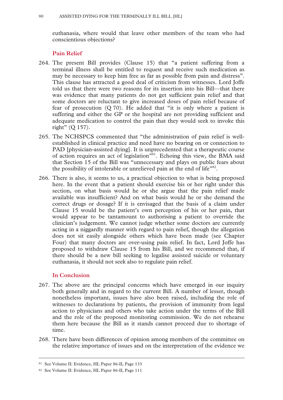euthanasia, where would that leave other members of the team who had conscientious objections?

#### **Pain Relief**

- 264. The present Bill provides (Clause 15) that "a patient suffering from a terminal illness shall be entitled to request and receive such medication as may be necessary to keep him free as far as possible from pain and distress". This clause has attracted a good deal of criticism from witnesses. Lord Joffe told us that there were two reasons for its insertion into his Bill—that there was evidence that many patients do not get sufficient pain relief and that some doctors are reluctant to give increased doses of pain relief because of fear of prosecution (Q 70). He added that "it is only where a patient is suffering and either the GP or the hospital are not providing sufficient and adequate medication to control the pain that they would seek to invoke this right" (Q 157).
- 265. The NCHSPCS commented that "the administration of pain relief is wellestablished in clinical practice and need have no bearing on or connection to PAD [physician-assisted dying]. It is unprecedented that a therapeutic course of action requires an act of legislation<sup>"81</sup>. Echoing this view, the BMA said that Section 15 of the Bill was "unnecessary and plays on public fears about the possibility of intolerable or unrelieved pain at the end of life $^{182}$ .
- 266. There is also, it seems to us, a practical objection to what is being proposed here. In the event that a patient should exercise his or her right under this section, on what basis would he or she argue that the pain relief made available was insufficient? And on what basis would he or she demand the correct drugs or dosage? If it is envisaged that the basis of a claim under Clause 15 would be the patient's own perception of his or her pain, that would appear to be tantamount to authorising a patient to override the clinician's judgement. We cannot judge whether some doctors are currently acting in a niggardly manner with regard to pain relief, though the allegation does not sit easily alongside others which have been made (see Chapter Four) that many doctors are over-using pain relief. In fact, Lord Joffe has proposed to withdraw Clause 15 from his Bill, and we recommend that, if there should be a new bill seeking to legalise assisted suicide or voluntary euthanasia, it should not seek also to regulate pain relief.

# **In Conclusion**

- 267. The above are the principal concerns which have emerged in our inquiry both generally and in regard to the current Bill. A number of lesser, though nonetheless important, issues have also been raised, including the role of witnesses to declarations by patients, the provision of immunity from legal action to physicians and others who take action under the terms of the Bill and the role of the proposed monitoring commission. We do not rehearse them here because the Bill as it stands cannot proceed due to shortage of time.
- 268. There have been differences of opinion among members of the committee on the relative importance of issues and on the interpretation of the evidence we

 <sup>81</sup> See Volume II: Evidence, HL Paper 86-II, Page 133

<sup>82</sup> See Volume II: Evidence, HL Paper 86-II, Page 111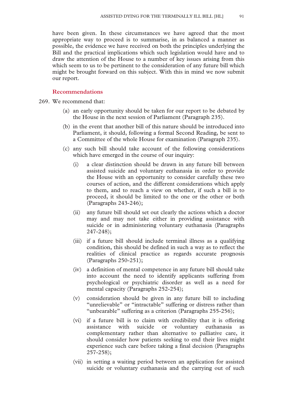have been given. In these circumstances we have agreed that the most appropriate way to proceed is to summarise, in as balanced a manner as possible, the evidence we have received on both the principles underlying the Bill and the practical implications which such legislation would have and to draw the attention of the House to a number of key issues arising from this which seem to us to be pertinent to the consideration of any future bill which might be brought forward on this subject. With this in mind we now submit our report.

#### **Recommendations**

269. We recommend that:

- (a) an early opportunity should be taken for our report to be debated by the House in the next session of Parliament (Paragraph 235).
- (b) in the event that another bill of this nature should be introduced into Parliament, it should, following a formal Second Reading, be sent to a Committee of the whole House for examination (Paragraph 235).
- (c) any such bill should take account of the following considerations which have emerged in the course of our inquiry:
	- (i) a clear distinction should be drawn in any future bill between assisted suicide and voluntary euthanasia in order to provide the House with an opportunity to consider carefully these two courses of action, and the different considerations which apply to them, and to reach a view on whether, if such a bill is to proceed, it should be limited to the one or the other or both (Paragraphs 243-246);
	- (ii) any future bill should set out clearly the actions which a doctor may and may not take either in providing assistance with suicide or in administering voluntary euthanasia (Paragraphs 247-248);
	- (iii) if a future bill should include terminal illness as a qualifying condition, this should be defined in such a way as to reflect the realities of clinical practice as regards accurate prognosis (Paragraphs 250-251);
	- (iv) a definition of mental competence in any future bill should take into account the need to identify applicants suffering from psychological or psychiatric disorder as well as a need for mental capacity (Paragraphs 252-254);
	- (v) consideration should be given in any future bill to including "unrelievable" or "intractable" suffering or distress rather than "unbearable" suffering as a criterion (Paragraphs 255-256);
	- (vi) if a future bill is to claim with credibility that it is offering assistance with suicide or voluntary euthanasia as complementary rather than alternative to palliative care, it should consider how patients seeking to end their lives might experience such care before taking a final decision (Paragraphs 257-258);
	- (vii) in setting a waiting period between an application for assisted suicide or voluntary euthanasia and the carrying out of such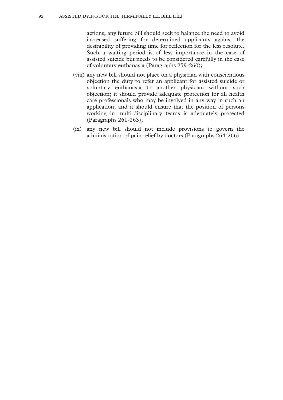actions, any future bill should seek to balance the need to avoid increased suffering for determined applicants against the desirability of providing time for reflection for the less resolute. Such a waiting period is of less importance in the case of assisted suicide but needs to be considered carefully in the case of voluntary euthanasia (Paragraphs 259-260);

- (viii) any new bill should not place on a physician with conscientious objection the duty to refer an applicant for assisted suicide or voluntary euthanasia to another physician without such objection; it should provide adequate protection for all health care professionals who may be involved in any way in such an application; and it should ensure that the position of persons working in multi-disciplinary teams is adequately protected (Paragraphs 261-263);
- (ix) any new bill should not include provisions to govern the administration of pain relief by doctors (Paragraphs 264-266).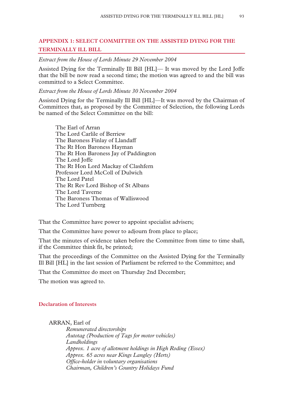# **APPENDIX 1: SELECT COMMITTEE ON THE ASSISTED DYING FOR THE TERMINALLY ILL BILL**

*Extract from the House of Lords Minute 29 November 2004* 

Assisted Dying for the Terminally Ill Bill [HL]— It was moved by the Lord Joffe that the bill be now read a second time; the motion was agreed to and the bill was committed to a Select Committee.

# *Extract from the House of Lords Minute 30 November 2004*

Assisted Dying for the Terminally Ill Bill [HL]—It was moved by the Chairman of Committees that, as proposed by the Committee of Selection, the following Lords be named of the Select Committee on the bill:

The Earl of Arran The Lord Carlile of Berriew The Baroness Finlay of Llandaff The Rt Hon Baroness Hayman The Rt Hon Baroness Jay of Paddington The Lord Joffe The Rt Hon Lord Mackay of Clashfern Professor Lord McColl of Dulwich The Lord Patel The Rt Rev Lord Bishop of St Albans The Lord Taverne The Baroness Thomas of Walliswood The Lord Turnberg

That the Committee have power to appoint specialist advisers;

That the Committee have power to adjourn from place to place;

That the minutes of evidence taken before the Committee from time to time shall, if the Committee think fit, be printed;

That the proceedings of the Committee on the Assisted Dying for the Terminally Ill Bill [HL] in the last session of Parliament be referred to the Committee; and

That the Committee do meet on Thursday 2nd December;

The motion was agreed to.

# **Declaration of Interests**

#### ARRAN, Earl of

*Remunerated directorships Autotag (Production of Tags for motor vehicles) Landholdings Approx. 1 acre of allotment holdings in High Roding (Essex) Approx. 65 acres near Kings Langley (Herts) Office-holder in voluntary organisations Chairman, Children's Country Holidays Fund*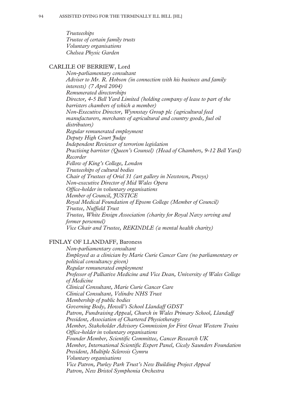*Trusteeships Trustee of certain family trusts Voluntary organisations Chelsea Physic Garden* 

# CARLILE OF BERRIEW, Lord

*Non-parliamentary consultant Adviser to Mr. R. Hobson (in connection with his business and family interests) (7 April 2004) Remunerated directorships Director, 4-5 Bell Yard Limited (holding company of lease to part of the barristers chambers of which a member) Non-Executive Director, Wynnstay Group plc (agricultural feed manufacturers, merchants of agricultural and country goods, fuel oil distributors) Regular remunerated employment Deputy High Court Judge Independent Reviewer of terrorism legislation Practising barrister (Queen's Counsel) (Head of Chambers, 9-12 Bell Yard) Recorder Fellow of King's College, London Trusteeships of cultural bodies Chair of Trustees of Oriel 31 (art gallery in Newtown, Powys) Non-executive Director of Mid Wales Opera Office-holder in voluntary organisations Member of Council, JUSTICE Royal Medical Foundation of Epsom College (Member of Council) Trustee, Nuffield Trust Trustee, White Ensign Association (charity for Royal Navy serving and former personnel) Vice Chair and Trustee, REKINDLE (a mental health charity)* 

# FINLAY OF LLANDAFF, Baroness

*Non-parliamentary consultant Employed as a clinician by Marie Curie Cancer Care (no parliamentary or political consultancy given) Regular remunerated employment Professor of Palliative Medicine and Vice Dean, University of Wales College of Medicine Clinical Consultant, Marie Curie Cancer Care Clinical Consultant, Velindre NHS Trust Membership of public bodies Governing Body, Howell's School Llandaff GDST Patron, Fundraising Appeal, Church in Wales Primary School, Llandaff President, Association of Chartered Physiotherapy Member, Stakeholder Advisory Commission for First Great Western Trains Office-holder in voluntary organisations Founder Member, Scientific Committee, Cancer Research UK Member, International Scientific Expert Panel, Cicely Saunders Foundation President, Multiple Sclerosis Cymru Voluntary organisations Vice Patron, Purley Park Trust's New Building Project Appeal Patron, New Bristol Symphonia Orchestra*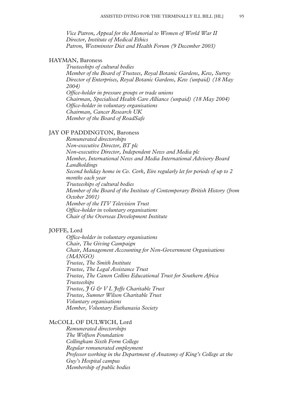*Vice Patron, Appeal for the Memorial to Women of World War II Director, Institute of Medical Ethics Patron, Westminster Diet and Health Forum (9 December 2003)* 

# HAYMAN, Baroness

*Trusteeships of cultural bodies Member of the Board of Trustees, Royal Botanic Gardens, Kew, Surrey Director of Enterprises, Royal Botanic Gardens, Kew (unpaid) (18 May 2004) Office-holder in pressure groups or trade unions Chairman, Specialised Health Care Alliance (unpaid) (18 May 2004) Office-holder in voluntary organisations Chairman, Cancer Research UK Member of the Board of RoadSafe* 

#### JAY OF PADDINGTON, Baroness

*Remunerated directorships Non-executive Director, BT plc Non-executive Director, Independent News and Media plc Member, International News and Media International Advisory Board Landholdings Second holiday home in Co. Cork, Eire regularly let for periods of up to 2 months each year Trusteeships of cultural bodies Member of the Board of the Institute of Contemporary British History (from October 2001) Member of the ITV Television Trust Office-holder in voluntary organisations Chair of the Overseas Development Institute* 

# JOFFE, Lord

*Office-holder in voluntary organisations Chair, The Giving Campaign Chair, Management Accounting for Non-Government Organisations (MANGO) Trustee, The Smith Institute Trustee, The Legal Assistance Trust Trustee, The Canon Collins Educational Trust for Southern Africa Trusteeships Trustee, J G & V L Joffe Charitable Trust Trustee, Sumner Wilson Charitable Trust Voluntary organisations Member, Voluntary Euthanasia Society* 

#### McCOLL OF DULWICH, Lord

*Remunerated directorships The Wolfson Foundation Collingham Sixth Form College Regular remunerated employment Professor working in the Department of Anatomy of King's College at the Guy's Hospital campus Membership of public bodies*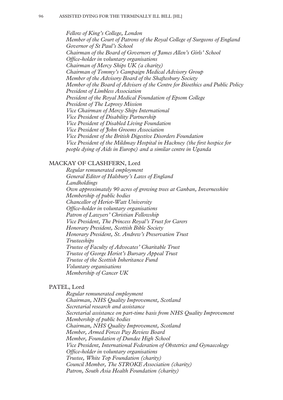*Fellow of King's College, London Member of the Court of Patrons of the Royal College of Surgeons of England Governor of St Paul's School Chairman of the Board of Governors of James Allen's Girls' School Office-holder in voluntary organisations Chairman of Mercy Ships UK (a charity) Chairman of Tommy's Campaign Medical Advisory Group Member of the Advisory Board of the Shaftesbury Society Member of the Board of Advisers of the Centre for Bioethics and Public Policy President of Limbless Association President of the Royal Medical Foundation of Epsom College President of The Leprosy Mission Vice Chairman of Mercy Ships International Vice President of Disability Partnership Vice President of Disabled Living Foundation Vice President of John Grooms Association Vice President of the British Digestive Disorders Foundation Vice President of the Mildmay Hospital in Hackney (the first hospice for people dying of Aids in Europe) and a similar centre in Uganda* 

#### MACKAY OF CLASHFERN, Lord

*Regular remunerated employment General Editor of Halsbury's Laws of England Landholdings Own approximately 90 acres of growing trees at Canban, Invernesshire Membership of public bodies Chancellor of Heriot-Watt University Office-holder in voluntary organisations Patron of Lawyers' Christian Fellowship Vice President, The Princess Royal's Trust for Carers Honorary President, Scottish Bible Society Honorary President, St. Andrew's Preservation Trust Trusteeships Trustee of Faculty of Advocates' Charitable Trust Trustee of George Heriot's Bursary Appeal Trust Trustee of the Scottish Inheritance Fund Voluntary organisations Membership of Cancer UK* 

#### PATEL, Lord

*Regular remunerated employment Chairman, NHS Quality Improvement, Scotland Secretarial research and assistance Secretarial assistance on part-time basis from NHS Quality Improvement Membership of public bodies Chairman, NHS Quality Improvement, Scotland Member, Armed Forces Pay Review Board Member, Foundation of Dundee High School Vice President, International Federation of Obstetrics and Gynaecology Office-holder in voluntary organisations Trustee, White Top Foundation (charity) Council Member, The STROKE Association (charity) Patron, South Asia Health Foundation (charity)*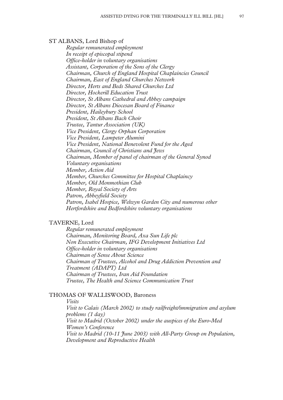#### ST ALBANS, Lord Bishop of

*Regular remunerated employment In receipt of episcopal stipend Office-holder in voluntary organisations Assistant, Corporation of the Sons of the Clergy Chairman, Church of England Hospital Chaplaincies Council Chairman, East of England Churches Network Director, Herts and Beds Shared Churches Ltd Director, Hockerill Education Trust Director, St Albans Cathedral and Abbey campaign Director, St Albans Diocesan Board of Finance President, Haileybury School President, St Albans Bach Choir Trustee, Tantur Association (UK) Vice President, Clergy Orphan Corporation Vice President, Lampeter Alumini Vice President, National Benevolent Fund for the Aged Chairman, Council of Christians and Jews Chairman, Member of panel of chairman of the General Synod Voluntary organisations Member, Action Aid Member, Churches Committee for Hospital Chaplaincy Member, Old Monmothian Club Member, Royal Society of Arts Patron, Abbeyfield Society Patron, Isabel Hospice, Welwyn Garden City and numerous other Hertfordshire and Bedfordshire voluntary organisations* 

# TAVERNE, Lord

*Regular remunerated employment Chairman, Monitoring Board, Axa Sun Life plc Non Executive Chairman, IFG Development Initiatives Ltd Office-holder in voluntary organisations Chairman of Sense About Science Chairman of Trustees, Alcohol and Drug Addiction Prevention and Treatment (ADAPT) Ltd Chairman of Trustees, Iran Aid Foundation Trustee, The Health and Science Communication Trust* 

# THOMAS OF WALLISWOOD, Baroness

*Visits* 

*Visit to Calais (March 2002) to study railfreight/immigration and asylum problems (1 day) Visit to Madrid (October 2002) under the auspices of the Euro-Med Women's Conference Visit to Madrid (10-11 June 2003) with All-Party Group on Population, Development and Reproductive Health*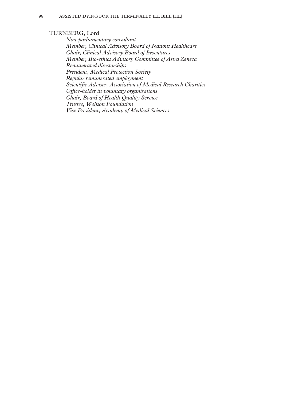#### TURNBERG, Lord

*Non-parliamentary consultant Member, Clinical Advisory Board of Nations Healthcare Chair, Clinical Advisory Board of Inventures Member, Bio-ethics Advisory Committee of Astra Zeneca Remunerated directorships President, Medical Protection Society Regular remunerated employment Scientific Adviser, Association of Medical Research Charities Office-holder in voluntary organisations Chair, Board of Health Quality Service Trustee, Wolfson Foundation Vice President, Academy of Medical Sciences*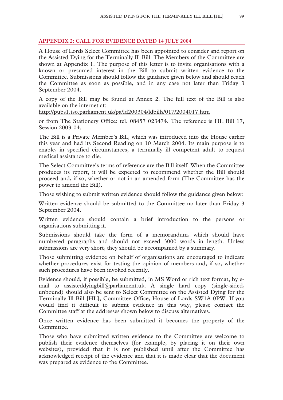#### **APPENDIX 2: CALL FOR EVIDENCE DATED 14 JULY 2004**

A House of Lords Select Committee has been appointed to consider and report on the Assisted Dying for the Terminally Ill Bill. The Members of the Committee are shown at Appendix 1. The purpose of this letter is to invite organisations with a known or presumed interest in the Bill to submit written evidence to the Committee. Submissions should follow the guidance given below and should reach the Committee as soon as possible, and in any case not later than Friday 3 September 2004.

A copy of the Bill may be found at Annex 2. The full text of the Bill is also available on the internet at:

http://pubs1.tso.parliament.uk/pa/ld200304/ldbills/017/2004017.htm

or from The Stationery Office: tel. 08457 023474. The reference is HL Bill 17, Session 2003-04.

The Bill is a Private Member's Bill, which was introduced into the House earlier this year and had its Second Reading on 10 March 2004. Its main purpose is to enable, in specified circumstances, a terminally ill competent adult to request medical assistance to die.

The Select Committee's terms of reference are the Bill itself. When the Committee produces its report, it will be expected to recommend whether the Bill should proceed and, if so, whether or not in an amended form (The Committee has the power to amend the Bill).

Those wishing to submit written evidence should follow the guidance given below:

Written evidence should be submitted to the Committee no later than Friday 3 September 2004.

Written evidence should contain a brief introduction to the persons or organisations submitting it.

Submissions should take the form of a memorandum, which should have numbered paragraphs and should not exceed 3000 words in length. Unless submissions are very short, they should be accompanied by a summary.

Those submitting evidence on behalf of organisations are encouraged to indicate whether procedures exist for testing the opinion of members and, if so, whether such procedures have been invoked recently.

Evidence should, if possible, be submitted, in MS Word or rich text format, by email to assisteddying bill@parliament.uk. A single hard copy (single-sided, unbound) should also be sent to Select Committee on the Assisted Dying for the Terminally Ill Bill [HL], Committee Office, House of Lords SW1A 0PW. If you would find it difficult to submit evidence in this way, please contact the Committee staff at the addresses shown below to discuss alternatives.

Once written evidence has been submitted it becomes the property of the **Committee** 

Those who have submitted written evidence to the Committee are welcome to publish their evidence themselves (for example, by placing it on their own websites), provided that it is not published until after the Committee has acknowledged receipt of the evidence and that it is made clear that the document was prepared as evidence to the Committee.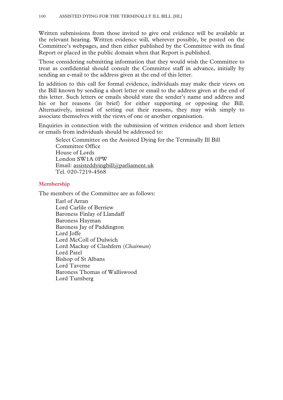Written submissions from those invited to give oral evidence will be available at the relevant hearing. Written evidence will, wherever possible, be posted on the Committee's webpages, and then either published by the Committee with its final Report or placed in the public domain when that Report is published.

Those considering submitting information that they would wish the Committee to treat as confidential should consult the Committee staff in advance, initially by sending an e-mail to the address given at the end of this letter.

In addition to this call for formal evidence, individuals may make their views on the Bill known by sending a short letter or email to the address given at the end of this letter. Such letters or emails should state the sender's name and address and his or her reasons (in brief) for either supporting or opposing the Bill. Alternatively, instead of setting out their reasons, they may wish simply to associate themselves with the views of one or another organisation.

Enquiries in connection with the submission of written evidence and short letters or emails from individuals should be addressed to:

Select Committee on the Assisted Dying for the Terminally Ill Bill Committee Office House of Lords London SW1A 0PW Email: assisteddyingbill@parliament.uk Tel. 020-7219-4568

# **Membership**

The members of the Committee are as follows:

Earl of Arran Lord Carlile of Berriew Baroness Finlay of Llandaff Baroness Hayman Baroness Jay of Paddington Lord Joffe Lord McColl of Dulwich Lord Mackay of Clashfern (*Chairman*) Lord Patel Bishop of St Albans Lord Taverne Baroness Thomas of Walliswood Lord Turnberg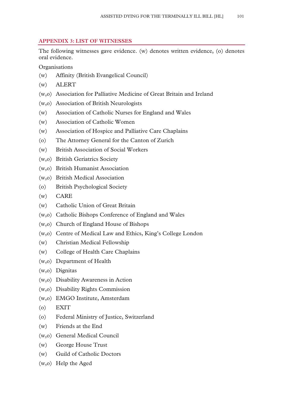# **APPENDIX 3: LIST OF WITNESSES**

The following witnesses gave evidence. (w) denotes written evidence, (o) denotes oral evidence.

**Organisations** 

- (w) Affinity (British Evangelical Council)
- (w) ALERT
- (w,o) Association for Palliative Medicine of Great Britain and Ireland
- (w,o) Association of British Neurologists
- (w) Association of Catholic Nurses for England and Wales
- (w) Association of Catholic Women
- (w) Association of Hospice and Palliative Care Chaplains
- (o) The Attorney General for the Canton of Zurich
- (w) British Association of Social Workers
- (w,o) British Geriatrics Society
- (w,o) British Humanist Association
- (w,o) British Medical Association
- (o) British Psychological Society
- (w) CARE
- (w) Catholic Union of Great Britain
- (w,o) Catholic Bishops Conference of England and Wales
- (w,o) Church of England House of Bishops
- (w,o) Centre of Medical Law and Ethics, King's College London
- (w) Christian Medical Fellowship
- (w) College of Health Care Chaplains
- (w,o) Department of Health
- (w,o) Dignitas
- (w,o) Disability Awareness in Action
- (w,o) Disability Rights Commission
- (w,o) EMGO Institute, Amsterdam
- (o) EXIT
- (o) Federal Ministry of Justice, Switzerland
- (w) Friends at the End
- (w,o) General Medical Council
- (w) George House Trust
- (w) Guild of Catholic Doctors
- (w,o) Help the Aged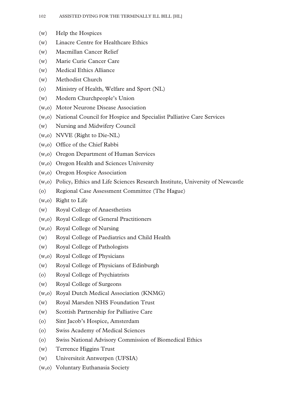- (w) Help the Hospices
- (w) Linacre Centre for Healthcare Ethics
- (w) Macmillan Cancer Relief
- (w) Marie Curie Cancer Care
- (w) Medical Ethics Alliance
- (w) Methodist Church
- (o) Ministry of Health, Welfare and Sport (NL)
- (w) Modern Churchpeople's Union
- (w,o) Motor Neurone Disease Association
- (w,o) National Council for Hospice and Specialist Palliative Care Services
- (w) Nursing and Midwifery Council
- (w,o) NVVE (Right to Die-NL)
- (w,o) Office of the Chief Rabbi
- (w,o) Oregon Department of Human Services
- (w,o) Oregon Health and Sciences University
- (w,o) Oregon Hospice Association
- (w,o) Policy, Ethics and Life Sciences Research Institute, University of Newcastle
- (o) Regional Case Assessment Committee (The Hague)
- (w,o) Right to Life
- (w) Royal College of Anaesthetists
- (w,o) Royal College of General Practitioners
- (w,o) Royal College of Nursing
- (w) Royal College of Paediatrics and Child Health
- (w) Royal College of Pathologists
- (w,o) Royal College of Physicians
- (w) Royal College of Physicians of Edinburgh
- (o) Royal College of Psychiatrists
- (w) Royal College of Surgeons
- (w,o) Royal Dutch Medical Association (KNMG)
- (w) Royal Marsden NHS Foundation Trust
- (w) Scottish Partnership for Palliative Care
- (o) Sint Jacob's Hospice, Amsterdam
- (o) Swiss Academy of Medical Sciences
- (o) Swiss National Advisory Commission of Biomedical Ethics
- (w) Terrence Higgins Trust
- (w) Universiteit Antwerpen (UFSIA)
- (w,o) Voluntary Euthanasia Society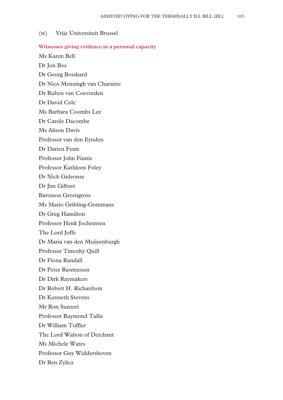#### (w) Vrije Universiteit Brussel

#### **Witnesses giving evidence in a personal capacity**

- Ms Karen Bell Dr Jon Bos
- Dr Georg Bosshard
- Dr Nico Mensingh van Charante
- Dr Ruben van Coevorden
- Dr David Cole
- Ms Barbara Coombs Lee
- Dr Carole Dacombe
- Ms Alison Davis
- Professor van den Eynden
- Dr Darien Fenn
- Professor John Finnis
- Professor Kathleen Foley
- Dr Nick Gideonse
- Dr Jim Gilbert
- Baroness Greengross
- Ms Marjo Gribling-Gommans
- Dr Greg Hamilton
- Professor Henk Jochemsen
- The Lord Joffe
- Dr Maria van den Muijsenburgh
- Professor Timothy Quill
- Dr Fiona Randall
- Dr Peter Rasmussen
- Dr Dirk Raymakers
- Dr Robert H. Richardson
- Dr Kenneth Stevens
- Mr Ron Sunseri
- Professor Raymond Tallis
- Dr William Toffler
- The Lord Walton of Detchant
- Ms Michele Wates
- Professor Guy Widdershoven
- Dr Ben Zylicz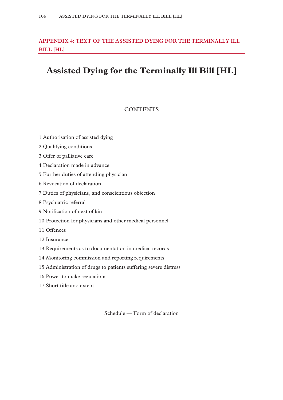# **APPENDIX 4: TEXT OF THE ASSISTED DYING FOR THE TERMINALLY ILL BILL [HL]**

# **Assisted Dying for the Terminally Ill Bill [HL]**

# **CONTENTS**

- 1 Authorisation of assisted dying
- 2 Qualifying conditions
- 3 Offer of palliative care
- 4 Declaration made in advance
- 5 Further duties of attending physician
- 6 Revocation of declaration
- 7 Duties of physicians, and conscientious objection
- 8 Psychiatric referral
- 9 Notification of next of kin
- 10 Protection for physicians and other medical personnel
- 11 Offences
- 12 Insurance
- 13 Requirements as to documentation in medical records
- 14 Monitoring commission and reporting requirements
- 15 Administration of drugs to patients suffering severe distress
- 16 Power to make regulations
- 17 Short title and extent

Schedule — Form of declaration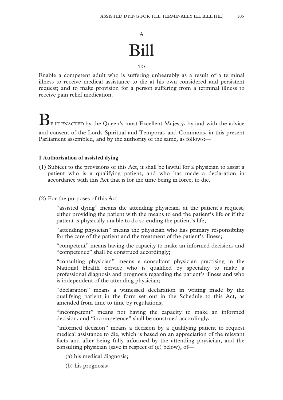# A Bill

#### TO

Enable a competent adult who is suffering unbearably as a result of a terminal illness to receive medical assistance to die at his own considered and persistent request; and to make provision for a person suffering from a terminal illness to receive pain relief medication.

BE IT ENACTED by the Queen's most Excellent Majesty, by and with the advice and consent of the Lords Spiritual and Temporal, and Commons, in this present Parliament assembled, and by the authority of the same, as follows:—

# **1 Authorisation of assisted dying**

- (1) Subject to the provisions of this Act, it shall be lawful for a physician to assist a patient who is a qualifying patient, and who has made a declaration in accordance with this Act that is for the time being in force, to die.
- (2) For the purposes of this Act—

"assisted dying" means the attending physician, at the patient's request, either providing the patient with the means to end the patient's life or if the patient is physically unable to do so ending the patient's life;

"attending physician" means the physician who has primary responsibility for the care of the patient and the treatment of the patient's illness;

"competent" means having the capacity to make an informed decision, and "competence" shall be construed accordingly;

"consulting physician" means a consultant physician practising in the National Health Service who is qualified by speciality to make a professional diagnosis and prognosis regarding the patient's illness and who is independent of the attending physician;

"declaration" means a witnessed declaration in writing made by the qualifying patient in the form set out in the Schedule to this Act, as amended from time to time by regulations;

"incompetent" means not having the capacity to make an informed decision, and "incompetence" shall be construed accordingly;

"informed decision" means a decision by a qualifying patient to request medical assistance to die, which is based on an appreciation of the relevant facts and after being fully informed by the attending physician, and the consulting physician (save in respect of (c) below), of—

(a) his medical diagnosis;

(b) his prognosis;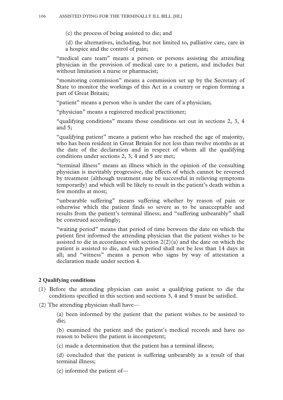(c) the process of being assisted to die; and

(d) the alternatives, including, but not limited to, palliative care, care in a hospice and the control of pain;

"medical care team" means a person or persons assisting the attending physician in the provision of medical care to a patient, and includes but without limitation a nurse or pharmacist;

"monitoring commission" means a commission set up by the Secretary of State to monitor the workings of this Act in a country or region forming a part of Great Britain;

"patient" means a person who is under the care of a physician;

"physician" means a registered medical practitioner;

"qualifying conditions" means those conditions set out in sections 2, 3, 4 and 5;

"qualifying patient" means a patient who has reached the age of majority, who has been resident in Great Britain for not less than twelve months as at the date of the declaration and in respect of whom all the qualifying conditions under sections 2, 3, 4 and 5 are met;

"terminal illness" means an illness which in the opinion of the consulting physician is inevitably progressive, the effects of which cannot be reversed by treatment (although treatment may be successful in relieving symptoms temporarily) and which will be likely to result in the patient's death within a few months at most;

"unbearable suffering" means suffering whether by reason of pain or otherwise which the patient finds so severe as to be unacceptable and results from the patient's terminal illness; and "suffering unbearably" shall be construed accordingly;

"waiting period" means that period of time between the date on which the patient first informed the attending physician that the patient wishes to be assisted to die in accordance with section  $2(2)(a)$  and the date on which the patient is assisted to die, and such period shall not be less than 14 days in all; and "witness" means a person who signs by way of attestation a declaration made under section 4.

# **2 Qualifying conditions**

- (1) Before the attending physician can assist a qualifying patient to die the conditions specified in this section and sections 3, 4 and 5 must be satisfied.
- (2) The attending physician shall have—

(a) been informed by the patient that the patient wishes to be assisted to die;

(b) examined the patient and the patient's medical records and have no reason to believe the patient is incompetent;

(c) made a determination that the patient has a terminal illness;

(d) concluded that the patient is suffering unbearably as a result of that terminal illness;

(e) informed the patient of—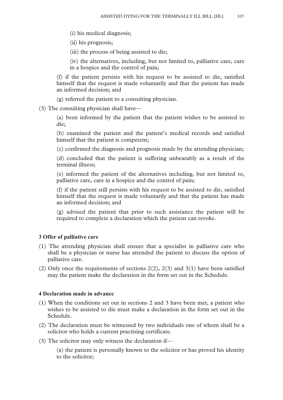(i) his medical diagnosis;

(ii) his prognosis;

(iii) the process of being assisted to die;

(iv) the alternatives, including, but not limited to, palliative care, care in a hospice and the control of pain;

(f) if the patient persists with his request to be assisted to die, satisfied himself that the request is made voluntarily and that the patient has made an informed decision; and

(g) referred the patient to a consulting physician.

(3) The consulting physician shall have—

(a) been informed by the patient that the patient wishes to be assisted to die;

(b) examined the patient and the patient's medical records and satisfied himself that the patient is competent;

(c) confirmed the diagnosis and prognosis made by the attending physician;

(d) concluded that the patient is suffering unbearably as a result of the terminal illness;

(e) informed the patient of the alternatives including, but not limited to, palliative care, care in a hospice and the control of pain;

(f) if the patient still persists with his request to be assisted to die, satisfied himself that the request is made voluntarily and that the patient has made an informed decision; and

(g) advised the patient that prior to such assistance the patient will be required to complete a declaration which the patient can revoke.

#### **3 Offer of palliative care**

- (1) The attending physician shall ensure that a specialist in palliative care who shall be a physician or nurse has attended the patient to discuss the option of palliative care.
- (2) Only once the requirements of sections 2(2), 2(3) and 3(1) have been satisfied may the patient make the declaration in the form set out in the Schedule.

# **4 Declaration made in advance**

- (1) When the conditions set out in sections 2 and 3 have been met, a patient who wishes to be assisted to die must make a declaration in the form set out in the Schedule.
- (2) The declaration must be witnessed by two individuals one of whom shall be a solicitor who holds a current practising certificate.
- (3) The solicitor may only witness the declaration if—

(a) the patient is personally known to the solicitor or has proved his identity to the solicitor;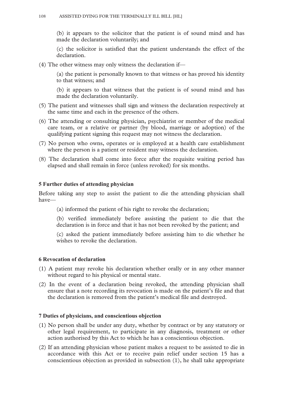(b) it appears to the solicitor that the patient is of sound mind and has made the declaration voluntarily; and

(c) the solicitor is satisfied that the patient understands the effect of the declaration.

(4) The other witness may only witness the declaration if—

(a) the patient is personally known to that witness or has proved his identity to that witness; and

(b) it appears to that witness that the patient is of sound mind and has made the declaration voluntarily.

- (5) The patient and witnesses shall sign and witness the declaration respectively at the same time and each in the presence of the others.
- (6) The attending or consulting physician, psychiatrist or member of the medical care team, or a relative or partner (by blood, marriage or adoption) of the qualifying patient signing this request may not witness the declaration.
- (7) No person who owns, operates or is employed at a health care establishment where the person is a patient or resident may witness the declaration.
- (8) The declaration shall come into force after the requisite waiting period has elapsed and shall remain in force (unless revoked) for six months.

# **5 Further duties of attending physician**

Before taking any step to assist the patient to die the attending physician shall have—

(a) informed the patient of his right to revoke the declaration;

(b) verified immediately before assisting the patient to die that the declaration is in force and that it has not been revoked by the patient; and

(c) asked the patient immediately before assisting him to die whether he wishes to revoke the declaration.

# **6 Revocation of declaration**

- (1) A patient may revoke his declaration whether orally or in any other manner without regard to his physical or mental state.
- (2) In the event of a declaration being revoked, the attending physician shall ensure that a note recording its revocation is made on the patient's file and that the declaration is removed from the patient's medical file and destroyed.

#### **7 Duties of physicians, and conscientious objection**

- (1) No person shall be under any duty, whether by contract or by any statutory or other legal requirement, to participate in any diagnosis, treatment or other action authorised by this Act to which he has a conscientious objection.
- (2) If an attending physician whose patient makes a request to be assisted to die in accordance with this Act or to receive pain relief under section 15 has a conscientious objection as provided in subsection (1), he shall take appropriate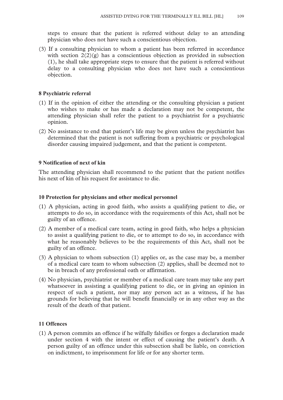steps to ensure that the patient is referred without delay to an attending physician who does not have such a conscientious objection.

(3) If a consulting physician to whom a patient has been referred in accordance with section  $2(2)(g)$  has a conscientious objection as provided in subsection (1), he shall take appropriate steps to ensure that the patient is referred without delay to a consulting physician who does not have such a conscientious objection.

#### **8 Psychiatric referral**

- (1) If in the opinion of either the attending or the consulting physician a patient who wishes to make or has made a declaration may not be competent, the attending physician shall refer the patient to a psychiatrist for a psychiatric opinion.
- (2) No assistance to end that patient's life may be given unless the psychiatrist has determined that the patient is not suffering from a psychiatric or psychological disorder causing impaired judgement, and that the patient is competent.

#### **9 Notification of next of kin**

The attending physician shall recommend to the patient that the patient notifies his next of kin of his request for assistance to die.

#### **10 Protection for physicians and other medical personnel**

- (1) A physician, acting in good faith, who assists a qualifying patient to die, or attempts to do so, in accordance with the requirements of this Act, shall not be guilty of an offence.
- (2) A member of a medical care team, acting in good faith, who helps a physician to assist a qualifying patient to die, or to attempt to do so, in accordance with what he reasonably believes to be the requirements of this Act, shall not be guilty of an offence.
- (3) A physician to whom subsection (1) applies or, as the case may be, a member of a medical care team to whom subsection (2) applies, shall be deemed not to be in breach of any professional oath or affirmation.
- (4) No physician, psychiatrist or member of a medical care team may take any part whatsoever in assisting a qualifying patient to die, or in giving an opinion in respect of such a patient, nor may any person act as a witness, if he has grounds for believing that he will benefit financially or in any other way as the result of the death of that patient.

#### **11 Offences**

(1) A person commits an offence if he wilfully falsifies or forges a declaration made under section 4 with the intent or effect of causing the patient's death. A person guilty of an offence under this subsection shall be liable, on conviction on indictment, to imprisonment for life or for any shorter term.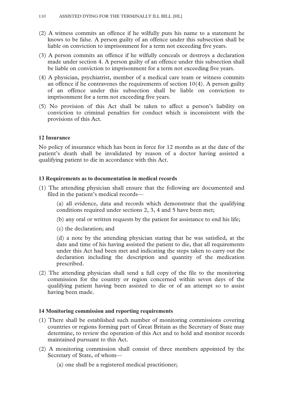- (2) A witness commits an offence if he wilfully puts his name to a statement he knows to be false. A person guilty of an offence under this subsection shall be liable on conviction to imprisonment for a term not exceeding five years.
- (3) A person commits an offence if he wilfully conceals or destroys a declaration made under section 4. A person guilty of an offence under this subsection shall be liable on conviction to imprisonment for a term not exceeding five years.
- (4) A physician, psychiatrist, member of a medical care team or witness commits an offence if he contravenes the requirements of section 10(4). A person guilty of an offence under this subsection shall be liable on conviction to imprisonment for a term not exceeding five years.
- (5) No provision of this Act shall be taken to affect a person's liability on conviction to criminal penalties for conduct which is inconsistent with the provisions of this Act.

## **12 Insurance**

No policy of insurance which has been in force for 12 months as at the date of the patient's death shall be invalidated by reason of a doctor having assisted a qualifying patient to die in accordance with this Act.

## **13 Requirements as to documentation in medical records**

(1) The attending physician shall ensure that the following are documented and filed in the patient's medical records—

(a) all evidence, data and records which demonstrate that the qualifying conditions required under sections 2, 3, 4 and 5 have been met;

- (b) any oral or written requests by the patient for assistance to end his life;
- (c) the declaration; and

(d) a note by the attending physician stating that he was satisfied, at the date and time of his having assisted the patient to die, that all requirements under this Act had been met and indicating the steps taken to carry out the declaration including the description and quantity of the medication prescribed.

(2) The attending physician shall send a full copy of the file to the monitoring commission for the country or region concerned within seven days of the qualifying patient having been assisted to die or of an attempt so to assist having been made.

#### **14 Monitoring commission and reporting requirements**

- (1) There shall be established such number of monitoring commissions covering countries or regions forming part of Great Britain as the Secretary of State may determine, to review the operation of this Act and to hold and monitor records maintained pursuant to this Act.
- (2) A monitoring commission shall consist of three members appointed by the Secretary of State, of whom—
	- (a) one shall be a registered medical practitioner;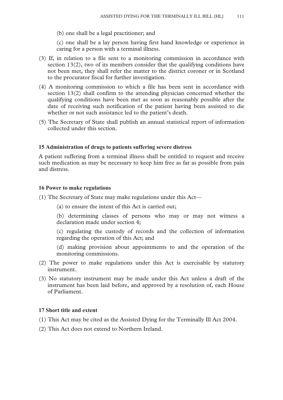(b) one shall be a legal practitioner; and

(c) one shall be a lay person having first hand knowledge or experience in caring for a person with a terminal illness.

- (3) If, in relation to a file sent to a monitoring commission in accordance with section 13(2), two of its members consider that the qualifying conditions have not been met, they shall refer the matter to the district coroner or in Scotland to the procurator fiscal for further investigation.
- (4) A monitoring commission to which a file has been sent in accordance with section 13(2) shall confirm to the attending physician concerned whether the qualifying conditions have been met as soon as reasonably possible after the date of receiving such notification of the patient having been assisted to die whether or not such assistance led to the patient's death.
- (5) The Secretary of State shall publish an annual statistical report of information collected under this section.

## **15 Administration of drugs to patients suffering severe distress**

A patient suffering from a terminal illness shall be entitled to request and receive such medication as may be necessary to keep him free as far as possible from pain and distress.

#### **16 Power to make regulations**

- (1) The Secretary of State may make regulations under this Act—
	- (a) to ensure the intent of this Act is carried out;

(b) determining classes of persons who may or may not witness a declaration made under section 4;

(c) regulating the custody of records and the collection of information regarding the operation of this Act; and

(d) making provision about appointments to and the operation of the monitoring commissions.

- (2) The power to make regulations under this Act is exercisable by statutory instrument.
- (3) No statutory instrument may be made under this Act unless a draft of the instrument has been laid before, and approved by a resolution of, each House of Parliament.

## **17 Short title and extent**

- (1) This Act may be cited as the Assisted Dying for the Terminally Ill Act 2004.
- (2) This Act does not extend to Northern Ireland.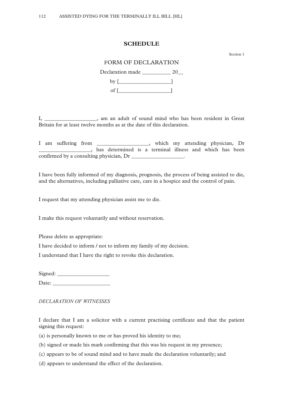#### **SCHEDULE**

Section 1

## FORM OF DECLARATION

Declaration made \_\_\_\_\_\_\_\_\_\_\_\_ 20\_\_  $by$   $[$   $]$ of  $[\_$ 

I, \_\_\_\_\_\_\_\_\_\_\_\_\_\_\_\_\_\_\_\_, am an adult of sound mind who has been resident in Great Britain for at least twelve months as at the date of this declaration.

I am suffering from \_\_\_\_\_\_\_\_\_\_\_\_\_\_\_\_\_\_\_\_, which my attending physician, Dr \_\_\_\_\_\_\_\_\_\_\_\_\_\_\_\_\_\_\_\_, has determined is a terminal illness and which has been confirmed by a consulting physician, Dr \_\_\_\_\_\_\_\_\_\_\_\_\_\_\_\_\_\_.

I have been fully informed of my diagnosis, prognosis, the process of being assisted to die, and the alternatives, including palliative care, care in a hospice and the control of pain.

I request that my attending physician assist me to die.

I make this request voluntarily and without reservation.

Please delete as appropriate:

I have decided to inform / not to inform my family of my decision.

I understand that I have the right to revoke this declaration.

Signed:

Date: \_\_\_\_\_\_\_\_\_\_\_\_\_\_\_\_\_\_\_\_\_\_

*DECLARATION OF WITNESSES* 

I declare that I am a solicitor with a current practising certificate and that the patient signing this request:

(a) is personally known to me or has proved his identity to me;

(b) signed or made his mark confirming that this was his request in my presence;

(c) appears to be of sound mind and to have made the declaration voluntarily; and

(d) appears to understand the effect of the declaration.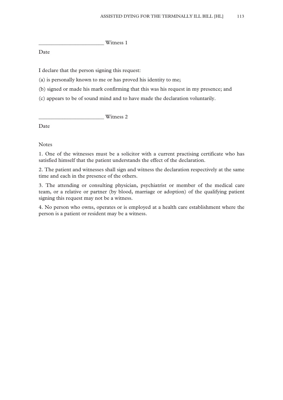\_\_\_\_\_\_\_\_\_\_\_\_\_\_\_\_\_\_\_\_\_\_\_\_\_ Witness 1

Date

I declare that the person signing this request:

(a) is personally known to me or has proved his identity to me;

(b) signed or made his mark confirming that this was his request in my presence; and

(c) appears to be of sound mind and to have made the declaration voluntarily.

\_\_\_\_\_\_\_\_\_\_\_\_\_\_\_\_\_\_\_\_\_\_\_\_\_ Witness 2

Date

Notes

1. One of the witnesses must be a solicitor with a current practising certificate who has satisfied himself that the patient understands the effect of the declaration.

2. The patient and witnesses shall sign and witness the declaration respectively at the same time and each in the presence of the others.

3. The attending or consulting physician, psychiatrist or member of the medical care team, or a relative or partner (by blood, marriage or adoption) of the qualifying patient signing this request may not be a witness.

4. No person who owns, operates or is employed at a health care establishment where the person is a patient or resident may be a witness.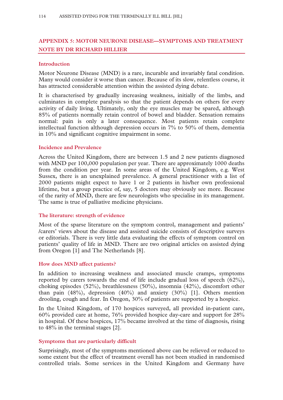# **APPENDIX 5: MOTOR NEURONE DISEASE—SYMPTOMS AND TREATMENT NOTE BY DR RICHARD HILLIER**

## **Introduction**

Motor Neurone Disease (MND) is a rare, incurable and invariably fatal condition. Many would consider it worse than cancer. Because of its slow, relentless course, it has attracted considerable attention within the assisted dying debate.

It is characterised by gradually increasing weakness, initially of the limbs, and culminates in complete paralysis so that the patient depends on others for every activity of daily living. Ultimately, only the eye muscles may be spared, although 85% of patients normally retain control of bowel and bladder. Sensation remains normal: pain is only a later consequence. Most patients retain complete intellectual function although depression occurs in 7% to 50% of them, dementia in 10% and significant cognitive impairment in some.

## **Incidence and Prevalence**

Across the United Kingdom, there are between 1.5 and 2 new patients diagnosed with MND per 100,000 population per year. There are approximately 1000 deaths from the condition per year. In some areas of the United Kingdom, e.g. West Sussex, there is an unexplained prevalence. A general practitioner with a list of 2000 patients might expect to have 1 or 2 patients in his/her own professional lifetime, but a group practice of, say, 5 doctors may obviously see more. Because of the rarity of MND, there are few neurologists who specialise in its management. The same is true of palliative medicine physicians.

## **The literature: strength of evidence**

Most of the sparse literature on the symptom control, management and patients' /carers' views about the disease and assisted suicide consists of descriptive surveys or editorials. There is very little data evaluating the effects of symptom control on patients' quality of life in MND. There are two original articles on assisted dying from Oregon [1] and The Netherlands [8].

## **How does MND affect patients?**

In addition to increasing weakness and associated muscle cramps, symptoms reported by carers towards the end of life include gradual loss of speech (62%), choking episodes (52%), breathlessness (50%), insomnia (42%), discomfort other than pain (48%), depression (40%) and anxiety (30%) [1]. Others mention drooling, cough and fear. In Oregon, 30% of patients are supported by a hospice.

In the United Kingdom, of 170 hospices surveyed, all provided in-patient care, 60% provided care at home, 76% provided hospice day-care and support for 28% in hospital. Of these hospices, 17% became involved at the time of diagnosis, rising to 48% in the terminal stages [2].

## **Symptoms that are particularly difficult**

Surprisingly, most of the symptoms mentioned above can be relieved or reduced to some extent but the effect of treatment overall has not been studied in randomised controlled trials. Some services in the United Kingdom and Germany have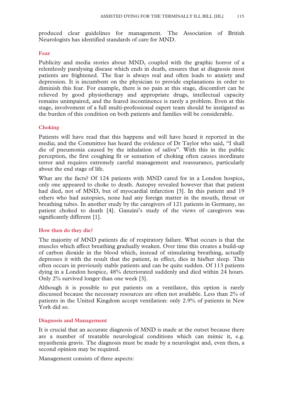produced clear guidelines for management. The Association of British Neurologists has identified standards of care for MND.

#### **Fear**

Publicity and media stories about MND, coupled with the graphic horror of a relentlessly paralysing disease which ends in death, ensures that at diagnosis most patients are frightened. The fear is always real and often leads to anxiety and depression. It is incumbent on the physician to provide explanations in order to diminish this fear. For example, there is no pain at this stage, discomfort can be relieved by good physiotherapy and appropriate drugs, intellectual capacity remains unimpaired, and the feared incontinence is rarely a problem. Even at this stage, involvement of a full multi-professional expert team should be instigated as the burden of this condition on both patients and families will be considerable.

## **Choking**

Patients will have read that this happens and will have heard it reported in the media; and the Committee has heard the evidence of Dr Taylor who said, "I shall die of pneumonia caused by the inhalation of saliva". With this in the public perception, the first coughing fit or sensation of choking often causes inordinate terror and requires extremely careful management and reassurance, particularly about the end stage of life.

What are the facts? Of 124 patients with MND cared for in a London hospice, only one appeared to choke to death. Autopsy revealed however that that patient had died, not of MND, but of myocardial infarction [3]. In this patient and 19 others who had autopsies, none had any foreign matter in the mouth, throat or breathing tubes. In another study by the caregivers of 121 patients in Germany, no patient choked to death [4]. Ganzini's study of the views of caregivers was significantly different [1].

## **How then do they die?**

The majority of MND patients die of respiratory failure. What occurs is that the muscles which affect breathing gradually weaken. Over time this creates a build-up of carbon dioxide in the blood which, instead of stimulating breathing, actually depresses it with the result that the patient, in effect, dies in his/her sleep. This often occurs in previously stable patients and can be quite sudden. Of 113 patients dying in a London hospice, 48% deteriorated suddenly and died within 24 hours. Only 2% survived longer than one week [3].

Although it is possible to put patients on a ventilator, this option is rarely discussed because the necessary resources are often not available. Less than 2% of patients in the United Kingdom accept ventilation: only 2.9% of patients in New York did so.

#### **Diagnosis and Management**

It is crucial that an accurate diagnosis of MND is made at the outset because there are a number of treatable neurological conditions which can mimic it, e.g. myasthenia gravis. The diagnosis must be made by a neurologist and, even then, a second opinion may be required.

Management consists of three aspects: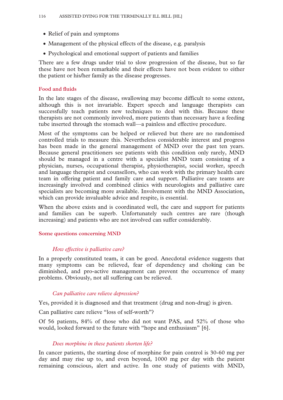- Relief of pain and symptoms
- Management of the physical effects of the disease, e.g. paralysis
- Psychological and emotional support of patients and families

There are a few drugs under trial to slow progression of the disease, but so far these have not been remarkable and their effects have not been evident to either the patient or his/her family as the disease progresses.

## **Food and fluids**

In the late stages of the disease, swallowing may become difficult to some extent, although this is not invariable. Expert speech and language therapists can successfully teach patients new techniques to deal with this. Because these therapists are not commonly involved, more patients than necessary have a feeding tube inserted through the stomach wall—a painless and effective procedure.

Most of the symptoms can be helped or relieved but there are no randomised controlled trials to measure this. Nevertheless considerable interest and progress has been made in the general management of MND over the past ten years. Because general practitioners see patients with this condition only rarely, MND should be managed in a centre with a specialist MND team consisting of a physician, nurses, occupational therapist, physiotherapist, social worker, speech and language therapist and counsellors, who can work with the primary health care team in offering patient and family care and support. Palliative care teams are increasingly involved and combined clinics with neurologists and palliative care specialists are becoming more available. Involvement with the MND Association, which can provide invaluable advice and respite, is essential.

When the above exists and is coordinated well, the care and support for patients and families can be superb. Unfortunately such centres are rare (though increasing) and patients who are not involved can suffer considerably.

#### **Some questions concerning MND**

#### *How effective is palliative care?*

In a properly constituted team, it can be good. Anecdotal evidence suggests that many symptoms can be relieved, fear of dependency and choking can be diminished, and pro-active management can prevent the occurrence of many problems. Obviously, not all suffering can be relieved.

## *Can palliative care relieve depression?*

Yes, provided it is diagnosed and that treatment (drug and non-drug) is given.

Can palliative care relieve "loss of self-worth"?

Of 56 patients, 84% of those who did not want PAS, and 52% of those who would, looked forward to the future with "hope and enthusiasm" [6].

#### *Does morphine in these patients shorten life?*

In cancer patients, the starting dose of morphine for pain control is 30-60 mg per day and may rise up to, and even beyond, 1000 mg per day with the patient remaining conscious, alert and active. In one study of patients with MND,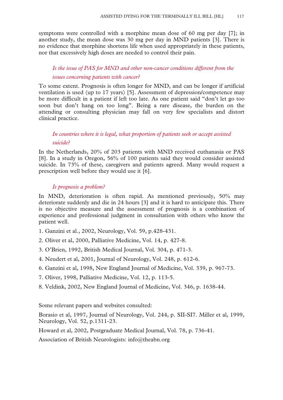symptoms were controlled with a morphine mean dose of 60 mg per day [7]; in another study, the mean dose was 30 mg per day in MND patients [3]. There is no evidence that morphine shortens life when used appropriately in these patients, nor that excessively high doses are needed to control their pain.

# *Is the issue of PAS for MND and other non-cancer conditions different from the issues concerning patients with cancer?*

To some extent. Prognosis is often longer for MND, and can be longer if artificial ventilation is used (up to 17 years) [5]. Assessment of depression/competence may be more difficult in a patient if left too late. As one patient said "don't let go too soon but don't hang on too long". Being a rare disease, the burden on the attending or consulting physician may fall on very few specialists and distort clinical practice.

# *In countries where it is legal, what proportion of patients seek or accept assisted suicide?*

In the Netherlands, 20% of 203 patients with MND received euthanasia or PAS [8]. In a study in Oregon, 56% of 100 patients said they would consider assisted suicide. In 73% of these, caregivers and patients agreed. Many would request a prescription well before they would use it [6].

## *Is prognosis a problem?*

In MND, deterioration is often rapid. As mentioned previously, 50% may deteriorate suddenly and die in 24 hours [3] and it is hard to anticipate this. There is no objective measure and the assessment of prognosis is a combination of experience and professional judgment in consultation with others who know the patient well.

- 1. Ganzini et al., 2002, Neurology, Vol. 59, p.428-431.
- 2. Oliver et al, 2000, Palliative Medicine, Vol. 14, p. 427-8.
- 3. O'Brien, 1992, British Medical Journal, Vol. 304, p. 471-3.
- 4. Neudert et al, 2001, Journal of Neurology, Vol. 248, p. 612-6.
- 6. Ganzini et al, 1998, New England Journal of Medicine, Vol. 339, p. 967-73.
- 7. Oliver, 1998, Palliative Medicine, Vol. 12, p. 113-5.
- 8. Veldink, 2002, New England Journal of Medicine, Vol. 346, p. 1638-44.

Some relevant papers and websites consulted:

Borasio et al, 1997, Journal of Neurology, Vol. 244, p. SII-SI7. Miller et al, 1999, Neurology, Vol. 52, p.1311-23.

Howard et al, 2002, Postgraduate Medical Journal, Vol. 78, p. 736-41.

Association of British Neurologists: info@theabn.org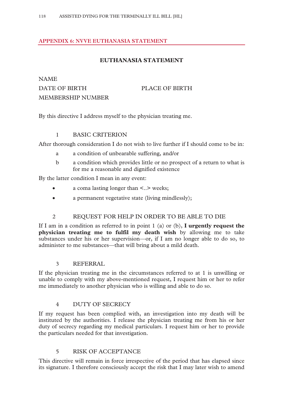# **APPENDIX 6: NVVE EUTHANASIA STATEMENT**

# **EUTHANASIA STATEMENT**

# NAME DATE OF BIRTH PLACE OF BIRTH MEMBERSHIP NUMBER

By this directive I address myself to the physician treating me.

## 1 BASIC CRITERION

After thorough consideration I do not wish to live further if I should come to be in:

- a a condition of unbearable suffering, and/or
- b a condition which provides little or no prospect of a return to what is for me a reasonable and dignified existence

By the latter condition I mean in any event:

- a coma lasting longer than <..> weeks;
- a permanent vegetative state (living mindlessly);

## 2 REQUEST FOR HELP IN ORDER TO BE ABLE TO DIE

If I am in a condition as referred to in point 1 (a) or (b), **I urgently request the physician treating me to fulfil my death wish** by allowing me to take substances under his or her supervision—or, if I am no longer able to do so, to administer to me substances—that will bring about a mild death.

## 3 REFERRAL

If the physician treating me in the circumstances referred to at 1 is unwilling or unable to comply with my above-mentioned request, I request him or her to refer me immediately to another physician who is willing and able to do so.

## 4 DUTY OF SECRECY

If my request has been complied with, an investigation into my death will be instituted by the authorities. I release the physician treating me from his or her duty of secrecy regarding my medical particulars. I request him or her to provide the particulars needed for that investigation.

## 5 RISK OF ACCEPTANCE

This directive will remain in force irrespective of the period that has elapsed since its signature. I therefore consciously accept the risk that I may later wish to amend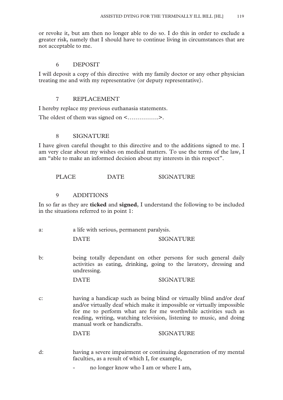or revoke it, but am then no longer able to do so. I do this in order to exclude a greater risk, namely that I should have to continue living in circumstances that are not acceptable to me.

## 6 DEPOSIT

I will deposit a copy of this directive with my family doctor or any other physician treating me and with my representative (or deputy representative).

## 7 REPLACEMENT

I hereby replace my previous euthanasia statements.

The oldest of them was signed on <…………….>.

## 8 SIGNATURE

I have given careful thought to this directive and to the additions signed to me. I am very clear about my wishes on medical matters. To use the terms of the law, I am "able to make an informed decision about my interests in this respect".

PLACE DATE SIGNATURE

## 9 ADDITIONS

In so far as they are **ticked** and **signed**, I understand the following to be included in the situations referred to in point 1:

| a: |  | a life with serious, permanent paralysis. |  |
|----|--|-------------------------------------------|--|
|----|--|-------------------------------------------|--|

DATE SIGNATURE

b: being totally dependant on other persons for such general daily activities as eating, drinking, going to the lavatory, dressing and undressing.

DATE SIGNATURE

c: having a handicap such as being blind or virtually blind and/or deaf and/or virtually deaf which make it impossible or virtually impossible for me to perform what are for me worthwhile activities such as reading, writing, watching television, listening to music, and doing manual work or handicrafts.

DATE SIGNATURE

- d: having a severe impairment or continuing degeneration of my mental faculties, as a result of which I, for example,
	- no longer know who I am or where I am,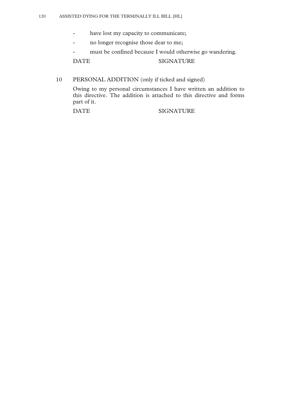- have lost my capacity to communicate;
- no longer recognise those dear to me;
- must be confined because I would otherwise go wandering.

DATE SIGNATURE

# 10 PERSONAL ADDITION (only if ticked and signed)

Owing to my personal circumstances I have written an addition to this directive. The addition is attached to this directive and forms part of it.

#### DATE SIGNATURE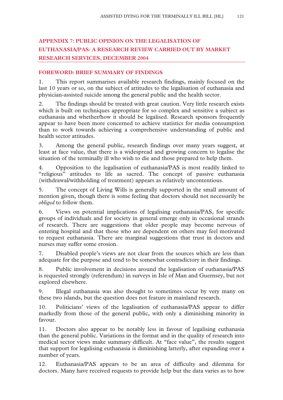# **APPENDIX 7: PUBLIC OPINION ON THE LEGALISATION OF EUTHANASIA/PAS: A RESEARCH REVIEW CARRIED OUT BY MARKET RESEARCH SERVICES, DECEMBER 2004**

## **FOREWORD: BRIEF SUMMARY OF FINDINGS**

1. This report summarises available research findings, mainly focused on the last 10 years or so, on the subject of attitudes to the legalisation of euthanasia and physician-assisted suicide among the general public and the health sector.

2. The findings should be treated with great caution. Very little research exists which is built on techniques appropriate for so complex and sensitive a subject as euthanasia and whether/how it should be legalised. Research sponsors frequently appear to have been more concerned to achieve statistics for media consumption than to work towards achieving a comprehensive understanding of public and health sector attitudes.

3. Among the general public, research findings over many years suggest, at least at face value, that there is a widespread and growing concern to legalise the situation of the terminally ill who wish to die and those prepared to help them.

4. Opposition to the legalisation of euthanasia/PAS is most readily linked to "religious" attitudes to life as sacred. The concept of passive euthanasia (withdrawal/withholding of treatment) appears as relatively uncontentious.

5. The concept of Living Wills is generally supported in the small amount of mention given, though there is some feeling that doctors should not necessarily be *obliged* to follow them.

6. Views on potential implications of legalising euthanasia/PAS, for specific groups of individuals and for society in general emerge only in occasional strands of research. There are suggestions that older people may become nervous of entering hospital and that those who are dependent on others may feel motivated to request euthanasia. There are marginal suggestions that trust in doctors and nurses may suffer some erosion.

7. Disabled people's views are not clear from the sources which are less than adequate for the purpose and tend to be somewhat contradictory in their findings.

8. Public involvement in decisions around the legalisation of euthanasia/PAS is requested strongly (referendum) in surveys in Isle of Man and Guernsey, but not explored elsewhere.

9. Illegal euthanasia was also thought to sometimes occur by very many on these two islands, but the question does not feature in mainland research.

10. Politicians' views of the legalisation of euthanasia/PAS appear to differ markedly from those of the general public, with only a diminishing minority in favour.

11. Doctors also appear to be notably less in favour of legalising euthanasia than the general public. Variations in the format and in the quality of research into medical sector views make summary difficult. At "face value", the results suggest that support for legalising euthanasia is diminishing latterly, after expanding over a number of years.

12. Euthanasia/PAS appears to be an area of difficulty and dilemma for doctors. Many have received requests to provide help but the data varies as to how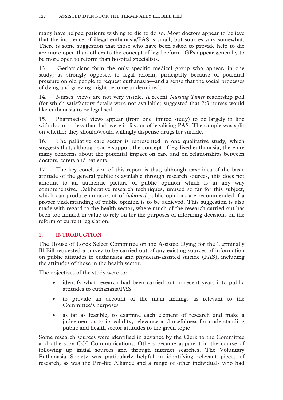many have helped patients wishing to die to do so. Most doctors appear to believe that the incidence of illegal euthanasia/PAS is small, but sources vary somewhat. There is some suggestion that those who have been asked to provide help to die are more open than others to the concept of legal reform. GPs appear generally to be more open to reform than hospital specialists.

13. Geriatricians form the only specific medical group who appear, in one study, as strongly opposed to legal reform, principally because of potential pressure on old people to request euthanasia—and a sense that the social processes of dying and grieving might become undermined.

14. Nurses' views are not very visible. A recent *Nursing Times* readership poll (for which satisfactory details were not available) suggested that 2:3 nurses would like euthanasia to be legalised.

15. Pharmacists' views appear (from one limited study) to be largely in line with doctors—less than half were in favour of legalising PAS. The sample was split on whether they should/would willingly dispense drugs for suicide.

16. The palliative care sector is represented in one qualitative study, which suggests that, although some support the concept of legalised euthanasia, there are many concerns about the potential impact on care and on relationships between doctors, carers and patients.

17. The key conclusion of this report is that, although *some* idea of the basic attitude of the general public is available through research sources, this does not amount to an authentic picture of public opinion which is in any way comprehensive. Deliberative research techniques, unused so far for this subject, which can produce an account of *informed* public opinion, are recommended if a proper understanding of public opinion is to be achieved. This suggestion is also made with regard to the health sector, where much of the research carried out has been too limited in value to rely on for the purposes of informing decisions on the reform of current legislation.

# **1. INTRODUCTION**

The House of Lords Select Committee on the Assisted Dying for the Terminally Ill Bill requested a survey to be carried out of any existing sources of information on public attitudes to euthanasia and physician-assisted suicide (PAS), including the attitudes of those in the health sector.

The objectives of the study were to:

- identify what research had been carried out in recent years into public attitudes to euthanasia/PAS
- to provide an account of the main findings as relevant to the Committee's purposes
- as far as feasible, to examine each element of research and make a judgement as to its validity, relevance and usefulness for understanding public and health sector attitudes to the given topic

Some research sources were identified in advance by the Clerk to the Committee and others by COI Communications. Others became apparent in the course of following up initial sources and through internet searches. The Voluntary Euthanasia Society was particularly helpful in identifying relevant pieces of research, as was the Pro-life Alliance and a range of other individuals who had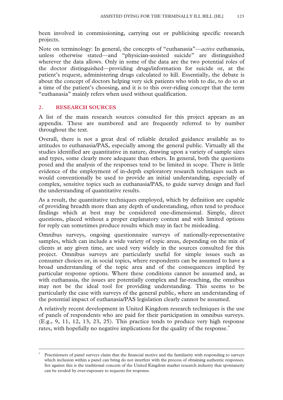been involved in commissioning, carrying out or publicising specific research projects.

Note on terminology: In general, the concepts of "euthanasia"—*active* euthanasia, unless otherwise stated—and "physician-assisted suicide" are distinguished wherever the data allows. Only in some of the data are the two potential roles of the doctor distinguished—providing drugs/information for suicide or, at the patient's request, administering drugs calculated to kill. Essentially, the debate is about the concept of doctors helping very sick patients who wish to die, to do so at a time of the patient's choosing, and it is to this over-riding concept that the term "euthanasia" mainly refers when used without qualification.

## **2. RESEARCH SOURCES**

 $\overline{a}$ 

A list of the main research sources consulted for this project appears as an appendix. These are numbered and are frequently referred to by number throughout the text.

Overall, there is not a great deal of reliable detailed guidance available as to attitudes to euthanasia/PAS, especially among the general public. Virtually all the studies identified are quantitative in nature, drawing upon a variety of sample sizes and types, some clearly more adequate than others. In general, both the questions posed and the analysis of the responses tend to be limited in scope. There is little evidence of the employment of in-depth exploratory research techniques such as would conventionally be used to provide an initial understanding, especially of complex, sensitive topics such as euthanasia/PAS, to guide survey design and fuel the understanding of quantitative results.

As a result, the quantitative techniques employed, which by definition are capable of providing breadth more than any depth of understanding, often tend to produce findings which at best may be considered one-dimensional. Simple, direct questions, placed without a proper explanatory context and with limited options for reply can sometimes produce results which may in fact be misleading.

Omnibus surveys, ongoing questionnaire surveys of nationally-representative samples, which can include a wide variety of topic areas, depending on the mix of clients at any given time, are used very widely in the sources consulted for this project. Omnibus surveys are particularly useful for simple issues such as consumer choices or, in social topics, where respondents can be assumed to have a broad understanding of the topic area and of the consequences implied by particular response options. Where these conditions cannot be assumed and, as with euthanasia, the issues are potentially complex and far-reaching, the omnibus may not be the ideal tool for providing understanding. This seems to be particularly the case with surveys of the general public, where an understanding of the potential impact of euthanasia/PAS legislation clearly cannot be assumed.

A relatively recent development in United Kingdom research techniques is the use of panels of respondents who are paid for their participation in omnibus surveys. (E.g., 9, 11, 12, 13, 23, 25). This practice tends to produce very high response rates, with hopefully no negative implications for the quality of the response.<sup>∗</sup>

<sup>∗</sup> Practitioners of panel surveys claim that the financial motive and the familiarity with responding to surveys which inclusion within a panel can bring do not interfere with the process of obtaining authentic responses. Set against this is the traditional concern of the United Kingdom market research industry that spontaneity can be eroded by over-exposure to requests for response.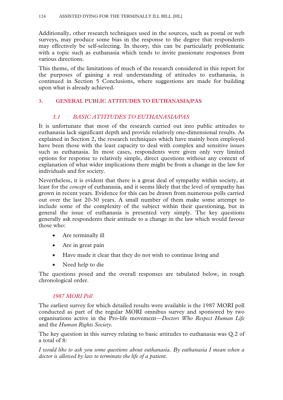Additionally, other research techniques used in the sources, such as postal or web surveys, may produce some bias in the response to the degree that respondents may effectively be self-selecting. In theory, this can be particularly problematic with a topic such as euthanasia which tends to invite passionate responses from various directions.

This theme, of the limitations of much of the research considered in this report for the purposes of gaining a real understanding of attitudes to euthanasia, is continued in Section 5 Conclusions, where suggestions are made for building upon what is already achieved.

## **3. GENERAL PUBLIC ATTITUDES TO EUTHANASIA/PAS**

# *3.1 BASIC ATTITUDES TO EUTHANASIA/PAS*

It is unfortunate that most of the research carried out into public attitudes to euthanasia lack significant depth and provide relatively one-dimensional results. As explained in Section 2, the research techniques which have mainly been employed have been those with the least capacity to deal with complex and sensitive issues such as euthanasia. In most cases, respondents were given only very limited options for response to relatively simple, direct questions without any context of explanation of what wider implications there might be from a change in the law for individuals and for society.

Nevertheless, it is evident that there is a great deal of sympathy within society, at least for the *concept* of euthanasia, and it seems likely that the level of sympathy has grown in recent years. Evidence for this can be drawn from numerous polls carried out over the last 20-30 years. A small number of them make some attempt to include some of the complexity of the subject within their questioning, but in general the issue of euthanasia is presented very simply. The key questions generally ask respondents their attitude to a change in the law which would favour those who:

- Are terminally ill
- Are in great pain
- Have made it clear that they do not wish to continue living and
- Need help to die

The questions posed and the overall responses are tabulated below, in rough chronological order.

## *1987 MORI Poll*

The earliest survey for which detailed results were available is the 1987 MORI poll conducted as part of the regular MORI omnibus survey and sponsored by two organisations active in the Pro-life movement—*Doctors Who Respect Human Life* and the *Human Rights Society.* 

The key question in this survey relating to basic attitudes to euthanasia was Q.2 of a total of 8:

*I would like to ask you some questions about euthanasia. By euthanasia I mean when a doctor is allowed by law to terminate the life of a patient.*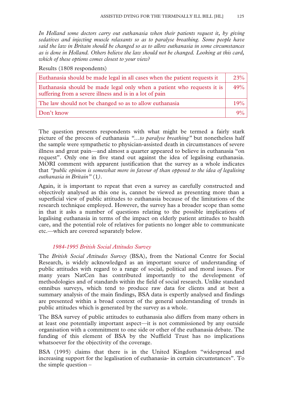*In Holland some doctors carry out euthanasia when their patients request it, by giving sedatives and injecting muscle relaxants so as to paralyse breathing. Some people have said the law in Britain should be changed so as to allow euthanasia in some circumstances as is done in Holland. Others believe the law should not be changed. Looking at this card, which of these options comes closest to your view?* 

Results (1808 respondents)

| Euthanasia should be made legal in all cases when the patient requests it                                                         | 23%   |
|-----------------------------------------------------------------------------------------------------------------------------------|-------|
| Euthanasia should be made legal only when a patient who requests it is<br>suffering from a severe illness and is in a lot of pain | 49%   |
| The law should not be changed so as to allow euthanasia                                                                           | 19%   |
| Don't know                                                                                                                        | $9\%$ |

The question presents respondents with what might be termed a fairly stark picture of the process of euthanasia *"…to paralyse breathing"* but nonetheless half the sample were sympathetic to physician-assisted death in circumstances of severe illness and great pain—and almost a quarter appeared to believe in euthanasia "on request". Only one in five stand out against the idea of legalising euthanasia. MORI comment with apparent justification that the survey as a whole indicates that *"public opinion is somewhat more in favour of than opposed to the idea of legalising euthanasia in Britain"* (1*).* 

Again, it is important to repeat that even a survey as carefully constructed and objectively analysed as this one is, cannot be viewed as presenting more than a superficial view of public attitudes to euthanasia because of the limitations of the research technique employed. However, the survey has a broader scope than some in that it asks a number of questions relating to the possible implications of legalising euthanasia in terms of the impact on elderly patient attitudes to health care, and the potential role of relatives for patients no longer able to communicate etc.—which are covered separately below.

## *1984-1995 British Social Attitudes Survey*

The *British Social Attitudes Survey* (BSA), from the National Centre for Social Research, is widely acknowledged as an important source of understanding of public attitudes with regard to a range of social, political and moral issues. For many years NatCen has contributed importantly to the development of methodologies and of standards within the field of social research. Unlike standard omnibus surveys, which tend to produce raw data for clients and at best a summary analysis of the main findings, BSA data is expertly analysed and findings are presented within a broad context of the general understanding of trends in public attitudes which is generated by the survey as a whole.

The BSA survey of public attitudes to euthanasia also differs from many others in at least one potentially important aspect—it is not commissioned by any outside organisation with a commitment to one side or other of the euthanasia debate. The funding of this element of BSA by the Nuffield Trust has no implications whatsoever for the objectivity of the coverage.

BSA (1995) claims that there is in the United Kingdom "widespread and increasing support for the legalisation of euthanasia- in certain circumstances". To the simple question –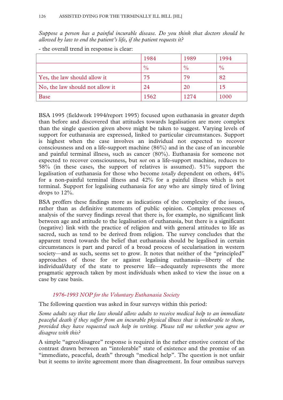*Suppose a person has a painful incurable disease. Do you think that doctors should be allowed by law to end the patient's life, if the patient requests it?* 

|                                 | 1984          | 1989          | 1994          |
|---------------------------------|---------------|---------------|---------------|
|                                 | $\frac{0}{0}$ | $\frac{0}{0}$ | $\frac{0}{0}$ |
| Yes, the law should allow it    | 75            | 79            | 82            |
| No, the law should not allow it | 24            | 20            | 15            |
| <b>Base</b>                     | 1562          | 1274          | 1000          |

- the overall trend in response is clear:

BSA 1995 (fieldwork 1994/report 1995) focused upon euthanasia in greater depth than before and discovered that attitudes towards legalisation are more complex than the single question given above might be taken to suggest. Varying levels of support for euthanasia are expressed, linked to particular circumstances. Support is highest when the case involves an individual not expected to recover consciousness and on a life-support machine (86%) and in the case of an incurable and painful terminal illness, such as cancer (80%). Euthanasia for someone not expected to recover consciousness, but *not* on a life-support machine, reduces to 58% (in these cases, the support of relatives is assumed). 51% support the legalisation of euthanasia for those who become *totally* dependent on others, 44% for a non-painful terminal illness and 42% for a painful illness which is not terminal. Support for legalising euthanasia for any who are simply tired of living drops to 12%.

BSA proffers these findings more as indications of the complexity of the issues, rather than as definitive statements of public opinion. Complex processes of analysis of the survey findings reveal that there is, for example, no significant link between age and attitude to the legalisation of euthanasia, but there is a significant (negative) link with the practice of religion and with general attitudes to life as sacred, such as tend to be derived from religion. The survey concludes that the apparent trend towards the belief that euthanasia should be legalised in certain circumstances is part and parcel of a broad process of secularisation in western society—and as such, seems set to grow. It notes that neither of the "principled" approaches of those for or against legalising euthanasia—liberty of the individual/duty of the state to preserve life—adequately represents the more pragmatic approach taken by most individuals when asked to view the issue on a case by case basis.

## *1976-1993 NOP for the Voluntary Euthanasia Society*

The following question was asked in four surveys within this period:

*Some adults say that the law should allow adults to receive medical help to an immediate peaceful death if they suffer from an incurable physical illness that is intolerable to them, provided they have requested such help in writing. Please tell me whether you agree or disagree with this?* 

A simple "agree/disagree" response is required in the rather emotive context of the contrast drawn between an "intolerable" state of existence and the promise of an "immediate, peaceful, death" through "medical help". The question is not unfair but it seems to invite agreement more than disagreement. In four omnibus surveys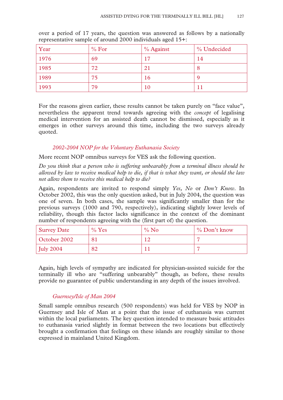| Year | % For | % Against | % Undecided |
|------|-------|-----------|-------------|
| 1976 | 69    | 17        | 14          |
| 1985 | 72    | 21        | 8           |
| 1989 | 75    | 16        | 9           |
| 1993 | 79    | 10        |             |

over a period of 17 years, the question was answered as follows by a nationally representative sample of around 2000 individuals aged 15+:

For the reasons given earlier, these results cannot be taken purely on "face value", nevertheless the apparent trend towards agreeing with the *concept* of legalising medical intervention for an assisted death cannot be dismissed, especially as it emerges in other surveys around this time, including the two surveys already quoted.

## *2002-2004 NOP for the Voluntary Euthanasia Society*

More recent NOP omnibus surveys for VES ask the following question.

*Do you think that a person who is suffering unbearably from a terminal illness should be allowed by law to receive medical help to die, if that is what they want, or should the law not allow them to receive this medical help to die?* 

Again, respondents are invited to respond simply *Yes, No* or *Don't Know*. In October 2002, this was the only question asked, but in July 2004, the question was one of seven. In both cases, the sample was significantly smaller than for the previous surveys (1000 and 790, respectively), indicating slightly lower levels of reliability, though this factor lacks significance in the context of the dominant number of respondents agreeing with the (first part of) the question.

| <b>Survey Date</b> | $\%$ Yes | $\%$ No | % Don't know |
|--------------------|----------|---------|--------------|
| October 2002       | 81       |         |              |
| July $2004$        | 82       |         |              |

Again, high levels of sympathy are indicated for physician-assisted suicide for the terminally ill who are "suffering unbearably" though, as before, these results provide no guarantee of public understanding in any depth of the issues involved.

## *Guernsey/Isle of Man 2004*

Small sample omnibus research (500 respondents) was held for VES by NOP in Guernsey and Isle of Man at a point that the issue of euthanasia was current within the local parliaments. The key question intended to measure basic attitudes to euthanasia varied slightly in format between the two locations but effectively brought a confirmation that feelings on these islands are roughly similar to those expressed in mainland United Kingdom.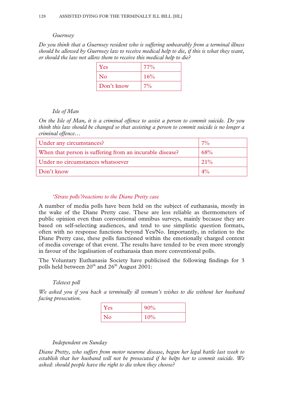#### *Guernsey*

*Do you think that a Guernsey resident who is suffering unbearably from a terminal illness should be allowed by Guernsey law to receive medical help to die, if this is what they want, or should the law not allow them to receive this medical help to die?* 

| Yes        | $77\%$ |
|------------|--------|
| $\rm No$   | 16%    |
| Don't know | $7\%$  |

#### *Isle of Man*

*On the Isle of Man, it is a criminal offence to assist a person to commit suicide. Do you think this law should be changed so that assisting a person to commit suicide is no longer a criminal offence…* 

| Under any circumstances?                                 | $7\%$ |
|----------------------------------------------------------|-------|
| When that person is suffering from an incurable disease? | 68%   |
| Under no circumstances whatsoever                        | 21%   |
| Don't know                                               | $4\%$ |

#### *'Straw polls'/reactions to the Diane Pretty case*

A number of media polls have been held on the subject of euthanasia, mostly in the wake of the Diane Pretty case. These are less reliable as thermometers of public opinion even than conventional omnibus surveys, mainly because they are based on self-selecting audiences, and tend to use simplistic question formats, often with no response functions beyond Yes/No. Importantly, in relation to the Diane Pretty case, these polls functioned within the emotionally charged context of media coverage of that event. The results have tended to be even more strongly in favour of the legalisation of euthanasia than more conventional polls.

The Voluntary Euthanasia Society have publicised the following findings for 3 polls held between 20<sup>th</sup> and 26<sup>th</sup> August 2001:

#### *Teletext poll*

*We asked you if you back a terminally ill woman's wishes to die without her husband facing prosecution.* 

| Yes            | 90% |
|----------------|-----|
| N <sub>o</sub> | 10% |

#### *Independent on Sunday*

*Diane Pretty, who suffers from motor neurone disease, began her legal battle last week to establish that her husband will not be prosecuted if he helps her to commit suicide. We asked: should people have the right to die when they choose?*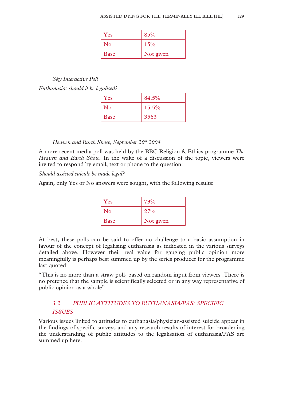| Yes         | 85%       |
|-------------|-----------|
| <b>No</b>   | 15%       |
| <b>Base</b> | Not given |

## *Sky Interactive Poll*

*Euthanasia: should it be legalised?* 

| Yes         | 84.5% |
|-------------|-------|
| No          | 15.5% |
| <b>Base</b> | 3563  |

# *Heaven and Earth Show, September 26<sup>th</sup> 2004*

A more recent media poll was held by the BBC Religion & Ethics programme *The Heaven and Earth Show.* In the wake of a discussion of the topic, viewers were invited to respond by email, text or phone to the question:

*Should assisted suicide be made legal?* 

Again, only Yes or No answers were sought, with the following results:

| Yes            | 73%       |
|----------------|-----------|
| $\overline{N}$ | 27%       |
| <b>Base</b>    | Not given |

At best, these polls can be said to offer no challenge to a basic assumption in favour of the concept of legalising euthanasia as indicated in the various surveys detailed above. However their real value for gauging public opinion more meaningfully is perhaps best summed up by the series producer for the programme last quoted:

"This is no more than a straw poll, based on random input from viewers .There is no pretence that the sample is scientifically selected or in any way representative of public opinion as a whole"

# *3.2 PUBLIC ATTITUDES TO EUTHANASIA/PAS: SPECIFIC ISSUES*

Various issues linked to attitudes to euthanasia/physician-assisted suicide appear in the findings of specific surveys and any research results of interest for broadening the understanding of public attitudes to the legalisation of euthanasia/PAS are summed up here.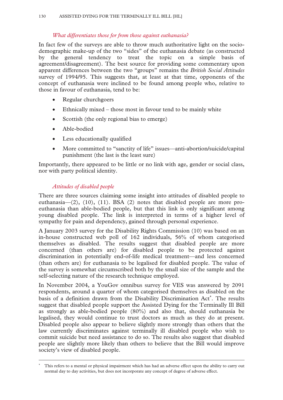# *What differentiates those for from those against euthanasia?*

In fact few of the surveys are able to throw much authoritative light on the sociodemographic make-up of the two "sides" of the euthanasia debate (as constructed by the general tendency to treat the topic on a simple basis of agreement/disagreement). The best source for providing some commentary upon apparent differences between the two "groups" remains the *British Social Attitudes* survey of 1994/95. This suggests that, at least at that time, opponents of the concept of euthanasia were inclined to be found among people who, relative to those in favour of euthanasia, tend to be:

- Regular churchgoers
- Ethnically mixed those most in favour tend to be mainly white
- Scottish (the only regional bias to emerge)
- Able-bodied
- Less educationally qualified
- More committed to "sanctity of life" issues—anti-abortion/suicide/capital punishment (the last is the least sure)

Importantly, there appeared to be little or no link with age, gender or social class, nor with party political identity.

# *Attitudes of disabled people*

 $\overline{a}$ 

There are three sources claiming some insight into attitudes of disabled people to euthanasia—(2), (10), (11). BSA (2) notes that disabled people are more proeuthanasia than able-bodied people, but that this link is only significant among young disabled people. The link is interpreted in terms of a higher level of sympathy for pain and dependency, gained through personal experience.

A January 2003 survey for the Disability Rights Commission (10) was based on an in-house constructed web poll of 162 individuals, 56% of whom categorised themselves as disabled. The results suggest that disabled people are more concerned (than others are) for disabled people to be protected against discrimination in potentially end-of-life medical treatment—and less concerned (than others are) for euthanasia to be legalised for disabled people. The value of the survey is somewhat circumscribed both by the small size of the sample and the self-selecting nature of the research technique employed.

In November 2004, a YouGov omnibus survey for VES was answered by 2091 respondents, around a quarter of whom categorised themselves as disabled on the basis of a definition drawn from the Disability Discrimination Act<sup>\*</sup>. The results suggest that disabled people support the Assisted Dying for the Terminally Ill Bill as strongly as able-bodied people (80%) and also that, should euthanasia be legalised, they would continue to trust doctors as much as they do at present. Disabled people also appear to believe slightly more strongly than others that the law currently discriminates against terminally ill disabled people who wish to commit suicide but need assistance to do so. The results also suggest that disabled people are slightly more likely than others to believe that the Bill would improve society's view of disabled people.

<sup>∗</sup> This refers to a mental or physical impairment which has had an adverse effect upon the ability to carry out normal day to day activities, but does not incorporate any concept of degree of adverse effect.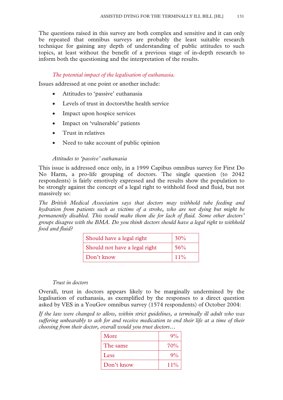The questions raised in this survey are both complex and sensitive and it can only be repeated that omnibus surveys are probably the least suitable research technique for gaining any depth of understanding of public attitudes to such topics, at least without the benefit of a previous stage of in-depth research to inform both the questioning and the interpretation of the results.

## *The potential impact of the legalisation of euthanasia.*

Issues addressed at one point or another include:

- Attitudes to 'passive' euthanasia
- Levels of trust in doctors/the health service
- Impact upon hospice services
- Impact on 'vulnerable' patients
- Trust in relatives
- Need to take account of public opinion

## *Attitudes to 'passive' euthanasia*

This issue is addressed once only, in a 1999 Capibus omnibus survey for First Do No Harm, a pro-life grouping of doctors. The single question (to 2042 respondents) is fairly emotively expressed and the results show the population to be strongly against the concept of a legal right to withhold food and fluid, but not massively so:

*The British Medical Association says that doctors may withhold tube feeding and hydration from patients such as victims of a stroke, who are not dying but might be permanently disabled. This would make them die for lack of fluid. Some other doctors' groups disagree with the BMA. Do you think doctors should have a legal right to withhold food and fluid?* 

| Should have a legal right     | 30%    |
|-------------------------------|--------|
| Should not have a legal right | 56%    |
| Don't know                    | $11\%$ |

#### *Trust in doctors*

Overall, trust in doctors appears likely to be marginally undermined by the legalisation of euthanasia, as exemplified by the responses to a direct question asked by VES in a YouGov omnibus survey (1574 respondents) of October 2004:

*If the law were changed to allow, within strict guidelines, a terminally ill adult who was suffering unbearably to ask for and receive medication to end their life at a time of their choosing from their doctor, overall would you trust doctors…* 

| More       | $9\%$  |
|------------|--------|
| The same   | 70%    |
| Less       | $9\%$  |
| Don't know | $11\%$ |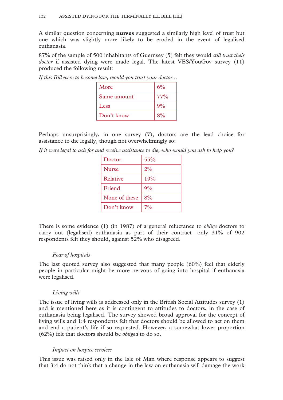A similar question concerning **nurses** suggested a similarly high level of trust but one which was slightly more likely to be eroded in the event of legalised euthanasia.

87% of the sample of 500 inhabitants of Guernsey (5) felt they would *still trust their doctor* if assisted dying were made legal. The latest VES/YouGov survey (11) produced the following result:

| More        | 6%    |
|-------------|-------|
| Same amount | 77%   |
| Less        | 9%    |
| Don't know  | $8\%$ |

*If this Bill were to become law, would you trust your doctor...* 

Perhaps unsurprisingly, in one survey (7), doctors are the lead choice for assistance to die legally, though not overwhelmingly so:

*If it were legal to ask for and receive assistance to die, who would you ask to help you?* 

| Doctor        | 55%   |
|---------------|-------|
| <b>Nurse</b>  | 2%    |
| Relative      | 19%   |
| Friend        | 9%    |
| None of these | 8%    |
| Don't know    | $7\%$ |

There is some evidence (1) (in 1987) of a general reluctance to *oblige* doctors to carry out (legalised) euthanasia as part of their contract—only 31% of 902 respondents felt they should, against 52% who disagreed.

## *Fear of hospitals*

The last quoted survey also suggested that many people (60%) feel that elderly people in particular might be more nervous of going into hospital if euthanasia were legalised.

## *Living wills*

The issue of living wills is addressed only in the British Social Attitudes survey (1) and is mentioned here as it is contingent to attitudes to doctors, in the case of euthanasia being legalised. The survey showed broad approval for the concept of living wills and 1:4 respondents felt that doctors should be allowed to act on them and end a patient's life if so requested. However, a somewhat lower proportion (62%) felt that doctors should be *obliged* to do so.

## *Impact on hospice services*

This issue was raised only in the Isle of Man where response appears to suggest that 3:4 do not think that a change in the law on euthanasia will damage the work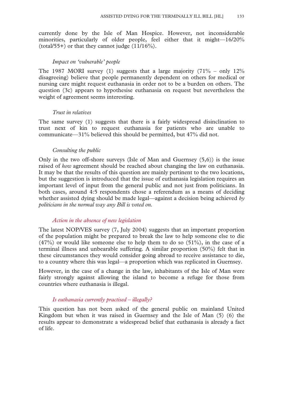currently done by the Isle of Man Hospice. However, not inconsiderable minorities, particularly of older people, feel either that it might—16/20% (total/55+) or that they cannot judge  $(11/16\%)$ .

#### *Impact on 'vulnerable' people*

The 1987 MORI survey (1) suggests that a large majority  $(71\% - \text{only } 12\%$ disagreeing) believe that people permanently dependent on others for medical or nursing care might request euthanasia in order not to be a burden on others. The question (3c) appears to hypothesise euthanasia on request but nevertheless the weight of agreement seems interesting.

#### *Trust in relatives*

The same survey (1) suggests that there is a fairly widespread disinclination to trust next of kin to request euthanasia for patients who are unable to communicate—31% believed this should be permitted, but 47% did not.

#### *Consulting the public*

Only in the two off-shore surveys (Isle of Man and Guernsey (5,6)) is the issue raised of *how* agreement should be reached about changing the law on euthanasia. It may be that the results of this question are mainly pertinent to the two locations, but the suggestion is introduced that the issue of euthanasia legislation requires an important level of input from the general public and not just from politicians. In both cases, around 4:5 respondents chose a referendum as a means of deciding whether assisted dying should be made legal—against a decision being achieved *by politicians in the normal way any Bill is voted on.*

## *Action in the absence of new legislation*

The latest NOP/VES survey (7, July 2004) suggests that an important proportion of the population might be prepared to break the law to help someone else to die  $(47%)$  or would like someone else to help them to do so  $(51%)$ , in the case of a terminal illness and unbearable suffering. A similar proportion (50%) felt that in these circumstances they would consider going abroad to receive assistance to die, to a country where this was legal—a proportion which was replicated in Guernsey.

However, in the case of a change in the law, inhabitants of the Isle of Man were fairly strongly against allowing the island to become a refuge for those from countries where euthanasia is illegal.

#### *Is euthanasia currently practised – illegally?*

This question has not been asked of the general public on mainland United Kingdom but when it was raised in Guernsey and the Isle of Man (5) (6) the results appear to demonstrate a widespread belief that euthanasia is already a fact of life.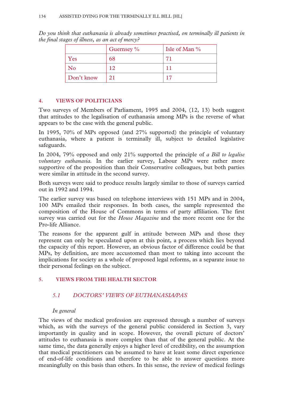*Do you think that euthanasia is already sometimes practised, on terminally ill patients in the final stages of illness, as an act of mercy?* 

|            | Guernsey $\%$ | Isle of Man $\%$ |
|------------|---------------|------------------|
| Yes        | 68            | 71               |
| No         | 12            |                  |
| Don't know | 21            | 17               |

## **4. VIEWS OF POLITICIANS**

Two surveys of Members of Parliament, 1995 and 2004, (12, 13) both suggest that attitudes to the legalisation of euthanasia among MPs is the reverse of what appears to be the case with the general public.

In 1995, 70% of MPs opposed (and 27% supported) the principle of voluntary euthanasia, where a patient is terminally ill, subject to detailed legislative safeguards.

In 2004, 79% opposed and only 21% supported the principle of *a Bill to legalise voluntary euthanasia.* In the earlier survey, Labour MPs were rather more supportive of the proposition than their Conservative colleagues, but both parties were similar in attitude in the second survey.

Both surveys were said to produce results largely similar to those of surveys carried out in 1992 and 1994.

The earlier survey was based on telephone interviews with 151 MPs and in 2004, 100 MPs emailed their responses. In both cases, the sample represented the composition of the House of Commons in terms of party affiliation. The first survey was carried out for the *House Magazine* and the more recent one for the Pro-life Alliance.

The reasons for the apparent gulf in attitude between MPs and those they represent can only be speculated upon at this point, a process which lies beyond the capacity of this report. However, an obvious factor of difference could be that MPs, by definition, are more accustomed than most to taking into account the implications for society as a whole of proposed legal reforms, as a separate issue to their personal feelings on the subject.

# **5. VIEWS FROM THE HEALTH SECTOR**

# *5.1 DOCTORS' VIEWS OF EUTHANASIA/PAS*

## *In general*

The views of the medical profession are expressed through a number of surveys which, as with the surveys of the general public considered in Section 3, vary importantly in quality and in scope. However, the overall picture of doctors' attitudes to euthanasia is more complex than that of the general public. At the same time, the data generally enjoys a higher level of credibility, on the assumption that medical practitioners can be assumed to have at least some direct experience of end-of-life conditions and therefore to be able to answer questions more meaningfully on this basis than others. In this sense, the review of medical feelings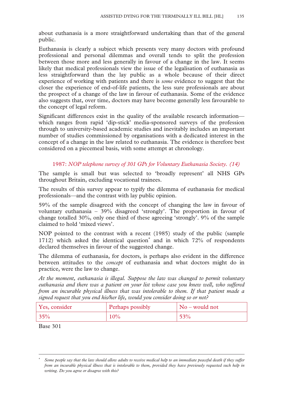about euthanasia is a more straightforward undertaking than that of the general public.

Euthanasia is clearly a subject which presents very many doctors with profound professional and personal dilemmas and overall tends to split the profession between those more and less generally in favour of a change in the law. It seems likely that medical professionals view the issue of the legalisation of euthanasia as less straightforward than the lay public as a whole because of their direct experience of working with patients and there is *some* evidence to suggest that the closer the experience of end-of-life patients, the less sure professionals are about the prospect of a change of the law in favour of euthanasia. Some of the evidence also suggests that, over time, doctors may have become generally less favourable to the concept of legal reform.

Significant differences exist in the quality of the available research information which ranges from rapid 'dip-stick' media-sponsored surveys of the profession through to university-based academic studies and inevitably includes an important number of studies commissioned by organisations with a dedicated interest in the concept of a change in the law related to euthanasia. The evidence is therefore best considered on a piecemeal basis, with some attempt at chronology.

## 1987: *NOP telephone survey of 301 GPs for Voluntary Euthanasia Society. (14)*

The sample is small but was selected to 'broadly represent' all NHS GPs throughout Britain, excluding vocational trainees.

The results of this survey appear to typify the dilemma of euthanasia for medical professionals—and the contrast with lay public opinion.

59% of the sample disagreed with the concept of changing the law in favour of voluntary euthanasia – 39% disagreed 'strongly'. The proportion in favour of change totalled 30%, only one third of these agreeing 'strongly'. 9% of the sample claimed to hold 'mixed views'.

NOP pointed to the contrast with a recent (1985) study of the public (sample 1712) which asked the identical question<sup>\*</sup> and in which 72% of respondents declared themselves in favour of the suggested change.

The dilemma of euthanasia, for doctors, is perhaps also evident in the difference between attitudes to the *concept* of euthanasia and what doctors might do in practice, were the law to change.

*At the moment, euthanasia is illegal. Suppose the law was changed to permit voluntary euthanasia and there was a patient on your list whose case you knew well, who suffered from an incurable physical illness that was intolerable to them. If that patient made a signed request that you end his/her life, would you consider doing so or not?* 

| Yes, consider | <b>Perhaps possibly</b> | $\log$ No – would not |
|---------------|-------------------------|-----------------------|
| 35%           | 10%                     | 53%                   |

Base 301

 $\overline{a}$ 

<sup>∗</sup> *Some people say that the law should allow adults to receive medical help to an immediate peaceful death if they suffer from an incurable physical illness that is intolerable to them, provided they have previously requested such help in writing. Do you agree or disagree with this?*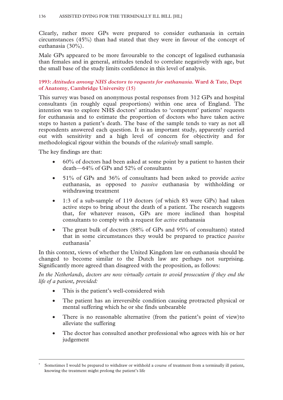Clearly, rather more GPs were prepared to consider euthanasia in certain circumstances (45%) than had stated that they were in favour of the concept of euthanasia (30%).

Male GPs appeared to be more favourable to the concept of legalised euthanasia than females and in general, attitudes tended to correlate negatively with age, but the small base of the study limits confidence in this level of analysis.

## **1993:** *Attitudes among NHS doctors to requests for euthanasia***. Ward & Tate, Dept of Anatomy, Cambridge University (15)**

This survey was based on anonymous postal responses from 312 GPs and hospital consultants (in roughly equal proportions) within one area of England. The intention was to explore NHS doctors' attitudes to 'competent' patients' requests for euthanasia and to estimate the proportion of doctors who have taken active steps to hasten a patient's death. The base of the sample tends to vary as not all respondents answered each question. It is an important study, apparently carried out with sensitivity and a high level of concern for objectivity and for methodological rigour within the bounds of the *relatively* small sample.

The key findings are that:

 $\overline{a}$ 

- 60% of doctors had been asked at some point by a patient to hasten their death—64% of GPs and 52% of consultants
- 51% of GPs and 36% of consultants had been asked to provide *active*  euthanasia, as opposed to *passive* euthanasia by withholding or withdrawing treatment
- 1:3 of a sub-sample of 119 doctors (of which 83 were GPs) had taken active steps to bring about the death of a patient. The research suggests that, for whatever reason, GPs are more inclined than hospital consultants to comply with a request for *active* euthanasia
- The great bulk of doctors (88% of GPs and 95% of consultants) stated that in some circumstances they would be prepared to practice *passive*  euthanasia<sup>∗</sup>

In this context, views of whether the United Kingdom law on euthanasia should be changed to become similar to the Dutch law are perhaps not surprising. Significantly more agreed than disagreed with the proposition, as follows:

*In the Netherlands, doctors are now virtually certain to avoid prosecution if they end the life of a patient, provided:* 

- This is the patient's well-considered wish
- The patient has an irreversible condition causing protracted physical or mental suffering which he or she finds unbearable
- There is no reasonable alternative (from the patient's point of view)to alleviate the suffering
- The doctor has consulted another professional who agrees with his or her judgement

<sup>∗</sup> Sometimes I would be prepared to withdraw or withhold a course of treatment from a terminally ill patient, knowing the treatment might prolong the patient's life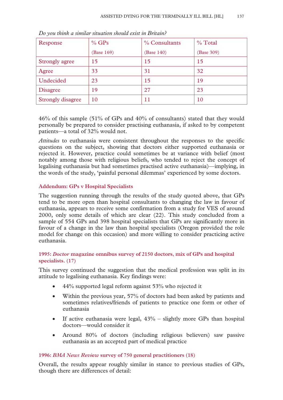| Response                 | $%$ GPs    | % Consultants | $%$ Total  |
|--------------------------|------------|---------------|------------|
|                          | (Base 169) | (Base 140)    | (Base 309) |
| Strongly agree           | 15         | 15            | 15         |
| Agree                    | 33         | 31            | 32         |
| Undecided                | 23         | 15            | 19         |
| <b>Disagree</b>          | 19         | 27            | 23         |
| <b>Strongly disagree</b> | 10         | 11            | 10         |

*Do you think a similar situation should exist in Britain?* 

46% of this sample (51% of GPs and 40% of consultants) stated that they would personally be prepared to consider practising euthanasia, if asked to by competent patients—a total of 32% would not.

*Attitudes* to euthanasia were consistent throughout the responses to the specific questions on the subject, showing that doctors either supported euthanasia or rejected it. However, practice could sometimes be at variance with belief (most notably among those with religious beliefs, who tended to reject the concept of legalising euthanasia but had sometimes practised active euthanasia)—implying, in the words of the study, 'painful personal dilemmas' experienced by some doctors.

## **Addendum: GPs v Hospital Specialists**

The suggestion running through the results of the study quoted above, that GPs tend to be more open than hospital consultants to changing the law in favour of euthanasia, appears to receive some confirmation from a study for VES of around 2000, only some details of which are clear (22). This study concluded from a sample of 554 GPs and 398 hospital specialists that GPs are significantly more in favour of a change in the law than hospital specialists (Oregon provided the role model for change on this occasion) and more willing to consider practicing active euthanasia.

## **1995:** *Doctor* **magazine omnibus survey of 2150 doctors, mix of GPs and hospital specialists. (17)**

This survey continued the suggestion that the medical profession was split in its attitude to legalising euthanasia. Key findings were:

- 44% supported legal reform against 53% who rejected it
- Within the previous year, 57% of doctors had been asked by patients and sometimes relatives/friends of patients to practice one form or other of euthanasia
- If active euthanasia were legal,  $43\%$  slightly more GPs than hospital doctors—would consider it
- Around 80% of doctors (including religious believers) saw passive euthanasia as an accepted part of medical practice

## **1996:** *BMA News Revi***e***w* **survey of 750 general practitioners (18)**

Overall, the results appear roughly similar in stance to previous studies of GPs, though there are differences of detail: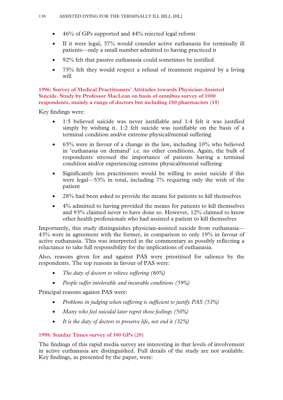- 46% of GPs supported and 44% rejected legal reform
- If it were legal, 37% would consider active euthanasia for terminally ill patients—only a small number admitted to having practiced it
- 92% felt that passive euthanasia could sometimes be justified
- 75% felt they would respect a refusal of treatment required by a living will

**1996: Survey of Medical Practitioners' Attitudes towards Physician-Assisted Suicide. Study by Professor MacLean on basis of omnibus survey of 1000 respondents, mainly a range of doctors but including 180 pharmacists (19)** 

Key findings were:

- 1:5 believed suicide was never justifiable and 1:4 felt it was justified simply by wishing it. 1:2 felt suicide was justifiable on the basis of a terminal condition and/or extreme physical/mental suffering
- $\bullet$  65% were in favour of a change in the law, including 10% who believed in 'euthanasia on demand' i.e. no other conditions. Again, the bulk of respondents stressed the importance of patients having a terminal condition and/or experiencing extreme physical/mental suffering
- Significantly less practitioners would be willing to assist suicide if this were legal—53% in total, including 7% requiring only the wish of the patient
- 28% had been asked to provide the means for patients to kill themselves
- 4% admitted to having provided the means for patients to kill themselves and 93% claimed never to have done so. However, 12% claimed to know other health professionals who had assisted a patient to kill themselves

Importantly, this study distinguishes physician-assisted suicide from euthanasia— 43% were in agreement with the former, in comparison to only 19% in favour of active euthanasia. This was interpreted in the commentary as possibly reflecting a reluctance to take full responsibility for the implications of euthanasia.

Also, reasons given for and against PAS were prioritised for salience by the respondents. The top reasons in favour of PAS were:

- *The duty of doctors to relieve suffering (60%)*
- *People suffer intolerable and incurable conditions (59%)*

Principal reasons against PAS were:

- *Problems in judging when suffering is sufficient to justify PAS (53%)*
- *Many who feel suicidal later regret those feelings (50%)*
- *It is the duty of doctors to preserve life, not end it (32%)*

## **1998: Sunday Times survey of 300 GPs (20)**

The findings of this rapid media survey are interesting in that levels of involvement in active euthanasia are distinguished. Full details of the study are not available. Key findings, as presented by the paper, were: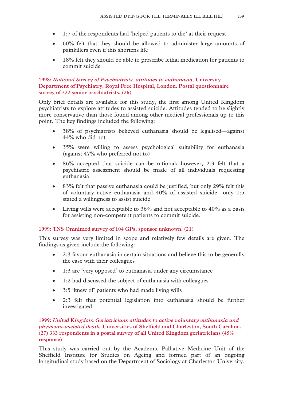- 1:7 of the respondents had 'helped patients to die' at their request
- 60% felt that they should be allowed to administer large amounts of painkillers even if this shortens life
- 18% felt they should be able to prescribe lethal medication for patients to commit suicide

## **1998:** *National Survey of Psychiatrists' attitudes to euthanasia,* **University Department of Psychiatry, Royal Free Hospital, London. Postal questionnaire survey of 322 senior psychiatrists. (26)**

Only brief details are available for this study, the first among United Kingdom psychiatrists to explore attitudes to assisted suicide. Attitudes tended to be slightly more conservative than those found among other medical professionals up to this point. The key findings included the following:

- 38% of psychiatrists believed euthanasia should be legalised—against 44% who did not
- 35% were willing to assess psychological suitability for euthanasia (against 47% who preferred not to)
- 86% accepted that suicide can be rational; however, 2:3 felt that a psychiatric assessment should be made of all individuals requesting euthanasia
- 83% felt that passive euthanasia could be justified, but only 29% felt this of voluntary active euthanasia and 40% of assisted suicide—only 1:5 stated a willingness to assist suicide
- Living wills were acceptable to 36% and not acceptable to 40% as a basis for assisting non-competent patients to commit suicide.

## **1999: TNS Omnimed survey of 104 GPs, sponsor unknown. (21)**

This survey was very limited in scope and relatively few details are given. The findings as given include the following:

- 2:3 favour euthanasia in certain situations and believe this to be generally the case with their colleagues
- 1:3 are 'very opposed' to euthanasia under any circumstance
- 1:2 had discussed the subject of euthanasia with colleagues
- 3:5 'knew of' patients who had made living wills
- 2:3 felt that potential legislation into euthanasia should be further investigated

## **1999:** *United* **K***ingdom Geriatricians attitudes to active voluntary euthanasia and physician-assisted death.* **Universities of Sheffield and Charleston, South Carolina. (27) 333 respondents in a postal survey of all United Kingdom geriatricians (45% response)**

This study was carried out by the Academic Palliative Medicine Unit of the Sheffield Institute for Studies on Ageing and formed part of an ongoing longitudinal study based on the Department of Sociology at Charleston University.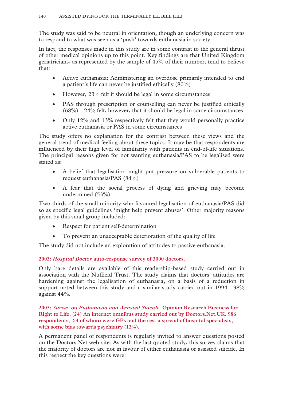The study was said to be neutral in orientation, though an underlying concern was to respond to what was seen as a 'push' towards euthanasia in society.

In fact, the responses made in this study are in some contrast to the general thrust of other medical opinions up to this point. Key findings are that United Kingdom geriatricians, as represented by the sample of 45% of their number, tend to believe that:

- Active euthanasia: Administering an overdose primarily intended to end a patient's life can never be justified ethically (80%)
- However, 23% felt it should be legal in some circumstances
- PAS through prescription or counselling can never be justified ethically (68%)—24% felt, however, that it should be legal in some circumstances
- Only 12% and 13% respectively felt that they would personally practice active euthanasia or PAS in some circumstances

The study offers no explanation for the contrast between these views and the general trend of medical feeling about these topics. It may be that respondents are influenced by their high level of familiarity with patients in end-of-life situations. The principal reasons given for not wanting euthanasia/PAS to be legalised were stated as:

- A belief that legalisation might put pressure on vulnerable patients to request euthanasia/PAS (84%)
- A fear that the social process of dying and grieving may become undermined (53%)

Two thirds of the small minority who favoured legalisation of euthanasia/PAS did so as specific legal guidelines 'might help prevent abuses'. Other majority reasons given by this small group included:

- Respect for patient self-determination
- To prevent an unacceptable deterioration of the quality of life

The study did not include an exploration of attitudes to passive euthanasia.

**2003:** *Hospital Doctor* **auto-response survey of 3000 doctors.** 

Only bare details are available of this readership-based study carried out in association with the Nuffield Trust. The study claims that doctors' attitudes are hardening against the legalisation of euthanasia, on a basis of a reduction in support noted between this study and a similar study carried out in 1994—38% against 44%.

**2003:** *Survey on Euthanasia and Assisted Suicide,* **Opinion Research Business for Right to Life. (24) An internet omnibus study carried out by Doctors.Net.UK. 986 respondents, 2:3 of whom were GPs and the rest a spread of hospital specialists, with some bias towards psychiatry (13%).** 

A permanent panel of respondents is regularly invited to answer questions posted on the Doctors.Net web-site. As with the last quoted study, this survey claims that the majority of doctors are not in favour of either euthanasia or assisted suicide. In this respect the key questions were: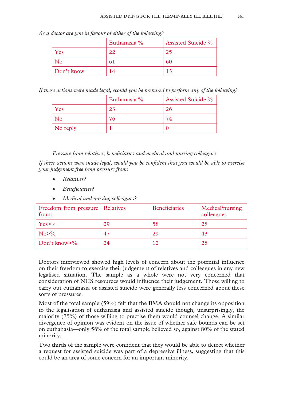*As a doctor are you in favour of either of the following?* 

|            | Euthanasia % | <b>Assisted Suicide %</b> |
|------------|--------------|---------------------------|
| Yes        | 22           | 25                        |
| No         | 61           | 60                        |
| Don't know | 14           | 13                        |

*If these actions were made legal, would you be prepared to perform any of the following?* 

|          | Euthanasia % | <b>Assisted Suicide %</b> |
|----------|--------------|---------------------------|
| Yes      | 23           | 26                        |
| No       | 76           | 74                        |
| No reply |              |                           |

*Pressure from relatives, beneficiaries and medical and nursing colleagues* 

*If these actions were made legal, would you be confident that you would be able to exercise your judgement free from pressure from:* 

- *Relatives?*
- *Beneficiaries?*
- *Medical and nursing colleagues?*

| Freedom from pressure Relatives<br>from: |    | <b>Beneficiaries</b> | Medical/nursing<br>colleagues |
|------------------------------------------|----|----------------------|-------------------------------|
| $Yes > \%$                               | 29 | 58                   | 28                            |
| No>%                                     | 47 | 29                   | 43                            |
| Don't know $\frac{9}{6}$                 | 24 | 1 2                  | 28                            |

Doctors interviewed showed high levels of concern about the potential influence on their freedom to exercise their judgement of relatives and colleagues in any new legalised situation. The sample as a whole were not very concerned that consideration of NHS resources would influence their judgement. Those willing to carry out euthanasia or assisted suicide were generally less concerned about these sorts of pressures.

Most of the total sample (59%) felt that the BMA should not change its opposition to the legalisation of euthanasia and assisted suicide though, unsurprisingly, the majority (75%) of those willing to practise them would counsel change. A similar divergence of opinion was evident on the issue of whether safe bounds can be set on euthanasia—only 56% of the total sample believed so, against 80% of the stated minority.

Two thirds of the sample were confident that they would be able to detect whether a request for assisted suicide was part of a depressive illness, suggesting that this could be an area of some concern for an important minority.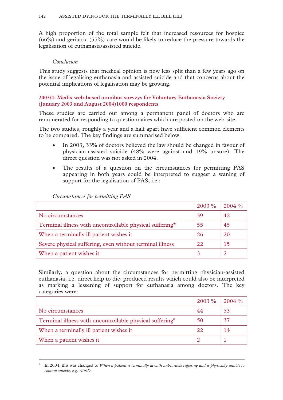A high proportion of the total sample felt that increased resources for hospice (66%) and geriatric (55%) care would be likely to reduce the pressure towards the legalisation of euthanasia/assisted suicide.

## *Conclusion*

This study suggests that medical opinion is now less split than a few years ago on the issue of legalising euthanasia and assisted suicide and that concerns about the potential implications of legalisation may be growing.

## **2003/4: Medix web-based omnibus surveys for Voluntary Euthanasia Society (January 2003 and August 2004)1000 respondents**

These studies are carried out among a permanent panel of doctors who are remunerated for responding to questionnaires which are posted on the web-site.

The two studies, roughly a year and a half apart have sufficient common elements to be compared. The key findings are summarised below.

- In 2003, 33% of doctors believed the law should be changed in favour of physician-assisted suicide (48% were against and 19% unsure). The direct question was not asked in 2004.
- The results of a question on the circumstances for permitting PAS appearing in both years could be interpreted to suggest a waning of support for the legalisation of PAS, i.e.:

|                                                          | $2003\%$ | $2004\%$ |
|----------------------------------------------------------|----------|----------|
| No circumstances                                         | 39       | 42       |
| Terminal illness with uncontrollable physical suffering* | 55       | 45       |
| When a terminally ill patient wishes it                  | 26       | 20       |
| Severe physical suffering, even without terminal illness | 22       | 15       |
| When a patient wishes it                                 |          |          |

*Circumstances for permitting PAS* 

 $\overline{a}$ 

Similarly, a question about the circumstances for permitting physician-assisted euthanasia, i.e. direct help to die, produced results which could also be interpreted as marking a lessening of support for euthanasia among doctors. The key categories were:

|                                                                  | $2003\%$ | $12004\%$ |
|------------------------------------------------------------------|----------|-----------|
| No circumstances                                                 | 44       | 53        |
| Terminal illness with uncontrollable physical suffering $\alpha$ | 50       | 37        |
| When a terminally ill patient wishes it                          | 22       | 14        |
| When a patient wishes it                                         |          |           |

α In 2004, this was changed to *When a patient is terminally ill with unbearable suffering and is physically unable to commit suicide, e.g. MND*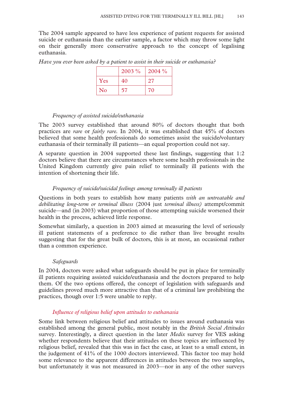The 2004 sample appeared to have less experience of patient requests for assisted suicide or euthanasia than the earlier sample, a factor which may throw some light on their generally more conservative approach to the concept of legalising euthanasia.

| Have you ever been asked by a patient to assist in their suicide or euthanasia? |
|---------------------------------------------------------------------------------|
|---------------------------------------------------------------------------------|

|          | $2003\%$ | $2004\%$ |
|----------|----------|----------|
| Yes      | 40       | 27       |
| $\rm No$ | 57       | 70       |

## *Frequency of assisted suicide/euthanasia*

The 2003 survey established that around 80% of doctors thought that both practices are *rare* or *fairly rare.* In 2004, it was established that 45% of doctors believed that some health professionals do sometimes assist the suicide/voluntary euthanasia of their terminally ill patients—an equal proportion could not say.

A separate question in 2004 supported these last findings, suggesting that 1:2 doctors believe that there are circumstances where some health professionals in the United Kingdom currently give pain relief to terminally ill patients with the intention of shortening their life.

## *Frequency of suicide/suicidal feelings among terminally ill patients*

Questions in both years to establish how many patients *with an untreatable and debilitating long-term or terminal illness* (2004 just *terminal illness)* attempt/commit suicide—and (in 2003) what proportion of those attempting suicide worsened their health in the process, achieved little response.

Somewhat similarly, a question in 2003 aimed at measuring the level of seriously ill patient statements of a preference to die rather than live brought results suggesting that for the great bulk of doctors, this is at most, an occasional rather than a common experience.

## *Safeguards*

In 2004, doctors were asked what safeguards should be put in place for terminally ill patients requiring assisted suicide/euthanasia and the doctors prepared to help them. Of the two options offered, the concept of legislation with safeguards and guidelines proved much more attractive than that of a criminal law prohibiting the practices, though over 1:5 were unable to reply.

## *Influence of religious belief upon attitudes to euthanasia*

Some link between religious belief and attitudes to issues around euthanasia was established among the general public, most notably in the *British Social Attitudes*  survey. Interestingly, a direct question in the later *Medix* survey for VES asking whether respondents believe that their attitudes on these topics are influenced by religious belief, revealed that this was in fact the case, at least to a small extent, in the judgement of 41% of the 1000 doctors interviewed. This factor too may hold some relevance to the apparent differences in attitudes between the two samples, but unfortunately it was not measured in 2003—nor in any of the other surveys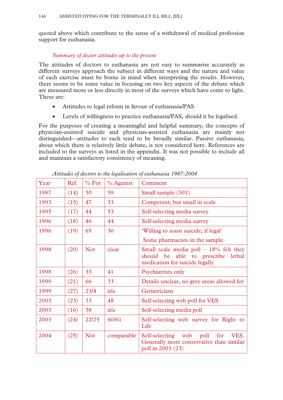quoted above which contribute to the sense of a withdrawal of medical profession support for euthanasia.

## *Summary of doctor attitudes up to the present*

The attitudes of doctors to euthanasia are not easy to summarise accurately as different surveys approach the subject in different ways and the nature and value of each exercise must be borne in mind when interpreting the results. However, there seems to be some value in focusing on two key aspects of the debate which are measured more or less directly in most of the surveys which have come to light. These are:

- Attitudes to legal reform in favour of euthanasia/PAS
- Levels of willingness to practice euthanasia/PAS, should it be legalised.

For the purposes of creating a meaningful and helpful summary, the concepts of physician-assisted suicide and physician-assisted euthanasia are mainly not distinguished—attitudes to each tend to be broadly similar. Passive euthanasia, about which there is relatively little debate, is not considered here. References are included to the surveys as listed in the appendix. It was not possible to include all and maintain a satisfactory consistency of meaning.

| Year | Ref. | % For      | % Against  | Comment                                                                                                             |
|------|------|------------|------------|---------------------------------------------------------------------------------------------------------------------|
| 1987 | (14) | 30         | 59         | Small sample (301)                                                                                                  |
| 1993 | (15) | 47         | 33         | Competent, but small in scale                                                                                       |
| 1995 | (17) | 44         | 53         | Self-selecting media survey                                                                                         |
| 1996 | (18) | 46         | 44         | Self-selecting media survey                                                                                         |
| 1996 | (19) | 65         | 30         | 'Willing to assist suicide, if legal'                                                                               |
|      |      |            |            | Some pharmacists in the sample.                                                                                     |
| 1998 | (20) | <b>Not</b> | clear      | Small scale media poll $-18\%$ felt they<br>able to prescribe lethal<br>should be<br>medication for suicide legally |
| 1998 | (26) | 33         | 41         | Psychiatrists only                                                                                                  |
| 1999 | (21) | 66         | 33         | Details unclear, no grey areas allowed for                                                                          |
| 1999 | (27) | 23/4       | n/a        | Geriatricians                                                                                                       |
| 2003 | (23) | 33         | 48         | Self-selecting web poll for VES                                                                                     |
| 2003 | (16) | 38         | n/a        | Self-selecting media poll                                                                                           |
| 2003 | (24) | 22/25      | 60/61      | Self-selecting web survey for Right to<br>Life                                                                      |
| 2004 | (25) | <b>Not</b> | comparable | Self-selecting web poll<br>for<br>VES.<br>Generally more conservative than similar<br>poll in 2003 (23)             |

*Attitudes of doctors to the legalisation of euthanasia 1987-2004*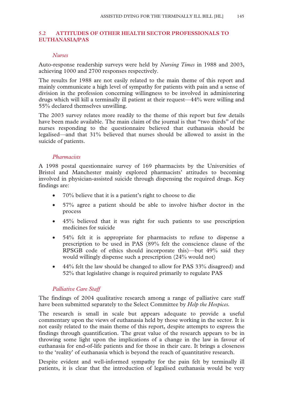## **5.2 ATTITUDES OF OTHER HEALTH SECTOR PROFESSIONALS TO EUTHANASIA/PAS**

#### *Nurses*

Auto-response readership surveys were held by *Nursing Times* in 1988 and 2003, achieving 1000 and 2700 responses respectively.

The results for 1988 are not easily related to the main theme of this report and mainly communicate a high level of sympathy for patients with pain and a sense of division in the profession concerning willingness to be involved in administering drugs which will kill a terminally ill patient at their request—44% were willing and 55% declared themselves unwilling.

The 2003 survey relates more readily to the theme of this report but few details have been made available. The main claim of the journal is that "two thirds" of the nurses responding to the questionnaire believed that euthanasia should be legalised—and that 31% believed that nurses should be allowed to assist in the suicide of patients.

### *Pharmacists*

A 1998 postal questionnaire survey of 169 pharmacists by the Universities of Bristol and Manchester mainly explored pharmacists' attitudes to becoming involved in physician-assisted suicide through dispensing the required drugs. Key findings are:

- 70% believe that it is a patient's right to choose to die
- 57% agree a patient should be able to involve his/her doctor in the process
- 45% believed that it was right for such patients to use prescription medicines for suicide
- 54% felt it is appropriate for pharmacists to refuse to dispense a prescription to be used in PAS (89% felt the conscience clause of the RPSGB code of ethics should incorporate this)—but 49% said they would willingly dispense such a prescription (24% would not)
- 44% felt the law should be changed to allow for PAS 33% disagreed) and 52% that legislative change is required primarily to regulate PAS

## *Palliative Care Staff*

The findings of 2004 qualitative research among a range of palliative care staff have been submitted separately to the Select Committee by *Help the Hospices.* 

The research is small in scale but appears adequate to provide a useful commentary upon the views of euthanasia held by those working in the sector. It is not easily related to the main theme of this report, despite attempts to express the findings through quantification. The great value of the research appears to be in throwing some light upon the implications of a change in the law in favour of euthanasia for end-of-life patients and for those in their care. It brings a closeness to the 'reality' of euthanasia which is beyond the reach of quantitative research.

Despite evident and well-informed sympathy for the pain felt by terminally ill patients, it is clear that the introduction of legalised euthanasia would be very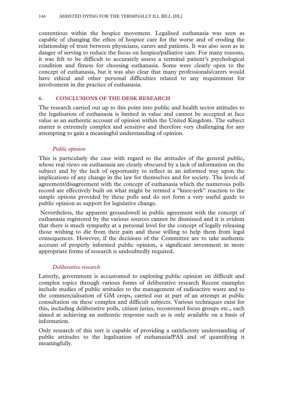contentious within the hospice movement. Legalised euthanasia was seen as capable of changing the ethos of hospice care for the worse and of eroding the relationship of trust between physicians, carers and patients. It was also seen as in danger of serving to reduce the focus on hospice/palliative care. For many reasons, it was felt to be difficult to accurately assess a terminal patient's psychological condition and fitness for choosing euthanasia. Some were clearly open to the concept of euthanasia, but it was also clear that many professionals/carers would have ethical and other personal difficulties related to any requirement for involvement in the practice of euthanasia.

### **6. CONCLUSIONS OF THE DESK RESEARCH**

The research carried out up to this point into public and health sector attitudes to the legalisation of euthanasia is limited in value and cannot be accepted at face value as an authentic account of opinion within the United Kingdom. The subject matter is extremely complex and sensitive and therefore very challenging for any attempting to gain a meaningful understanding of opinion.

## *Public opinion*

This is particularly the case with regard to the attitudes of the general public, whose real views on euthanasia are clearly obscured by a lack of information on the subject and by the lack of opportunity to reflect in an informed way upon the implications of any change in the law for themselves and for society. The levels of agreement/disagreement with the concept of euthanasia which the numerous polls record are effectively built on what might be termed a "knee-jerk" reaction to the simple options provided by these polls and do not form a very useful guide to public opinion as support for legislative change.

 Nevertheless, the apparent groundswell in public agreement with the concept of euthanasia registered by the various sources cannot be dismissed and it is evident that there is much sympathy at a personal level for the concept of legally releasing those wishing to die from their pain and those willing to help them from legal consequences. However, if the decisions of the Committee are to take authentic account of properly informed public opinion, a significant investment in more appropriate forms of research is undoubtedly required.

### *Deliberative research*

Latterly, government is accustomed to exploring public opinion on difficult and complex topics through various forms of deliberative research Recent examples include studies of public attitudes to the management of radioactive waste and to the commercialisation of GM crops, carried out at part of an attempt at public consultation on these complex and difficult subjects. Various techniques exist for this, including deliberative polls, citizen juries, reconvened focus groups etc., each aimed at achieving an authentic response such as is only available on a basis of information.

Only research of this sort is capable of providing a satisfactory understanding of public attitudes to the legalisation of euthanasia/PAS and of quantifying it meaningfully.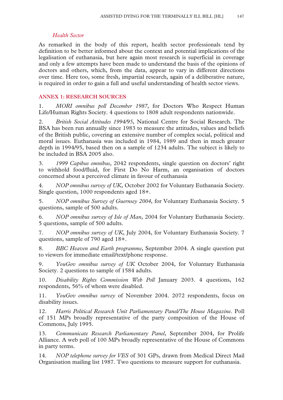# *Health Sector*

As remarked in the body of this report, health sector professionals tend by definition to be better informed about the context and potential implications of the legalisation of euthanasia, but here again most research is superficial in coverage and only a few attempts have been made to understand the basis of the opinions of doctors and others, which, from the data, appear to vary in different directions over time. Here too, some fresh, impartial research, again of a deliberative nature, is required in order to gain a full and useful understanding of health sector views.

## **ANNEX 1: RESEARCH SOURCES**

1. *MORI omnibus poll December 1987*, for Doctors Who Respect Human Life/Human Rights Society. 4 questions to 1808 adult respondents nationwide.

2. *British Social Attitudes 1994/95*, National Centre for Social Research. The BSA has been run annually since 1983 to measure the attitudes, values and beliefs of the British public, covering an extensive number of complex social, political and moral issues. Euthanasia was included in 1984, 1989 and then in much greater depth in 1994/95, based then on a sample of 1234 adults. The subject is likely to be included in BSA 2005 also.

3. *1999 Capibus omnibus,* 2042 respondents, single question on doctors' right to withhold food/fluid, for First Do No Harm, an organisation of doctors concerned about a perceived climate in favour of euthanasia

4. *NOP omnibus survey of UK*, October 2002 for Voluntary Euthanasia Society. Single question, 1000 respondents aged 18+.

5. *NOP omnibus Survey of Guernsey 2004*, for Voluntary Euthanasia Society. 5 questions, sample of 500 adults.

6. *NOP omnibus survey of Isle of Man*, 2004 for Voluntary Euthanasia Society. 5 questions, sample of 500 adults.

7. *NOP omnibus survey of UK*, July 2004, for Voluntary Euthanasia Society. 7 questions, sample of 790 aged 18+.

8. *BBC Heaven and Earth programme*, September 2004. A single question put to viewers for immediate email/text/phone response.

9. *YouGov omnibus survey of UK* October 2004, for Voluntary Euthanasia Society. 2 questions to sample of 1584 adults.

10. *Disability Rights Commission Web Poll* January 2003. 4 questions, 162 respondents, 56% of whom were disabled.

11. *YouGov omnibus survey* of November 2004. 2072 respondents, focus on disability issues.

12. *Harris Political Research Unit Parliamentary Panel/The House Magazine*. Poll of 151 MPs broadly representative of the party composition of the House of Commons, July 1995.

13. *Communicate Research Parliamentary Panel*, September 2004, for Prolife Alliance. A web poll of 100 MPs broadly representative of the House of Commons in party terms.

14. *NOP telephone survey for VES* of 301 GPs, drawn from Medical Direct Mail Organisation mailing list 1987. Two questions to measure support for euthanasia.